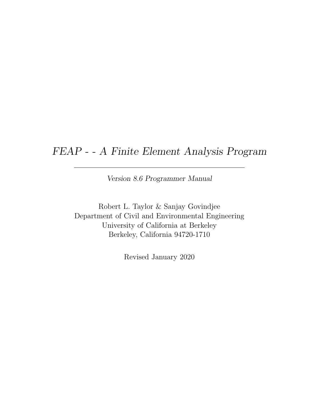## FEAP - - A Finite Element Analysis Program

Version 8.6 Programmer Manual

Robert L. Taylor & Sanjay Govindjee Department of Civil and Environmental Engineering University of California at Berkeley Berkeley, California 94720-1710

Revised January 2020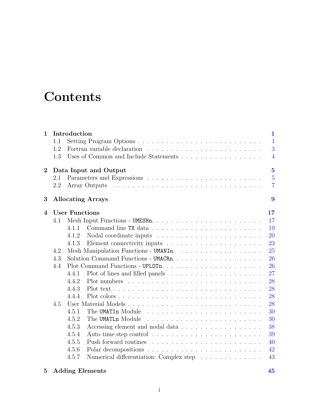# **Contents**

| $\mathbf{1}$           |     | Introduction          | $\mathbf{1}$                                            |
|------------------------|-----|-----------------------|---------------------------------------------------------|
|                        | 1.1 |                       | $\mathbf{1}$                                            |
|                        | 1.2 |                       | 3                                                       |
|                        | 1.3 |                       | Uses of Common and Include Statements<br>$\overline{4}$ |
| $\overline{2}$         |     |                       | $\overline{5}$<br>Data Input and Output                 |
|                        | 2.1 |                       | $\overline{5}$                                          |
|                        | 2.2 |                       | $\overline{7}$                                          |
| 3                      |     |                       | 9<br><b>Allocating Arrays</b>                           |
| $\boldsymbol{\Lambda}$ |     | <b>User Functions</b> | 17                                                      |
|                        | 4.1 |                       | 17                                                      |
|                        |     | 4.1.1                 | 19                                                      |
|                        |     | 4.1.2                 | 20                                                      |
|                        |     | 4.1.3                 | 23                                                      |
|                        | 4.2 |                       | Mesh Manipulation Functions - UMANIn.<br>25             |
|                        | 4.3 |                       | 26                                                      |
|                        | 4.4 |                       | 26                                                      |
|                        |     | 4.4.1                 | 27                                                      |
|                        |     | 4.4.2                 | 28                                                      |
|                        |     | 4.4.3                 | 28                                                      |
|                        |     | 4.4.4                 | 28                                                      |
|                        | 4.5 |                       | 28                                                      |
|                        |     | 4.5.1                 | 30                                                      |
|                        |     | 4.5.2                 | The UMATLn Module<br>30                                 |
|                        |     | 4.5.3                 | Accessing element and nodal data<br>38                  |
|                        |     | 4.5.4                 | 39                                                      |
|                        |     | 4.5.5                 | 40                                                      |
|                        |     | 4.5.6                 | 42                                                      |
|                        |     | 4.5.7                 | Numerical differentiation: Complex step<br>43           |

### 5 Adding Elements [45](#page-51-0)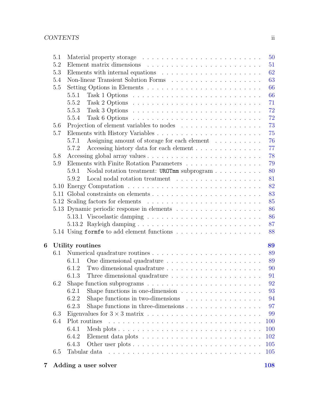|   | 5.1 |                  |                                                                                             |  |  |  |  | 50  |
|---|-----|------------------|---------------------------------------------------------------------------------------------|--|--|--|--|-----|
|   | 5.2 |                  |                                                                                             |  |  |  |  | 51  |
|   | 5.3 |                  | Elements with internal equations $\dots \dots \dots \dots \dots \dots \dots$                |  |  |  |  | 62  |
|   | 5.4 |                  |                                                                                             |  |  |  |  | 63  |
|   | 5.5 |                  |                                                                                             |  |  |  |  | 66  |
|   |     | 5.5.1            |                                                                                             |  |  |  |  | 66  |
|   |     | 5.5.2            | Task 2 Options $\ldots \ldots \ldots \ldots \ldots \ldots \ldots \ldots \ldots$             |  |  |  |  | 71  |
|   |     | 5.5.3            |                                                                                             |  |  |  |  | 72  |
|   |     | 5.5.4            |                                                                                             |  |  |  |  | 72  |
|   | 5.6 |                  |                                                                                             |  |  |  |  | 73  |
|   | 5.7 |                  |                                                                                             |  |  |  |  | 75  |
|   |     | 5.7.1            | Assigning amount of storage for each element                                                |  |  |  |  | 76  |
|   |     | 5.7.2            | Accessing history data for each element                                                     |  |  |  |  | 77  |
|   | 5.8 |                  |                                                                                             |  |  |  |  | 78  |
|   | 5.9 |                  | Elements with Finite Rotation Parameters                                                    |  |  |  |  | 79  |
|   |     | 5.9.1            | Nodal rotation treatment: UROTmm subprogram                                                 |  |  |  |  | 80  |
|   |     | 5.9.2            | Local nodal rotation treatment $\ldots \ldots \ldots \ldots \ldots \ldots$                  |  |  |  |  | 81  |
|   |     |                  |                                                                                             |  |  |  |  | 82  |
|   |     |                  |                                                                                             |  |  |  |  | 83  |
|   |     |                  |                                                                                             |  |  |  |  | 85  |
|   |     |                  |                                                                                             |  |  |  |  | 86  |
|   |     |                  |                                                                                             |  |  |  |  | 86  |
|   |     |                  |                                                                                             |  |  |  |  | 87  |
|   |     |                  |                                                                                             |  |  |  |  | 88  |
|   |     |                  |                                                                                             |  |  |  |  |     |
| 6 |     | Utility routines |                                                                                             |  |  |  |  | 89  |
|   | 6.1 |                  |                                                                                             |  |  |  |  | 89  |
|   |     | 6.1.1            |                                                                                             |  |  |  |  | 89  |
|   |     | 6.1.2            |                                                                                             |  |  |  |  | 90  |
|   |     | 6.1.3            |                                                                                             |  |  |  |  | 91  |
|   | 6.2 |                  | Shape function subprograms $\ldots \ldots \ldots \ldots \ldots \ldots \ldots \ldots \ldots$ |  |  |  |  | 92  |
|   |     | 6.2.1            | Shape functions in one-dimension                                                            |  |  |  |  | 93  |
|   |     | 6.2.2            | Shape functions in two-dimensions $\ldots \ldots \ldots \ldots \ldots$                      |  |  |  |  | 94  |
|   |     | 6.2.3            | Shape functions in three-dimensions $\dots \dots \dots \dots \dots \dots$                   |  |  |  |  | 97  |
|   | 6.3 |                  |                                                                                             |  |  |  |  | 99  |
|   | 6.4 | Plot routines    |                                                                                             |  |  |  |  | 100 |
|   |     | 6.4.1            |                                                                                             |  |  |  |  | 100 |
|   |     | 6.4.2            |                                                                                             |  |  |  |  | 102 |
|   |     | 6.4.3            |                                                                                             |  |  |  |  | 105 |
|   | 6.5 | Tabular data     |                                                                                             |  |  |  |  | 105 |
|   |     |                  |                                                                                             |  |  |  |  |     |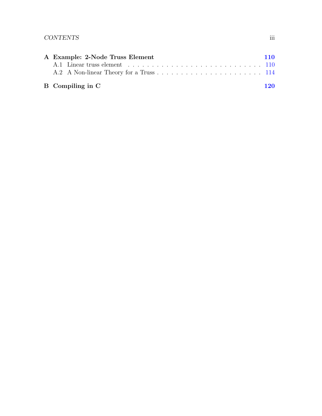| A Example: 2-Node Truss Element<br><b>110</b> |                  |     |  |  |  |  |
|-----------------------------------------------|------------------|-----|--|--|--|--|
|                                               |                  |     |  |  |  |  |
|                                               |                  |     |  |  |  |  |
|                                               | B Compiling in C | 120 |  |  |  |  |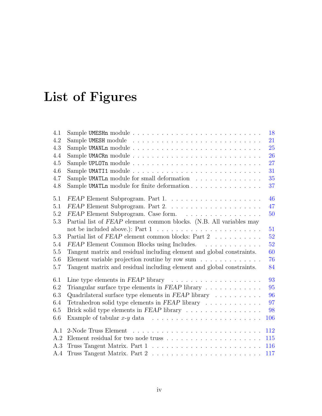# List of Figures

| 4.1 |                                                                                    | 18  |  |  |  |  |
|-----|------------------------------------------------------------------------------------|-----|--|--|--|--|
| 4.2 |                                                                                    | 21  |  |  |  |  |
| 4.3 | 25                                                                                 |     |  |  |  |  |
| 4.4 | 26                                                                                 |     |  |  |  |  |
| 4.5 |                                                                                    | 27  |  |  |  |  |
| 4.6 |                                                                                    | 31  |  |  |  |  |
| 4.7 | Sample UMATLn module for small deformation                                         | 35  |  |  |  |  |
| 4.8 | Sample UMATLn module for finite deformation                                        | 37  |  |  |  |  |
| 5.1 |                                                                                    | 46  |  |  |  |  |
| 5.1 |                                                                                    | 47  |  |  |  |  |
| 5.2 | FEAP Element Subprogram. Case form.                                                | 50  |  |  |  |  |
| 5.3 | Partial list of FEAP element common blocks. (N.B. All variables may                |     |  |  |  |  |
|     | not be included above.): Part $1 \ldots \ldots \ldots \ldots \ldots \ldots \ldots$ | 51  |  |  |  |  |
| 5.3 | Partial list of FEAP element common blocks: Part 2                                 | 52  |  |  |  |  |
| 5.4 | FEAP Element Common Blocks using Includes.                                         | 52  |  |  |  |  |
| 5.5 | Tangent matrix and residual including element and global constraints.              | 60  |  |  |  |  |
| 5.6 | Element variable projection routine by row sum $\dots \dots \dots \dots$           | 76  |  |  |  |  |
| 5.7 | Tangent matrix and residual including element and global constraints.              | 84  |  |  |  |  |
| 6.1 | Line type elements in $FEAP$ library $\ldots \ldots \ldots \ldots \ldots \ldots$   | 93  |  |  |  |  |
| 6.2 | Triangular surface type elements in $FEAP$ library $\ldots \ldots \ldots$          | 95  |  |  |  |  |
| 6.3 | Quadrilateral surface type elements in $FEAP$ library $\ldots \ldots \ldots$       | 96  |  |  |  |  |
| 6.4 | Tetrahedron solid type elements in $FEAP$ library $\ldots \ldots \ldots \ldots$    | 97  |  |  |  |  |
| 6.5 | 98<br>Brick solid type elements in FEAP library                                    |     |  |  |  |  |
| 6.6 | Example of tabular $x-y$ data $\ldots \ldots \ldots \ldots \ldots \ldots \ldots$   | 106 |  |  |  |  |
| A.1 |                                                                                    | 112 |  |  |  |  |
| A.2 |                                                                                    | 115 |  |  |  |  |
| A.3 |                                                                                    | 116 |  |  |  |  |
| A.4 |                                                                                    | 117 |  |  |  |  |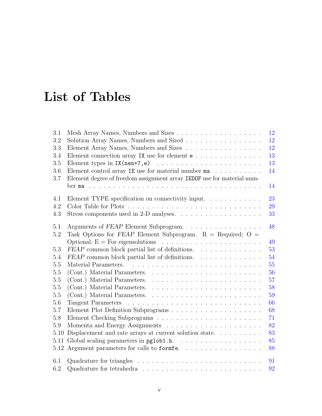# List of Tables

| 3.1  |                                                                                           | 12 |
|------|-------------------------------------------------------------------------------------------|----|
| 3.2  | Solution Array Names, Numbers and Sized                                                   | 12 |
| 3.3  | Element Array Names, Numbers and Sizes                                                    | 12 |
| 3.4  | Element connection array IX use for element $e \ldots \ldots \ldots \ldots$               | 13 |
| 3.5  |                                                                                           | 13 |
| 3.6  | Element control array IE use for material number $ma \dots a \dots a$                     | 14 |
| 3.7  | Element degree of freedom assignment array IEDOF use for material num-                    |    |
|      |                                                                                           | 14 |
| 4.1  | Element TYPE specification on connectivity input. $\ldots \ldots \ldots \ldots$           | 23 |
| 4.2  |                                                                                           | 29 |
| 4.3  |                                                                                           | 33 |
|      |                                                                                           |    |
| 5.1  | Arguments of FEAP Element Subprogram.                                                     | 48 |
| 5.2  | Task Options for FEAP Element Subprogram. $R = Required$ ; O =                            |    |
|      |                                                                                           | 49 |
| 5.3  | FEAP common block partial list of definitions.                                            | 53 |
| 5.4  | FEAP common block partial list of definitions.                                            | 54 |
| 5.5  |                                                                                           | 55 |
| 5.5  |                                                                                           | 56 |
| 5.5  |                                                                                           | 57 |
| 5.5  |                                                                                           | 58 |
| 5.5  |                                                                                           | 59 |
| 5.6  |                                                                                           | 66 |
| 5.7  |                                                                                           | 68 |
| 5.8  |                                                                                           | 71 |
| 5.9  |                                                                                           | 82 |
| 5.10 | Displacement and rate arrays at current solution state.<br>$\dots$ .<br>                  | 83 |
| 5.11 |                                                                                           | 85 |
|      | 5.12 Argument parameters for calls to formfe                                              | 88 |
|      |                                                                                           |    |
| 6.1  | Quadrature for triangles $\ldots \ldots \ldots \ldots \ldots \ldots \ldots \ldots \ldots$ | 91 |
| 6.2  |                                                                                           | 92 |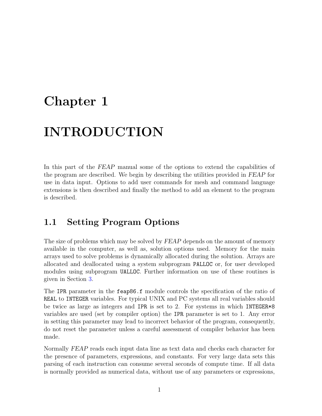## <span id="page-7-0"></span>Chapter 1

## INTRODUCTION

In this part of the FEAP manual some of the options to extend the capabilities of the program are described. We begin by describing the utilities provided in FEAP for use in data input. Options to add user commands for mesh and command language extensions is then described and finally the method to add an element to the program is described.

### <span id="page-7-1"></span>1.1 Setting Program Options

The size of problems which may be solved by FEAP depends on the amount of memory available in the computer, as well as, solution options used. Memory for the main arrays used to solve problems is dynamically allocated during the solution. Arrays are allocated and deallocated using a system subprogram PALLOC or, for user developed modules using subprogram UALLOC. Further information on use of these routines is given in Section [3.](#page-15-0)

The IPR parameter in the feap86.f module controls the specification of the ratio of REAL to INTEGER variables. For typical UNIX and PC systems all real variables should be twice as large as integers and IPR is set to 2. For systems in which INTEGER\*8 variables are used (set by compiler option) the IPR parameter is set to 1. Any error in setting this parameter may lead to incorrect behavior of the program, consequently, do not reset the parameter unless a careful assessment of compiler behavior has been made.

Normally FEAP reads each input data line as text data and checks each character for the presence of parameters, expressions, and constants. For very large data sets this parsing of each instruction can consume several seconds of compute time. If all data is normally provided as numerical data, without use of any parameters or expressions,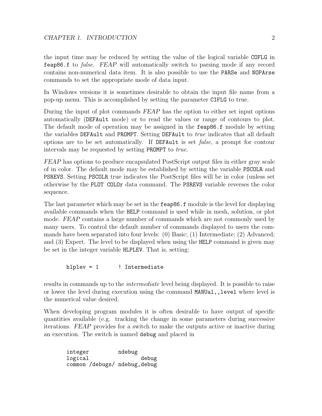the input time may be reduced by setting the value of the logical variable COFLG in feap86.f to false. FEAP will automatically switch to parsing mode if any record contains non-numerical data item. It is also possible to use the PARSe and NOPArse commands to set the appropriate mode of data input.

In Windows versions it is sometimes desirable to obtain the input file name from a pop-up menu. This is accomplished by setting the parameter CIFLG to true.

During the input of plot commands FEAP has the option to either set input options automatically (DEFAult mode) or to read the values or range of contours to plot. The default mode of operation may be assigned in the feap86.f module by setting the variables DEFAult and PROMPT. Setting DEFAult to *true* indicates that all default options are to be set automatically. If DEFAult is set false, a prompt for contour intervals may be requested by setting PROMPT to true.

FEAP has options to produce encapsulated PostScript output files in either gray scale of in color. The default mode may be established by setting the variable PSCOLR and PSREVS. Setting PSCOLR true indicates the PostScript files will be in color (unless set otherwise by the PLOT COLOr data command. The PSREVS variable reverses the color sequence.

The last parameter which may be set in the feap 86.f module is the level for displaying available commands when the HELP command is used while in mesh, solution, or plot mode. FEAP contains a large number of commands which are not commonly used by many users. To control the default number of commands displayed to users the commands have been separated into four levels: (0) Basic; (1) Intermediate; (2) Advanced; and (3) Expert. The level to be displayed when using the HELP command is given may be set in the integer variable HLPLEV. That is, setting:

hlplev = 1 ! Intermediate

results in commands up to the *intermediate* level being displayed. It is possible to raise or lower the level during execution using the command MANUal,,level where level is the numerical value desired.

When developing program modules it is often desirable to have output of specific quantities available (e.g. tracking the change in some parameters during successive iterations. FEAP provides for a switch to make the outputs active or inactive during an execution. The switch is named debug and placed in

integer ndebug logical debug common /debugs/ ndebug,debug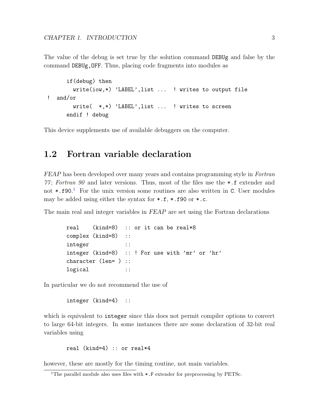The value of the debug is set true by the solution command DEBUg and false by the command DEBUg,OFF. Thus, placing code fragments into modules as

```
if(debug) then
       write(iow,*) 'LABEL',list ... ! writes to output file
! and/or
       write( *,*) 'LABEL',list ... ! writes to screen
     endif ! debug
```
This device supplements use of available debuggers on the computer.

### <span id="page-9-0"></span>1.2 Fortran variable declaration

FEAP has been developed over many years and contains programming style in Fortran 77 ; Fortran 90 and later versions. Thus, most of the files use the \*.f extender and not \*.f90. [1](#page-9-1) For the unix version some routines are also written in C. User modules may be added using either the syntax for \*.f, \*.f90 or \*.c.

The main real and integer variables in FEAP are set using the Fortran declarations

```
real (kind=8) :: or it can be real*8
complex (kind=8) ::
integer ::
integer (kind=8) :: ! For use with 'mr' or 'hr'
character (len= ) ::
logical ::
```
In particular we do not recommend the use of

```
integer (kind=4) ::
```
which is equivalent to integer since this does not permit compiler options to convert to large 64-bit integers. In some instances there are some declaration of 32-bit real variables using

real (kind=4) :: or real\*4

however, these are mostly for the timing routine, not main variables.

<span id="page-9-1"></span><sup>&</sup>lt;sup>1</sup>The parallel module also uses files with  $\ast$ . F extender for preprocessing by PETSc.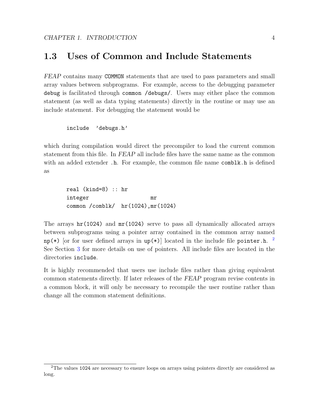### <span id="page-10-0"></span>1.3 Uses of Common and Include Statements

FEAP contains many COMMON statements that are used to pass parameters and small array values between subprograms. For example, access to the debugging parameter debug is facilitated through common /debugs/. Users may either place the common statement (as well as data typing statements) directly in the routine or may use an include statement. For debugging the statement would be

```
include 'debugs.h'
```
which during compilation would direct the precompiler to load the current common statement from this file. In FEAP all include files have the same name as the common with an added extender .h. For example, the common file name comble  $\lambda$  h is defined as

real (kind=8) :: hr integer mr common /comblk/ hr(1024),mr(1024)

The arrays  $\text{hr}(1024)$  and  $\text{mr}(1024)$  serve to pass all dynamically allocated arrays between subprograms using a pointer array contained in the common array named  $np(*)$  [or for user defined arrays in  $up(*)$ ] located in the include file pointer.h.  $^{2}$  $^{2}$  $^{2}$ See Section [3](#page-15-0) for more details on use of pointers. All include files are located in the directories include.

It is highly recommended that users use include files rather than giving equivalent common statements directly. If later releases of the FEAP program revise contents in a common block, it will only be necessary to recompile the user routine rather than change all the common statement definitions.

<span id="page-10-1"></span><sup>2</sup>The values 1024 are necessary to ensure loops on arrays using pointers directly are considered as long.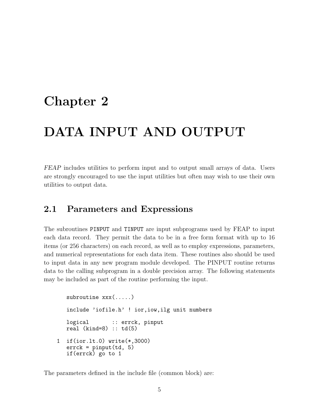## <span id="page-11-0"></span>Chapter 2

## DATA INPUT AND OUTPUT

FEAP includes utilities to perform input and to output small arrays of data. Users are strongly encouraged to use the input utilities but often may wish to use their own utilities to output data.

### <span id="page-11-1"></span>2.1 Parameters and Expressions

The subroutines PINPUT and TINPUT are input subprograms used by FEAP to input each data record. They permit the data to be in a free form format with up to 16 items (or 256 characters) on each record, as well as to employ expressions, parameters, and numerical representations for each data item. These routines also should be used to input data in any new program module developed. The PINPUT routine returns data to the calling subprogram in a double precision array. The following statements may be included as part of the routine performing the input.

```
subroutine xxx(.....)
  include 'iofile.h' ! ior,iow,ilg unit numbers
  logical :: errck, pinput
  real (kind=8) :: td(5)1 if(ior.lt.0) write(*,3000)
  erck = pinput(td, 5)if(errck) go to 1
```
The parameters defined in the include file (common block) are: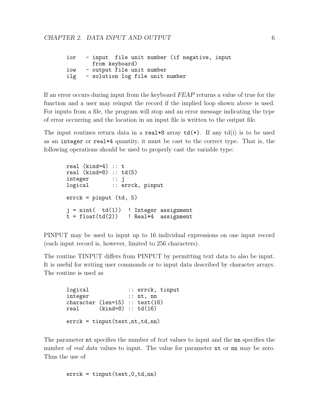| ior |                                 |  |  | - input file unit number (if negative, input |  |
|-----|---------------------------------|--|--|----------------------------------------------|--|
|     | from keyboard)                  |  |  |                                              |  |
| iow | - output file unit number       |  |  |                                              |  |
| ilg | - solution log file unit number |  |  |                                              |  |

If an error occurs during input from the keyboard FEAP returns a value of true for the function and a user may reinput the record if the implied loop shown above is used. For inputs from a file, the program will stop and an error message indicating the type of error occurring and the location in an input file is written to the output file.

The input routines return data in a real  $*8$  array  $td(*)$ . If any  $td(i)$  is to be used as an integer or real\*4 quantity, it must be cast to the correct type. That is, the following operations should be used to properly cast the variable type:

```
real (kind=4) :: t
real (kind=8) :: td(5)integer :: j
logical :: errck, pinput
errck = pinput (td, 5)
j = nint(td(1)) ! Integer assignment<br>t = float(td(2)) ! Real*4 assignment
                      ! Real*4 assignment
```
PINPUT may be used to input up to 16 individual expressions on one input record (each input record is, however, limited to 256 characters).

The routine TINPUT differs from PINPUT by permitting text data to also be input. It is useful for writing user commands or to input data described by character arrays. The routine is used as

```
logical :: errck, tinput
integer :: nt, nn
character (len=15) :: text(16)<br>real (kind=8) :: td(16)
     (kind=8) :: td(16)erack = tinput(text, nt, td, nn)
```
The parameter nt specifies the number of text values to input and the non specifies the number of *real data* values to input. The value for parameter **nt** or **nn** may be zero. Thus the use of

errck = tinput(text,0,td,nn)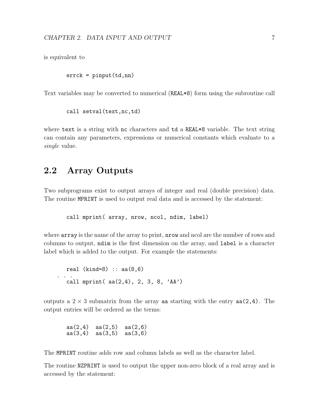is equivalent to

 $errck = pinput(td,nn)$ 

Text variables may be converted to numerical (REAL\*8) form using the subroutine call

call setval(text,nc,td)

where text is a string with nc characters and td a REAL\*8 variable. The text string can contain any parameters, expressions or numerical constants which evaluate to a single value.

### <span id="page-13-0"></span>2.2 Array Outputs

Two subprograms exist to output arrays of integer and real (double precision) data. The routine MPRINT is used to output real data and is accessed by the statement:

call mprint( array, nrow, ncol, ndim, label)

where array is the name of the array to print, nrow and ncol are the number of rows and columns to output, ndim is the first dimension on the array, and label is a character label which is added to the output. For example the statements:

real (kind=8) ::  $aa(8,6)$ . . . call mprint( aa(2,4), 2, 3, 8, 'AA')

outputs a  $2 \times 3$  submatrix from the array aa starting with the entry aa(2,4). The output entries will be ordered as the terms:

aa(2,4) aa(2,5) aa(2,6) aa(3,4) aa(3,5) aa(3,6)

The MPRINT routine adds row and column labels as well as the character label.

The routine NZPRINT is used to output the upper non-zero block of a real array and is accessed by the statement: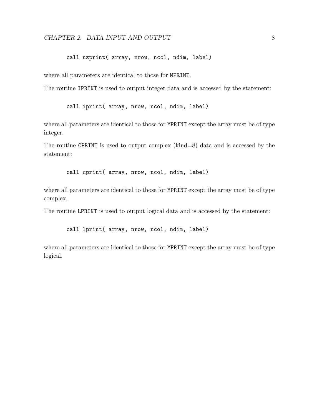#### CHAPTER 2. DATA INPUT AND OUTPUT 8

call nzprint( array, nrow, ncol, ndim, label)

where all parameters are identical to those for MPRINT.

The routine IPRINT is used to output integer data and is accessed by the statement:

call iprint( array, nrow, ncol, ndim, label)

where all parameters are identical to those for MPRINT except the array must be of type integer.

The routine CPRINT is used to output complex (kind=8) data and is accessed by the statement:

call cprint( array, nrow, ncol, ndim, label)

where all parameters are identical to those for MPRINT except the array must be of type complex.

The routine LPRINT is used to output logical data and is accessed by the statement:

call lprint( array, nrow, ncol, ndim, label)

where all parameters are identical to those for MPRINT except the array must be of type logical.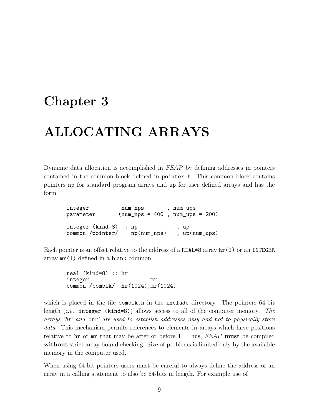## <span id="page-15-0"></span>Chapter 3

## ALLOCATING ARRAYS

Dynamic data allocation is accomplished in FEAP by defining addresses in pointers contained in the common block defined in pointer.h. This common block contains pointers np for standard program arrays and up for user defined arrays and has the form

integer num\_nps , num\_ups parameter (num\_nps = 400 , num\_ups = 200) integer (kind=8) :: np , up common /pointer/ np(num\_nps) , up(num\_ups)

Each pointer is an offset relative to the address of a REAL\*8 array hr(1) or an INTEGER array mr(1) defined in a blank common

real (kind=8) :: hr integer mr common /comblk/ hr(1024),mr(1024)

which is placed in the file comblest.h in the include directory. The pointers 64-bit length (*i.e.*, integer (kind=8)) allows access to all of the computer memory. The arrays 'hr' and 'mr' are used to establish addresses only and not to physically store data. This mechanism permits references to elements in arrays which have positions relative to hx or mx that may be after or before 1. Thus, FEAP must be compiled without strict array bound checking. Size of problems is limited only by the available memory in the computer used.

When using 64-bit pointers users must be careful to always define the address of an array in a calling statement to also be 64-bits in length. For example use of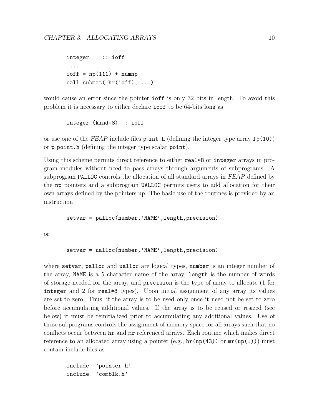```
integer :: ioff
 ...
ioff = np(111) + numnpcall submat( hr(ioff), ...)
```
would cause an error since the pointer **ioff** is only 32 bits in length. To avoid this problem it is necessary to either declare ioff to be 64-bits long as

integer (kind=8) :: ioff

or use one of the FEAP include files  $p_{\text{int}}$ .h (defining the integer type array  $fp(10)$ ) or p point.h (defining the integer type scalar point).

Using this scheme permits direct reference to either real\*8 or integer arrays in program modules without need to pass arrays through arguments of subprograms. A subprogram PALLOC controls the allocation of all standard arrays in FEAP defined by the np pointers and a subprogram UALLOC permits users to add allocation for their own arrays defined by the pointers up. The basic use of the routines is provided by an instruction

setvar = palloc(number,'NAME',length,precision)

or

setvar = ualloc(number,'NAME',length,precision)

where setvar, palloc and ualloc are logical types, number is an integer number of the array, NAME is a 5 character name of the array, length is the number of words of storage needed for the array, and precision is the type of array to allocate (1 for integer and 2 for real\*8 types). Upon initial assignment of any array its values are set to zero. Thus, if the array is to be used only once it need not be set to zero before accumulating additional values. If the array is to be reused or resized (see below) it must be reinitialized prior to accumulating any additional values. Use of these subprograms controls the assignment of memory space for all arrays such that no conflicts occur between hr and mr referenced arrays. Each routine which makes direct reference to an allocated array using a pointer (e.g.,  $hr(np(43))$  or  $mr(np(1))$ ) must contain include files as

include 'pointer.h' include 'comblk.h'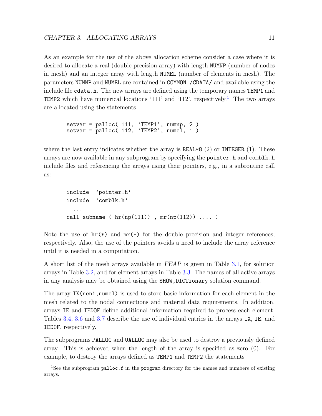As an example for the use of the above allocation scheme consider a case where it is desired to allocate a real (double precision array) with length NUMNP (number of nodes in mesh) and an integer array with length NUMEL (number of elements in mesh). The parameters NUMNP and NUMEL are contained in COMMON /CDATA/ and available using the include file cdata.h. The new arrays are defined using the temporary names TEMP1 and **TEMP2** which have numerical locations '[1](#page-17-0)11' and '112', respectively.<sup>1</sup> The two arrays are allocated using the statements

```
setvar = palloc(111, 'TEMP1', numnp, 2)\text{setvar} = \text{palloc}(112, \text{ 'TEMP2', numel, 1'})
```
where the last entry indicates whether the array is  $REAL*8$  (2) or INTEGER (1). These arrays are now available in any subprogram by specifying the pointer.h and comblk.h include files and referencing the arrays using their pointers, e.g., in a subroutine call as:

```
include 'pointer.h'
include 'comblk.h'
  ...
call subname ( hr(np(111)) , mr(np(112)) .... )
```
Note the use of  $hr(*)$  and  $mr(*)$  for the double precision and integer references, respectively. Also, the use of the pointers avoids a need to include the array reference until it is needed in a computation.

A short list of the mesh arrays available in FEAP is given in Table [3.1,](#page-18-0) for solution arrays in Table [3.2,](#page-18-1) and for element arrays in Table [3.3.](#page-18-2) The names of all active arrays in any analysis may be obtained using the SHOW,DICTionary solution command.

The array IX(nen1,numel) is used to store basic information for each element in the mesh related to the nodal connections and material data requirements. In addition, arrays IE and IEDOF define additional information required to process each element. Tables [3.4,](#page-19-0) [3.6](#page-20-0) and [3.7](#page-20-1) describe the use of individual entries in the arrays IX, IE, and IEDOF, respectively.

The subprograms PALLOC and UALLOC may also be used to destroy a previously defined array. This is achieved when the length of the array is specified as zero (0). For example, to destroy the arrays defined as TEMP1 and TEMP2 the statements

<span id="page-17-0"></span><sup>&</sup>lt;sup>1</sup>See the subprogram palloc.f in the program directory for the names and numbers of existing arrays.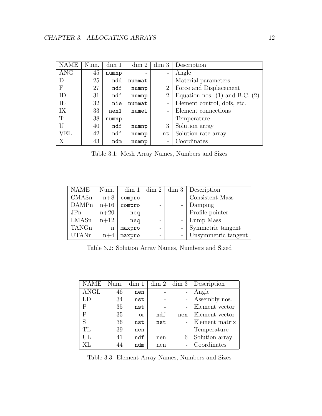| <b>NAME</b> | Num. | dim 1 | dim 2  | dim 3                        | Description                        |
|-------------|------|-------|--------|------------------------------|------------------------------------|
| <b>ANG</b>  | 45   | numnp |        | $\overline{\phantom{0}}$     | Angle                              |
| D           | 25   | ndd   | nummat | $\overline{a}$               | Material parameters                |
| F           | 27   | ndf   | numnp  | $\overline{2}$               | Force and Displacement             |
| ID          | 31   | ndf   | numnp  | $\overline{2}$               | Equation nos. $(1)$ and B.C. $(2)$ |
| IE          | 32   | nie   | nummat | -                            | Element control, dofs, etc.        |
| IX          | 33   | nen1  | numel  | $\overline{a}$               | Element connections                |
| T           | 38   | numnp |        | $\qquad \qquad \blacksquare$ | Temperature                        |
| U           | 40   | ndf   | numnp  | 3                            | Solution array                     |
| VEL         | 42   | ndf   | numnp  | nt                           | Solution rate array                |
| Χ           | 43   | ndm   | numnp  | $\overline{a}$               | Coordinates                        |

<span id="page-18-0"></span>Table 3.1: Mesh Array Names, Numbers and Sizes

| <b>NAME</b>  | Num.   | dim 1  | dim 2 | dim 3 | Description         |
|--------------|--------|--------|-------|-------|---------------------|
| CMASn        | $n+8$  | compro |       |       | Consistent Mass     |
| <b>DAMPn</b> | $n+16$ | compro |       |       | Damping             |
| JPn          | $n+20$ | neq    |       |       | Profile pointer     |
| LMASn        | $n+12$ | neq    |       |       | Lump Mass           |
| TANGn        | n      | maxpro |       |       | Symmetric tangent   |
| <b>UTANn</b> | $n+4$  | maxpro |       |       | Unsymmetric tangent |

<span id="page-18-1"></span>Table 3.2: Solution Array Names, Numbers and Sized

| <b>NAME</b> | Num. | dim 1    | dim 2 | dim 3 | Description    |
|-------------|------|----------|-------|-------|----------------|
| <b>ANGL</b> | 46   | nen      |       |       | Angle          |
| LD          | 34   | nst      |       |       | Assembly nos.  |
| Р           | 35   | nst      |       |       | Element vector |
| Ρ           | 35   | $\alpha$ | ndf   | nen   | Element vector |
| S           | 36   | nst      | nst   |       | Element matrix |
| TL          | 39   | nen      |       |       | Temperature    |
| UL          | 41   | ndf      | nen   | 6     | Solution array |
| XL          | 44   | ndm      | nen   |       | Coordinates    |

<span id="page-18-2"></span>Table 3.3: Element Array Names, Numbers and Sizes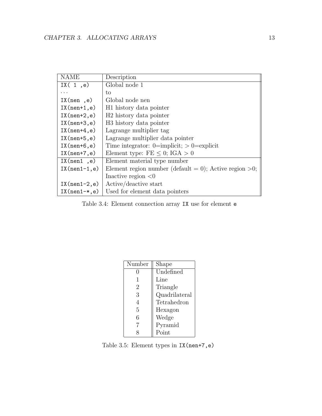| <b>NAME</b>     | Description                                               |
|-----------------|-----------------------------------------------------------|
| IX $(1, e)$     | Global node 1                                             |
| .               | to                                                        |
| IX(new, e)      | Global node nen                                           |
| $IX(nen+1,e)$   | H <sub>1</sub> history data pointer                       |
| $IX(nen+2,e)$   | H <sub>2</sub> history data pointer                       |
| $IX(nen+3,e)$   | H <sub>3</sub> history data pointer                       |
| $IX(nen+4,e)$   | Lagrange multiplier tag                                   |
| $IX(nen+5,e)$   | Lagrange multiplier data pointer                          |
| $IX(nen+6,e)$   | Time integrator: $0=$ implicit; $> 0=$ explicit           |
| $IX(nen+7,e)$   | Element type: $FE \le 0$ ; IGA $> 0$                      |
| IX(nen1, e)     | Element material type number                              |
| $IX(nen1-1,e)$  | Element region number (default = 0); Active region $>0$ ; |
|                 | Inactive region $\langle 0 \rangle$                       |
| $IX(nen1-2,e)$  | Active/deactive start                                     |
| $IX(nen1-*, e)$ | Used for element data pointers                            |

<span id="page-19-0"></span>Table 3.4: Element connection array IX use for element e

| Number | Shape         |
|--------|---------------|
| 0      | Undefined     |
| 1      | Line          |
| 2      | Triangle      |
| 3      | Quadrilateral |
| 4      | Tetrahedron   |
| 5      | Hexagon       |
| 6      | Wedge         |
| 7      | Pyramid       |
|        | Point         |

<span id="page-19-1"></span>Table 3.5: Element types in IX(nen+7,e)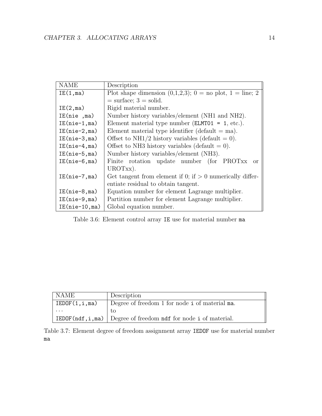| <b>NAME</b>     | Description                                                     |  |  |
|-----------------|-----------------------------------------------------------------|--|--|
| IE(1, ma)       | Plot shape dimension $(0,1,2,3)$ ; $0 =$ no plot, $1 =$ line; 2 |  |  |
|                 | $=$ surface; $3 =$ solid.                                       |  |  |
| IE(2, ma)       | Rigid material number.                                          |  |  |
| IE(nie ,ma)     | Number history variables/element (NH1 and NH2).                 |  |  |
| $IE(nie-1, ma)$ | Element material type number ( $ELMTO1 = 1$ , etc.).            |  |  |
| $IE(nie-2,ma)$  | Element material type identifier (default $=$ ma).              |  |  |
| $IE(nie-3,ma)$  | Offset to NH1/2 history variables (default = 0).                |  |  |
| $IE(nie-4,ma)$  | Offset to NH3 history variables (default $= 0$ ).               |  |  |
| $IE(nie-5,ma)$  | Number history variables/element (NH3).                         |  |  |
| $IE(nie-6,ma)$  | Finite rotation update number (for PROTxx<br>$\alpha$           |  |  |
|                 | UROTxx).                                                        |  |  |
| $IE(nie-7,ma)$  | Get tangent from element if 0; if $> 0$ numerically differ-     |  |  |
|                 | entiate residual to obtain tangent.                             |  |  |
| $IE(nie-8,ma)$  | Equation number for element Lagrange multiplier.                |  |  |
| $IE(nie-9,ma)$  | Partition number for element Lagrange multiplier.               |  |  |
| $IE(nie-10,ma)$ | Global equation number.                                         |  |  |

<span id="page-20-0"></span>Table 3.6: Element control array IE use for material number ma

| NAME          | Description                                                                   |
|---------------|-------------------------------------------------------------------------------|
| IEDOF(1,i,ma) | Degree of freedom 1 for node i of material ma.                                |
| $\cdots$      |                                                                               |
|               | <b>IEDOF</b> ( $ndf, i, ma$ ) Degree of freedom $ndf$ for node i of material. |

<span id="page-20-1"></span>Table 3.7: Element degree of freedom assignment array IEDOF use for material number ma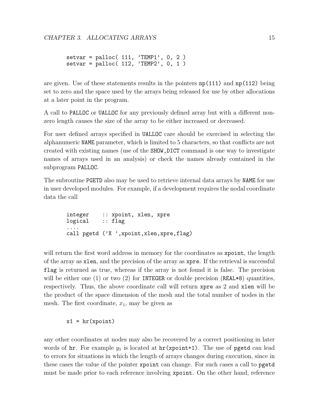```
setvar = palloc( 111, 'TEMP1', 0, 2 )
setvar = palloc( 112, 'TEMP2', 0, 1 )
```
are given. Use of these statements results in the pointers  $np(111)$  and  $np(112)$  being set to zero and the space used by the arrays being released for use by other allocations at a later point in the program.

A call to PALLOC or UALLOC for any previously defined array but with a different nonzero length causes the size of the array to be either increased or decreased.

For user defined arrays specified in UALLOC care should be exercised in selecting the alphanumeric NAME parameter, which is limited to 5 characters, so that conflicts are not created with existing names (use of the SHOW,DICT command is one way to investigate names of arrays used in an analysis) or check the names already contained in the subprogram PALLOC.

The subroutine PGETD also may be used to retrieve internal data arrays by NAME for use in user developed modules. For example, if a development requires the nodal coordinate data the call

integer :: xpoint, xlen, xpre logical :: flag .... call pgetd ('X ', xpoint, xlen, xpre, flag)

will return the first word address in memory for the coordinates as xpoint, the length of the array as xlen, and the precision of the array as xpre. If the retrieval is successful flag is returned as true, whereas if the array is not found it is false. The precision will be either one (1) or two (2) for INTEGER or double precision (REAL $*8$ ) quantities, respectively. Thus, the above coordinate call will return xpre as 2 and xlen will be the product of the space dimension of the mesh and the total number of nodes in the mesh. The first coordinate,  $x_1$ , may be given as

#### $x1 = hr(xpoint)$

any other coordinates at nodes may also be recovered by a correct positioning in later words of hr. For example  $y_1$  is located at hr(xpoint+1). The use of pgetd can lead to errors for situations in which the length of arrays changes during execution, since in these cases the value of the pointer xpoint can change. For such cases a call to pgetd must be made prior to each reference involving xpoint. On the other hand, reference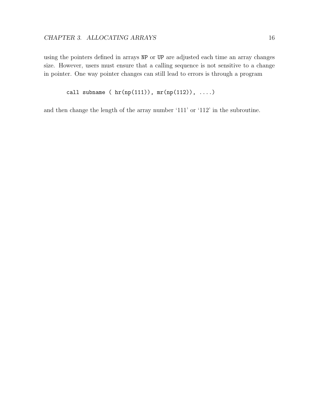using the pointers defined in arrays NP or UP are adjusted each time an array changes size. However, users must ensure that a calling sequence is not sensitive to a change in pointer. One way pointer changes can still lead to errors is through a program

```
call subname (hr(np(111)), mr(np(112)), ....)
```
and then change the length of the array number '111' or '112' in the subroutine.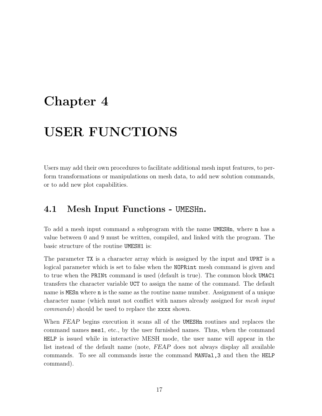## <span id="page-23-0"></span>Chapter 4

## USER FUNCTIONS

Users may add their own procedures to facilitate additional mesh input features, to perform transformations or manipulations on mesh data, to add new solution commands, or to add new plot capabilities.

### <span id="page-23-1"></span>4.1 Mesh Input Functions - UMESHn.

To add a mesh input command a subprogram with the name UMESHn, where n has a value between 0 and 9 must be written, compiled, and linked with the program. The basic structure of the routine UMESH1 is:

The parameter TX is a character array which is assigned by the input and UPRT is a logical parameter which is set to false when the NOPRint mesh command is given and to true when the PRINt command is used (default is true). The common block UMAC1 transfers the character variable UCT to assign the name of the command. The default name is MESn where n is the same as the routine name number. Assignment of a unique character name (which must not conflict with names already assigned for mesh input commands) should be used to replace the xxxx shown.

When FEAP begins execution it scans all of the UMESH<sub>n</sub> routines and replaces the command names mes1, etc., by the user furnished names. Thus, when the command HELP is issued while in interactive MESH mode, the user name will appear in the list instead of the default name (note, FEAP does not always display all available commands. To see all commands issue the command MANUal,3 and then the HELP command).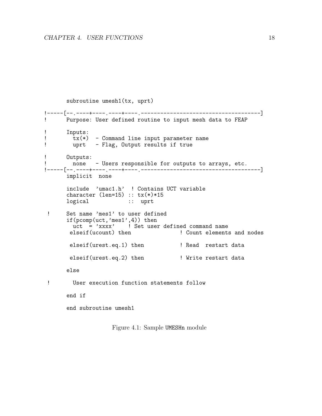```
subroutine umesh1(tx, uprt)
!-----[--.----+----.----+----.-------------------------------------]
      Purpose: User defined routine to input mesh data to FEAP
! Inputs:
tx(*) - Command line input parameter name<br>
l uprt - Flag, Output results if true
        uprt - Flag, Output results if true
! Outputs:
! none - Users responsible for outputs to arrays, etc.
!-----[--.----+----.----+----.-------------------------------------]
       implicit none
       include 'umac1.h' ! Contains UCT variable
       character (len=15) :: tx(*)*15
      logical :: uprt
 ! Set name 'mes1' to user defined
       if(pcomp(uct,'mes1',4)) then
       uct = 'xxxx' ! Set user defined command name<br>elseif(ucount) then ' ! Count elements
                                        ! Count elements and nodes
        elseif(urest.eq.1) then ! Read restart data
        elseif(urest.eq.2) then ! Write restart data
      else
 ! User execution function statements follow
       end if
       end subroutine umesh1
```
<span id="page-24-0"></span>Figure 4.1: Sample UMESHn module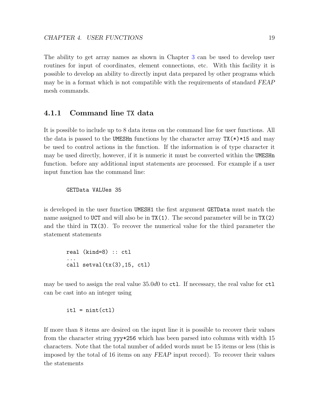The ability to get array names as shown in Chapter [3](#page-15-0) can be used to develop user routines for input of coordinates, element connections, etc. With this facility it is possible to develop an ability to directly input data prepared by other programs which may be in a format which is not compatible with the requirements of standard FEAP mesh commands.

#### <span id="page-25-0"></span>4.1.1 Command line TX data

It is possible to include up to 8 data items on the command line for user functions. All the data is passed to the UMESHn functions by the character array  $TX(*)$ \*15 and may be used to control actions in the function. If the information is of type character it may be used directly, however, if it is numeric it must be converted within the UMESHn function. before any additional input statements are processed. For example if a user input function has the command line:

#### GETData VALUes 35

is developed in the user function UMESH1 the first argument GETData must match the name assigned to UCT and will also be in  $TX(1)$ . The second parameter will be in  $TX(2)$ and the third in TX(3). To recover the numerical value for the third parameter the statement statements

real (kind=8) :: ctl ... call setval(tx(3),15, ctl)

may be used to assign the real value  $35.0d0$  to ctl. If necessary, the real value for ctl can be cast into an integer using

 $it1 = nint(ct1)$ 

If more than 8 items are desired on the input line it is possible to recover their values from the character string yyy\*256 which has been parsed into columns with width 15 characters. Note that the total number of added words must be 15 items or less (this is imposed by the total of 16 items on any FEAP input record). To recover their values the statements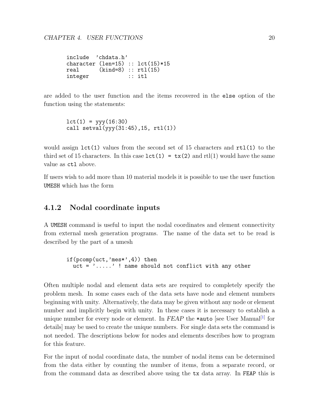include 'chdata.h' character (len=15) ::  $lct(15)*15$ <br>real (kind=8) ::  $rt1(15)$  $(kind=8) :: rt1(15)$ integer :: itl

are added to the user function and the items recovered in the else option of the function using the statements:

 $lct(1) = yyy(16:30)$ call setval(yyy(31:45),15, rtl(1))

would assign  $lct(1)$  values from the second set of 15 characters and  $rtl(1)$  to the third set of 15 characters. In this case  $lct(1) = tx(2)$  and rtl(1) would have the same value as ctl above.

If users wish to add more than 10 material models it is possible to use the user function UMESH which has the form

#### <span id="page-26-0"></span>4.1.2 Nodal coordinate inputs

A UMESH command is useful to input the nodal coordinates and element connectivity from external mesh generation programs. The name of the data set to be read is described by the part of a umesh

if(pcomp(uct,'mes\*',4)) then uct = '.....' ! name should not conflict with any other

Often multiple nodal and element data sets are required to completely specify the problem mesh. In some cases each of the data sets have node and element numbers beginning with unity. Alternatively, the data may be given without any node or element number and implicitly begin with unity. In these cases it is necessary to establish a unique number for every node or element. In  $FEAP$  the  $\ast$ auto [see User Manual<sup>[\[1\]](#page-127-0)</sup> for details] may be used to create the unique numbers. For single data sets the command is not needed. The descriptions below for nodes and elements describes how to program for this feature.

For the input of nodal coordinate data, the number of nodal items can be determined from the data either by counting the number of items, from a separate record, or from the command data as described above using the tx data array. In FEAP this is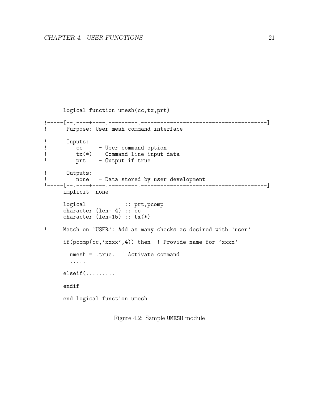```
logical function umesh(cc,tx,prt)
!-----[--.----+----.----+----.---------------------------------------]
! Purpose: User mesh command interface
! Inputs:<br>! CC
! cc - User command option<br>! tx(*) - Command line input o
! tx(*) - Command line input data
         prt - Output if true
! Outputs:
         none - Data stored by user development
!-----[--.----+----.----+----.---------------------------------------]
     implicit none
     logical :: prt,pcomp
     character (len= 4) :: cc
     character (len=15) :: tx(*)! Match on 'USER': Add as many checks as desired with 'user'
     if(pcomp(cc,'xxxx',4)) then ! Provide name for 'xxxx'
       umesh = .true. ! Activate command
       .....
     elseif(.........
     endif
     end logical function umesh
```
<span id="page-27-0"></span>Figure 4.2: Sample UMESH module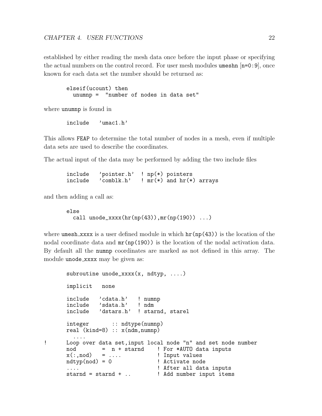established by either reading the mesh data once before the input phase or specifying the actual numbers on the control record. For user mesh modules umeshn  $[n=0:9]$ , once known for each data set the number should be returned as:

```
elseif(ucount) then
 unumnp = "number of nodes in data set"
```
where unumnp is found in

include 'umac1.h'

This allows FEAP to determine the total number of nodes in a mesh, even if multiple data sets are used to describe the coordinates.

The actual input of the data may be performed by adding the two include files

```
include 'pointer.h' ! np(*) pointers<br>include 'comblk.h' ! mr(*) and hr(*)
              'comblk.h' ! mr(*) and hr(*) arrays
```
and then adding a call as:

```
else
  call unode_xxxx(hr(np(43)),mr(np(190)) ...)
```
where umesh xxxx is a user defined module in which  $\text{hr(np(43)})$  is the location of the nodal coordinate data and  $mr(np(190))$  is the location of the nodal activation data. By default all the numnp coordinates are marked as not defined in this array. The module unode\_xxxx may be given as:

```
subroutine unode_xxxx(x, ndtyp, ....)
      implicit none
      include 'cdata.h' ! numnp
      include 'sdata.h' ! ndm
      include 'dstars.h' ! starnd, starel
      integer :: ndtype(numnp)
      real (kind=8) :: x(ndm,numnp)
        ....
! Loop over data set,input local node "n" and set node number
      nod = n + starnd ! For *AUTO data inputs x(:,nod) = ... ! Input values
                = .... \blacksquarendtyp(nod) = 0 ! Activate node
      .... 1992 I After all data inputs
      starnd = starnd + .. | Add number input items
```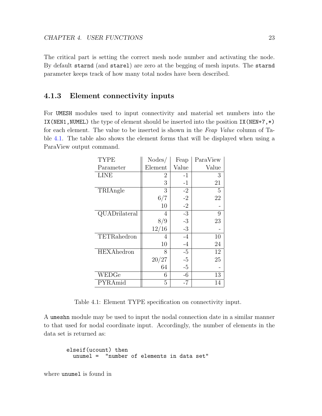The critical part is setting the correct mesh node number and activating the node. By default starnd (and starel) are zero at the begging of mesh inputs. The starnd parameter keeps track of how many total nodes have been described.

#### <span id="page-29-0"></span>4.1.3 Element connectivity inputs

For UMESH modules used to input connectivity and material set numbers into the IX(NEN1, NUMEL) the type of element should be inserted into the position IX(NEN+7, $\ast$ ) for each element. The value to be inserted is shown in the Feap Value column of Table [4.1.](#page-29-1) The table also shows the element forms that will be displayed when using a ParaView output command.

| <b>TYPE</b>       | Nodes/  | Feap        | ParaView |
|-------------------|---------|-------------|----------|
| Parameter         | Element | Value       | Value    |
| <b>LINE</b>       | 2       | $-1$        | 3        |
|                   | 3       | $-1$        | 21       |
| TRIAngle          | 3       | $-2$        | 5        |
|                   | 6/7     | $-2$        | 22       |
|                   | 10      | $-2$        |          |
| QUADrilateral     | 4       | $-3$        | 9        |
|                   | 8/9     | $\text{-}3$ | 23       |
|                   | 12/16   | $\text{-}3$ |          |
| TETRahedron       | 4       | $-4$        | 10       |
|                   | 10      | $-4$        | 24       |
| <b>HEXAhedron</b> | 8       | $-5$        | 12       |
|                   | 20/27   | $-5$        | 25       |
|                   | 64      | $-5$        |          |
| WEDGe             | 6       | -6          | 13       |
| PYRAmid           | 5       | $-7$        | 14       |

<span id="page-29-1"></span>Table 4.1: Element TYPE specification on connectivity input.

A umeshn module may be used to input the nodal connection date in a similar manner to that used for nodal coordinate input. Accordingly, the number of elements in the data set is returned as:

```
elseif(ucount) then
 unumel = "number of elements in data set"
```
where unumel is found in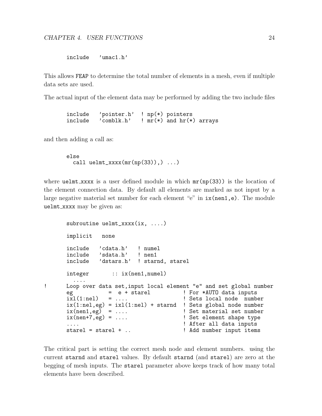include 'umac1.h'

This allows FEAP to determine the total number of elements in a mesh, even if multiple data sets are used.

The actual input of the element data may be performed by adding the two include files

include 'pointer.h' ! np(\*) pointers<br>include 'comblk.h' ! mr(\*) and hr(\*)  $'comblk.h'$  ! mr(\*) and  $hr(*)$  arrays

and then adding a call as:

```
else
  call uelmt_xxxx(mr(np(33)),), \ldots)
```
where  $\texttt{uelmt\_xxxx}$  is a user defined module in which  $\texttt{mr(np(33)})$  is the location of the element connection data. By default all elements are marked as not input by a large negative material set number for each element "e" in  $ix(nen1,e)$ . The module uelmt xxxx may be given as:

```
subroutine uelmt_xxxx(ix, ....)
      implicit none
      include 'cdata.h' ! numel
      include 'sdata.h' ! nen1
      include 'dstars.h' ! starnd, starel
      integer :: ix(nen1,numel)
         ....
! Loop over data set,input local element "e" and set global number
      eg = e + starel ixl(1:nel) = ...<br>ixl(1:nel) = ...
                                          ! Sets local node number
      ix(1:nel,eg) = ix1(1:nel) + starnd ! Sets global node number ix(nen1,eg) = ... ! Set material set number
      ix(nen1,eg) = .... ! Set material set number
                                         ! Set element shape type
      ....<br>starel = starel + .. <br> 1 Add number input items
                                           ! Add number input items
```
The critical part is setting the correct mesh node and element numbers. using the current starnd and starel values. By default starnd (and starel) are zero at the begging of mesh inputs. The starel parameter above keeps track of how many total elements have been described.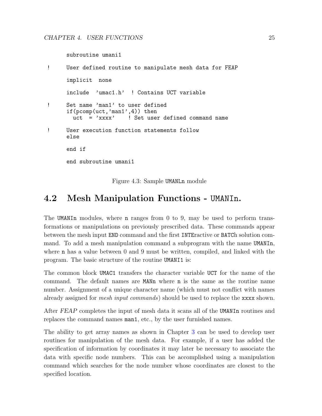subroutine umani1

```
! User defined routine to manipulate mesh data for FEAP
     implicit none
     include 'umac1.h' ! Contains UCT variable
! Set name 'man1' to user defined
     if(pcomp(uct,'man1',4)) then
       uct = 'xxxx' ! Set user defined command name
! User execution function statements follow
     else
     end if
     end subroutine umani1
```
<span id="page-31-1"></span>Figure 4.3: Sample UMANLn module

### <span id="page-31-0"></span>4.2 Mesh Manipulation Functions - UMANIn.

The UMANIn modules, where n ranges from 0 to 9, may be used to perform transformations or manipulations on previously prescribed data. These commands appear between the mesh input END command and the first INTEractive or BATCh solution command. To add a mesh manipulation command a subprogram with the name UMANIn, where n has a value between 0 and 9 must be written, compiled, and linked with the program. The basic structure of the routine UMANI1 is:

The common block UMAC1 transfers the character variable UCT for the name of the command. The default names are MANn where n is the same as the routine name number. Assignment of a unique character name (which must not conflict with names already assigned for *mesh input commands*) should be used to replace the **xxxx** shown.

After FEAP completes the input of mesh data it scans all of the UMANIn routines and replaces the command names man1, etc., by the user furnished names.

The ability to get array names as shown in Chapter [3](#page-15-0) can be used to develop user routines for manipulation of the mesh data. For example, if a user has added the specification of information by coordinates it may later be necessary to associate the data with specific node numbers. This can be accomplished using a manipulation command which searches for the node number whose coordinates are closest to the specified location.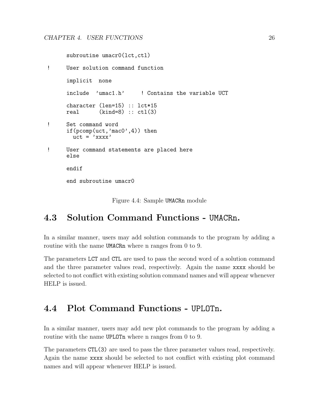subroutine umacr0(lct,ctl)

```
! User solution command function
     implicit none
     include 'umac1.h' ! Contains the variable UCT
     character (len=15) :: lct*15
     real (kind=8) :: ct1(3)! Set command word
     if(pcomp(uct,'mac0',4)) then
       uct = 'xxxx'! User command statements are placed here
     else
     endif
     end subroutine umacr0
```
<span id="page-32-2"></span>Figure 4.4: Sample UMACRn module

### <span id="page-32-0"></span>4.3 Solution Command Functions - UMACRn.

In a similar manner, users may add solution commands to the program by adding a routine with the name UMACRn where n ranges from 0 to 9.

The parameters LCT and CTL are used to pass the second word of a solution command and the three parameter values read, respectively. Again the name xxxx should be selected to not conflict with existing solution command names and will appear whenever HELP is issued.

### <span id="page-32-1"></span>4.4 Plot Command Functions - UPLOTn.

In a similar manner, users may add new plot commands to the program by adding a routine with the name UPLOT<sub>n</sub> where n ranges from 0 to 9.

The parameters CTL(3) are used to pass the three parameter values read, respectively. Again the name xxxx should be selected to not conflict with existing plot command names and will appear whenever HELP is issued.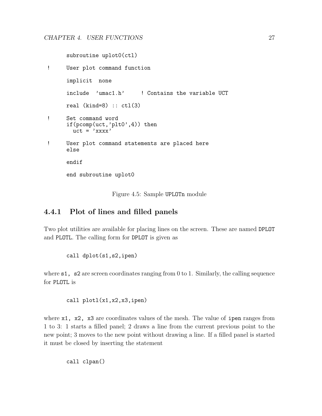subroutine uplot0(ctl) ! User plot command function implicit none include 'umac1.h' ! Contains the variable UCT real  $(kind=8)$  ::  $ctl(3)$ ! Set command word if(pcomp(uct,'plt0',4)) then  $uct = 'xxxx'$ ! User plot command statements are placed here else

end subroutine uplot0

endif

<span id="page-33-1"></span>Figure 4.5: Sample UPLOTn module

### <span id="page-33-0"></span>4.4.1 Plot of lines and filled panels

Two plot utilities are available for placing lines on the screen. These are named DPLOT and PLOTL. The calling form for DPLOT is given as

call dplot(s1,s2,ipen)

where **s1**, **s2** are screen coordinates ranging from 0 to 1. Similarly, the calling sequence for PLOTL is

call plotl(x1,x2,x3,ipen)

where  $x1$ ,  $x2$ ,  $x3$  are coordinates values of the mesh. The value of ipen ranges from 1 to 3: 1 starts a filled panel; 2 draws a line from the current previous point to the new point; 3 moves to the new point without drawing a line. If a filled panel is started it must be closed by inserting the statement

call clpan()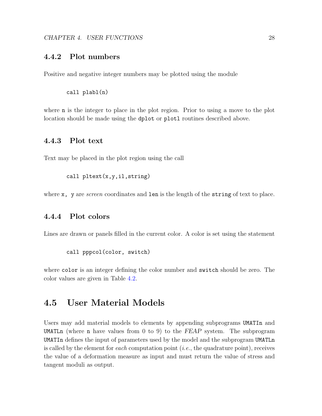#### <span id="page-34-0"></span>4.4.2 Plot numbers

Positive and negative integer numbers may be plotted using the module

call plabl(n)

where n is the integer to place in the plot region. Prior to using a move to the plot location should be made using the dplot or plotl routines described above.

#### <span id="page-34-1"></span>4.4.3 Plot text

Text may be placed in the plot region using the call

call pltext(x,y,il,string)

where  $x$ , y are *screen* coordinates and len is the length of the string of text to place.

#### <span id="page-34-2"></span>4.4.4 Plot colors

Lines are drawn or panels filled in the current color. A color is set using the statement

```
call pppcol(color, switch)
```
where color is an integer defining the color number and switch should be zero. The color values are given in Table [4.2.](#page-35-0)

### <span id="page-34-3"></span>4.5 User Material Models

Users may add material models to elements by appending subprograms UMATIn and UMATLn (where n have values from 0 to 9) to the  $FEAP$  system. The subprogram UMATIn defines the input of parameters used by the model and the subprogram UMATLn is called by the element for each computation point  $(i.e.,$  the quadrature point), receives the value of a deformation measure as input and must return the value of stress and tangent moduli as output.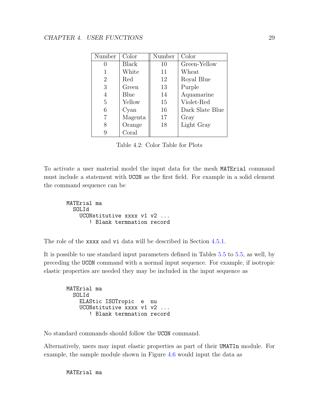| Number         | Color        | Number | Color           |
|----------------|--------------|--------|-----------------|
|                | <b>Black</b> | 10     | Green-Yellow    |
|                | White        | 11     | Wheat           |
| $\overline{2}$ | Red          | 12     | Royal Blue      |
| 3              | Green        | 13     | Purple          |
| 4              | Blue         | 14     | Aquamarine      |
| 5              | Yellow       | 15     | Violet-Red      |
| 6              | Cyan         | 16     | Dark Slate Blue |
|                | Magenta      | 17     | Gray            |
| 8              | Orange       | 18     | Light Gray      |
|                | Coral        |        |                 |

<span id="page-35-0"></span>Table 4.2: Color Table for Plots

To activate a user material model the input data for the mesh MATErial command must include a statement with UCON as the first field. For example in a solid element the command sequence can be

```
MATErial ma
  SOLId
    UCONstitutive xxxx v1 v2 ...
       ! Blank termnation record
```
The role of the xxxx and vi data will be described in Section [4.5.1.](#page-36-0)

It is possible to use standard input parameters defined in Tables [5.5](#page-61-0) to [5.5,](#page-61-0) as well, by preceding the UCON command with a normal input sequence. For example, if isotropic elastic properties are needed they may be included in the input sequence as

MATErial ma SOLId ELAStic ISOTropic e nu UCONstitutive xxxx v1 v2 ... ! Blank termnation record

No standard commands should follow the UCON command.

Alternatively, users may input elastic properties as part of their UMATIn module. For example, the sample module shown in Figure [4.6](#page-37-0) would input the data as

MATErial ma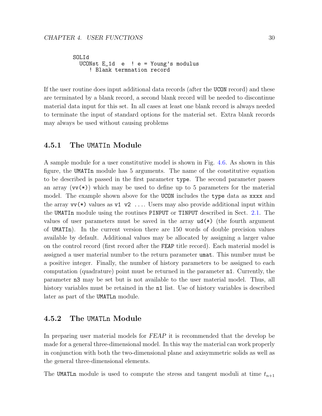SOLId UCONst E\_1d e ! e = Young's modulus ! Blank termnation record

If the user routine does input additional data records (after the UCON record) and these are terminated by a blank record, a second blank record will be needed to discontinue material data input for this set. In all cases at least one blank record is always needed to terminate the input of standard options for the material set. Extra blank records may always be used without causing problems

## 4.5.1 The UMATIn Module

A sample module for a user constitutive model is shown in Fig. [4.6.](#page-37-0) As shown in this figure, the UMATIn module has 5 arguments. The name of the constitutive equation to be described is passed in the first parameter type. The second parameter passes an array  $(vv(*))$  which may be used to define up to 5 parameters for the material model. The example shown above for the UCON includes the type data as xxxx and the array  $vv(*)$  values as  $v1 v2 \ldots$  Users may also provide additional input within the UMATIn module using the routines PINPUT or TINPUT described in Sect. [2.1.](#page-11-0) The values of user parameters must be saved in the array  $ud(*)$  (the fourth argument of UMATIn). In the current version there are 150 words of double precision values available by default. Additional values may be allocated by assigning a larger value on the control record (first record after the FEAP title record). Each material model is assigned a user material number to the return parameter umat. This number must be a positive integer. Finally, the number of history parameters to be assigned to each computation (quadrature) point must be returned in the parameter n1. Currently, the parameter n3 may be set but is not available to the user material model. Thus, all history variables must be retained in the **n1** list. Use of history variables is described later as part of the UMATLn module.

## 4.5.2 The UMATLn Module

In preparing user material models for FEAP it is recommended that the develop be made for a general three-dimensional model. In this way the material can work properly in conjunction with both the two-dimensional plane and axisymmetric solids as well as the general three-dimensional elements.

The UMATLn module is used to compute the stress and tangent moduli at time  $t_{n+1}$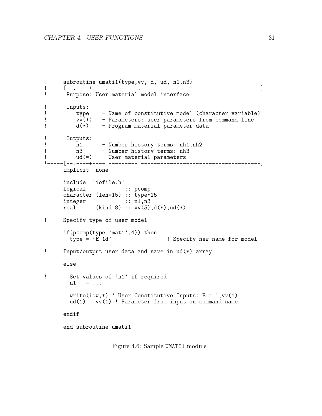```
subroutine umati1(type,vv, d, ud, n1,n3)
!-----[--.----+----.----+----.-------------------------------------]
! Purpose: User material model interface
! Inputs:<br>! type
! type - Name of constitutive model (character variable)<br>! vv(*) - Parameters: user parameters from command line
! vv(*) - Parameters: user parameters from command line
         d(*) - Program material parameter data
! Outputs:<br>! n1
! n1 - Number history terms: nh1,nh2
         n3 - Number history terms: nh3
! ud(*) - User material parameters
!-----[--.----+----.----+----.-------------------------------------]
     implicit none
     include 'iofile.h'
     logical :: pcomp
     character (len=15) :: type*15
     integer :: n1,n3
     real (kind=8) :: vv(5), d(*), ud(*)! Specify type of user model
     if(pcomp(type,'mat1',4)) then<br>type = 'E_1d'! Specify new name for model
! Input/output user data and save in ud(*) array
     else
! Set values of 'n1' if required
       n1 = ...write(iow,*) ' User Constitutive Inputs: E = ', vv(1)
       ud(1) = vv(1) ! Parameter from input on command name
     endif
     end subroutine umati1
```
<span id="page-37-0"></span>Figure 4.6: Sample UMATI1 module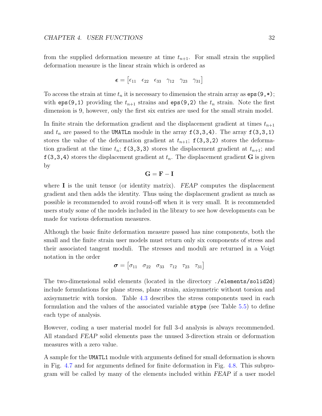from the supplied deformation measure at time  $t_{n+1}$ . For small strain the supplied deformation measure is the linear strain which is ordered as

$$
\boldsymbol{\epsilon} = \begin{bmatrix} \epsilon_{11} & \epsilon_{22} & \epsilon_{33} & \gamma_{12} & \gamma_{23} & \gamma_{31} \end{bmatrix}
$$

To access the strain at time  $t_n$  it is necessary to dimension the strain array as  $eps(9,*)$ ; with eps(9,1) providing the  $t_{n+1}$  strains and eps(9,2) the  $t_n$  strain. Note the first dimension is 9, however, only the first six entries are used for the small strain model.

In finite strain the deformation gradient and the displacement gradient at times  $t_{n+1}$ and  $t_n$  are passed to the UMATLn module in the array  $f(3,3,4)$ . The array  $f(3,3,1)$ stores the value of the deformation gradient at  $t_{n+1}$ ;  $f(3,3,2)$  stores the deformation gradient at the time  $t_n$ ;  $f(3,3,3)$  stores the displacement gradient at  $t_{n+1}$ ; and  $f(3,3,4)$  stores the displacement gradient at  $t_n$ . The displacement gradient **G** is given by

$$
\mathbf{G} = \mathbf{F} - \mathbf{I}
$$

where  $\bf{I}$  is the unit tensor (or identity matrix). FEAP computes the displacement gradient and then adds the identity. Thus using the displacement gradient as much as possible is recommended to avoid round-off when it is very small. It is recommended users study some of the models included in the library to see how developments can be made for various deformation measures.

Although the basic finite deformation measure passed has nine components, both the small and the finite strain user models must return only six components of stress and their associated tangent moduli. The stresses and moduli are returned in a Voigt notation in the order

$$
\boldsymbol{\sigma} = \begin{bmatrix} \sigma_{11} & \sigma_{22} & \sigma_{33} & \tau_{12} & \tau_{23} & \tau_{31} \end{bmatrix}
$$

The two-dimensional solid elements (located in the directory ./elements/solid2d) include formulations for plane stress, plane strain, axisymmetric without torsion and axisymmetric with torsion. Table [4.3](#page-39-0) describes the stress components used in each formulation and the values of the associated variable stype (see Table [5.5\)](#page-61-0) to define each type of analysis.

However, coding a user material model for full 3-d analysis is always recommended. All standard FEAP solid elements pass the unused 3-direction strain or deformation measures with a zero value.

A sample for the UMATL1 module with arguments defined for small deformation is shown in Fig. [4.7](#page-41-0) and for arguments defined for finite deformation in Fig. [4.8.](#page-43-0) This subprogram will be called by many of the elements included within FEAP if a user model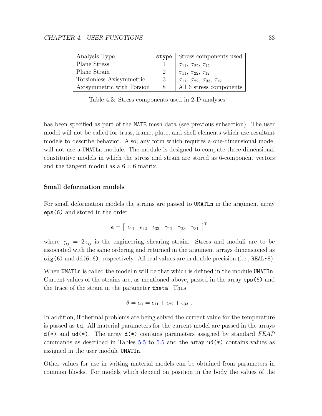| Analysis Type             | stvpe         | Stress components used                             |
|---------------------------|---------------|----------------------------------------------------|
| <b>Plane Stress</b>       |               | $\sigma_{11}, \, \sigma_{22}, \, \tau_{12}$        |
| Plane Strain              | $\mathcal{D}$ | $\sigma_{11}, \sigma_{22}, \tau_{12}$              |
| Torsionless Axisymmetric  | -3            | $\sigma_{11}, \sigma_{22}, \sigma_{33}, \tau_{12}$ |
| Axisymmetric with Torsion |               | All 6 stress components                            |

<span id="page-39-0"></span>Table 4.3: Stress components used in 2-D analyses.

has been specified as part of the MATE mesh data (see previous subsection). The user model will not be called for truss, frame, plate, and shell elements which use resultant models to describe behavior. Also, any form which requires a one-dimensional model will not use a UMATLn module. The module is designed to compute three-dimensional constitutive models in which the stress and strain are stored as 6-component vectors and the tangent moduli as a  $6 \times 6$  matrix.

#### Small deformation models

For small deformation models the strains are passed to UMATLn in the argument array eps(6) and stored in the order

$$
\boldsymbol{\epsilon} = \left[\begin{array}{cccccc}\epsilon_{11}&\epsilon_{22}&\epsilon_{33}&\gamma_{12}&\gamma_{23}&\gamma_{31}\end{array}\right]^T
$$

where  $\gamma_{ij} = 2 \epsilon_{ij}$  is the engineering shearing strain. Stress and moduli are to be associated with the same ordering and returned in the argument arrays dimensioned as  $sig(6)$  and  $dd(6,6)$ , respectively. All real values are in double precision (i.e., REAL $*8$ ).

When UMATLn is called the model n will be that which is defined in the module UMATIn. Current values of the strains are, as mentioned above, passed in the array eps(6) and the trace of the strain in the parameter theta. Thus,

$$
\theta = \epsilon_{ii} = \epsilon_{11} + \epsilon_{22} + \epsilon_{33} .
$$

In addition, if thermal problems are being solved the current value for the temperature is passed as td. All material parameters for the current model are passed in the arrays  $d(*)$  and  $ud(*)$ . The array  $d(*)$  contains parameters assigned by standard FEAP commands as described in Tables [5.5](#page-61-0) to 5.5 and the array  $ud(*)$  contains values as assigned in the user module UMATIn.

Other values for use in writing material models can be obtained from parameters in common blocks. For models which depend on position in the body the values of the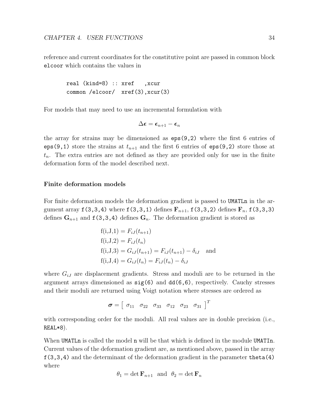reference and current coordinates for the constitutive point are passed in common block elcoor which contains the values in

real (kind=8) :: xref ,xcur common /elcoor/ xref(3),xcur(3)

For models that may need to use an incremental formulation with

$$
\Delta \boldsymbol{\epsilon} = \boldsymbol{\epsilon}_{n+1} - \boldsymbol{\epsilon}_n
$$

the array for strains may be dimensioned as eps(9,2) where the first 6 entries of eps(9,1) store the strains at  $t_{n+1}$  and the first 6 entries of eps(9,2) store those at  $t_n$ . The extra entries are not defined as they are provided only for use in the finite deformation form of the model described next.

## Finite deformation models

For finite deformation models the deformation gradient is passed to UMATLn in the argument array  $f(3,3,4)$  where  $f(3,3,1)$  defines  $F_{n+1}$ ,  $f(3,3,2)$  defines  $F_n$ ,  $f(3,3,3)$ defines  $\mathbf{G}_{n+1}$  and  $f(3,3,4)$  defines  $\mathbf{G}_n$ . The deformation gradient is stored as

$$
f(i, J, 1) = F_{iJ}(t_{n+1})
$$
  
\n
$$
f(i, J, 2) = F_{iJ}(t_n)
$$
  
\n
$$
f(i, J, 3) = G_{iJ}(t_{n+1}) = F_{iJ}(t_{n+1}) - \delta_{iJ}
$$
 and  
\n
$$
f(i, J, 4) = G_{iJ}(t_n) = F_{iJ}(t_n) - \delta_{iJ}
$$

where  $G_{iJ}$  are displacement gradients. Stress and moduli are to be returned in the argument arrays dimensioned as sig(6) and dd(6,6), respectively. Cauchy stresses and their moduli are returned using Voigt notation where stresses are ordered as

$$
\boldsymbol{\sigma} = \left[\begin{array}{cccccc}\sigma_{11}&\sigma_{22}&\sigma_{33}&\sigma_{12}&\sigma_{23}&\sigma_{31}\end{array}\right]^T
$$

with corresponding order for the moduli. All real values are in double precision (i.e., REAL\*8).

When UMATL is called the model n will be that which is defined in the module UMATIn. Current values of the deformation gradient are, as mentioned above, passed in the array  $f(3,3,4)$  and the determinant of the deformation gradient in the parameter theta $(4)$ where

$$
\theta_1 = \det \mathbf{F}_{n+1}
$$
 and  $\theta_2 = \det \mathbf{F}_n$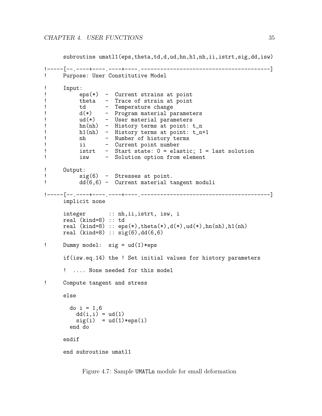subroutine umatl1(eps,theta,td,d,ud,hn,h1,nh,ii,istrt,sig,dd,isw)

```
!-----[--.----+----.----+----.----------------------------------------]
     ! Purpose: User Constitutive Model
! Input:
! eps(*) - Current strains at point
! theta - Trace of strain at point
! td - Temperature change<br>! d(*) - Program material pa
! d(*) - Program material parameters
! ud(*) - User material parameters
! hn(nh) - History terms at point: t_n<br>! h1(nh) - History terms at point: t_n-
! h1(nh) - History terms at point: t_n+1
! nh - Number of history terms
! ii - Current point number
! istrt - Start state: 0 = elastic; 1 = last solution
          isw - Solution option from element
! Output:<br>! Si
! sig(6) - Stresses at point.
          dd(6,6) - Current material tangent moduli
!-----[--.----+----.----+----.----------------------------------------]
     implicit none
     integer :: nh, ii, istrt, isw, i
     real (kind=8) :: td
     real (kind=8): eps(*), theta(*), d(*), ud(*), hn(nh), hl(nh)real (kind=8) :: sig(6),dd(6,6)! Dummy model: sig = ud(1)*eps
     if(isw.eq.14) the ! Set initial values for history parameters
     ! .... None needed for this model
! Compute tangent and stress
     else
       do i = 1,6
         dd(i, i) = ud(1)sig(i) = ud(1)*eps(i)end do
     endif
     end subroutine umatl1
```
<span id="page-41-0"></span>Figure 4.7: Sample UMATLn module for small deformation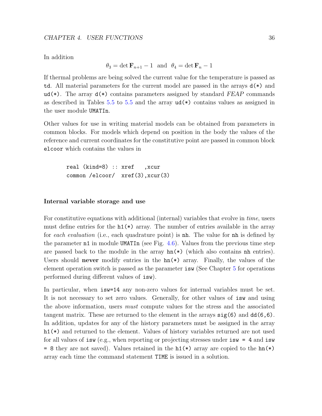In addition

 $\theta_3 = \det \mathbf{F}_{n+1} - 1$  and  $\theta_4 = \det \mathbf{F}_n - 1$ 

If thermal problems are being solved the current value for the temperature is passed as td. All material parameters for the current model are passed in the arrays  $d(*)$  and ud(\*). The array  $d(*)$  contains parameters assigned by standard FEAP commands as described in Tables [5.5](#page-61-0) to 5.5 and the array  $ud(*)$  contains values as assigned in the user module UMATIn.

Other values for use in writing material models can be obtained from parameters in common blocks. For models which depend on position in the body the values of the reference and current coordinates for the constitutive point are passed in common block elcoor which contains the values in

```
real (kind=8) :: xref ,xcur
common /elcoor/ xref(3),xcur(3)
```
#### Internal variable storage and use

For constitutive equations with additional (internal) variables that evolve in time, users must define entries for the  $h1(*)$  array. The number of entries available in the array for each evaluation (i.e., each quadrature point) is nh. The value for nh is defined by the parameter  $n1$  in module UMATIn (see Fig. [4.6\)](#page-37-0). Values from the previous time step are passed back to the module in the array  $hn(*)$  (which also contains nh entries). Users should **never** modify entries in the  $hn(*)$  array. Finally, the values of the element operation switch is passed as the parameter isw (See Chapter [5](#page-51-0) for operations performed during different values of isw).

In particular, when isw=14 any non-zero values for internal variables must be set. It is not necessary to set zero values. Generally, for other values of isw and using the above information, users must compute values for the stress and the associated tangent matrix. These are returned to the element in the arrays  $sig(6)$  and  $dd(6,6)$ . In addition, updates for any of the history parameters must be assigned in the array h1(\*) and returned to the element. Values of history variables returned are not used for all values of isw (e.g., when reporting or projecting stresses under  $i\text{sw} = 4$  and  $i\text{sw}$ = 8 they are not saved). Values retained in the  $h1(*)$  array are copied to the  $h(n*)$ array each time the command statement TIME is issued in a solution.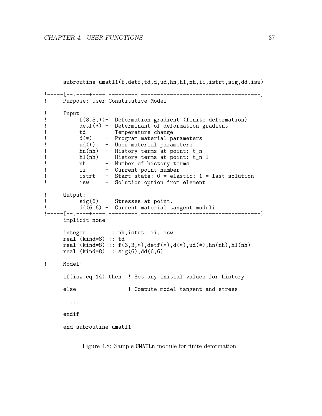```
subroutine umatl1(f,detf,td,d,ud,hn,h1,nh,ii,istrt,sig,dd,isw)
!-----[--.----+----.----+----.-------------------------------------]
! Purpose: User Constitutive Model
! Input:
! f(3,3,*)- Deformation gradient (finite deformation)
         detf(*) - Determinant of deformation gradient
! td - Temperature change
! d(*) - Program material parameters
! ud(*) - User material parameters
! hn(nh) - History terms at point: t_n
         h1(nh) - History terms at point: t_n+1
! nh - Number of history terms
! ii - Current point number
! istrt - Start state: 0 = elastic; 1 = last solution
! isw - Solution option from element
! Output:
! sig(6) - Stresses at point.
! dd(6,6) - Current material tangent moduli
!-----[--.----+----.----+----.-------------------------------------]
     implicit none
     integer :: nh, istrt, ii, isw
     real (kind=8) :: td
     real (kind=8): f(3,3,*), det f(*), d(*), ud(*), hn(nh), hl(nh)real (kind=8) :: sig(6),dd(6,6)
! Model:
     if(isw.eq.14) then ! Set any initial values for history
     else \qquad \qquad \vdots Compute model tangent and stress
       ...
     endif
     end subroutine umatl1
```
<span id="page-43-0"></span>Figure 4.8: Sample UMATLn module for finite deformation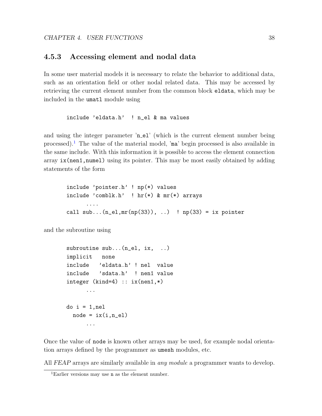## 4.5.3 Accessing element and nodal data

In some user material models it is necessary to relate the behavior to additional data, such as an orientation field or other nodal related data. This may be accessed by retrieving the current element number from the common block eldata, which may be included in the umatl module using

include 'eldata.h' ! n\_el & ma values

and using the integer parameter 'n\_el' (which is the current element number being processed).<sup>[1](#page-44-0)</sup> The value of the material model, 'ma' begin processed is also available in the same include. With this information it is possible to access the element connection array ix(nen1,numel) using its pointer. This may be most easily obtained by adding statements of the form

include 'pointer.h' ! np(\*) values include 'comblk.h' ! hr(\*) & mr(\*) arrays call  $sub... (n_{el}, mr(np(33)), ...)$  !  $np(33) = ix$  pointer

and the subroutine using

```
subroutine sub...(n_el, ix, ..)
implicit none
include 'eldata.h' ! nel value
include 'sdata.h' ! nen1 value
integer (kind=4) :: ix(nen1,*)...
do i = 1, nel
 node = ix(i, n_e1)...
```
Once the value of node is known other arrays may be used, for example nodal orientation arrays defined by the programmer as umesh modules, etc.

All FEAP arrays are similarly available in *any module* a programmer wants to develop.

<span id="page-44-0"></span><sup>&</sup>lt;sup>1</sup>Earlier versions may use **n** as the element number.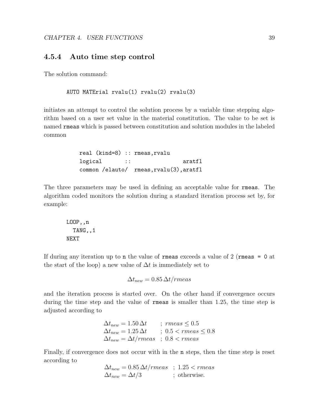## 4.5.4 Auto time step control

The solution command:

## AUTO MATErial rvalu(1) rvalu(2) rvalu(3)

initiates an attempt to control the solution process by a variable time stepping algorithm based on a user set value in the material constitution. The value to be set is named rmeas which is passed between constitution and solution modules in the labeled common

> real (kind=8) :: rmeas,rvalu logical :: aratfl common /elauto/ rmeas,rvalu(3),aratfl

The three parameters may be used in defining an acceptable value for rmeas. The algorithm coded monitors the solution during a standard iteration process set by, for example:

LOOP,,n TANG,,1 NEXT

If during any iteration up to n the value of rmeas exceeds a value of 2 (rmeas = 0 at the start of the loop) a new value of  $\Delta t$  is immediately set to

$$
\Delta t_{new} = 0.85 \,\Delta t / rmeas
$$

and the iteration process is started over. On the other hand if convergence occurs during the time step and the value of rmeas is smaller than 1.25, the time step is adjusted according to

$$
\Delta t_{new} = 1.50 \,\Delta t \qquad ; \; rmeas \leq 0.5
$$
  

$$
\Delta t_{new} = 1.25 \,\Delta t \qquad ; \; 0.5 < rmeas \leq 0.8
$$
  

$$
\Delta t_{new} = \Delta t / rmeas \quad ; \; 0.8 < rmeas
$$

Finally, if convergence does not occur with in the n steps, then the time step is reset according to

$$
\Delta t_{new} = 0.85 \,\Delta t / rmeas \quad ; \quad 1.25 < rmeas
$$
\n
$$
\Delta t_{new} = \Delta t / 3 \quad ; \quad \text{otherwise.}
$$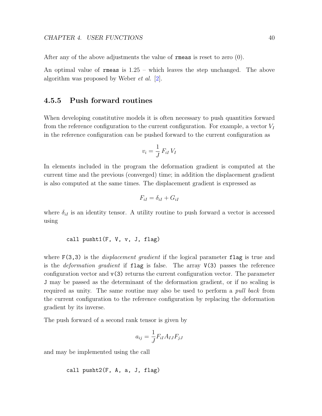After any of the above adjustments the value of rmeas is reset to zero (0).

An optimal value of rmeas is 1.25 – which leaves the step unchanged. The above algorithm was proposed by Weber et al. [\[2\]](#page-127-0).

## 4.5.5 Push forward routines

When developing constitutive models it is often necessary to push quantities forward from the reference configuration to the current configuration. For example, a vector  $V_I$ in the reference configuration can be pushed forward to the current configuration as

$$
v_i = \frac{1}{J} \, F_{iI} \, V_I
$$

In elements included in the program the deformation gradient is computed at the current time and the previous (converged) time; in addition the displacement gradient is also computed at the same times. The displacement gradient is expressed as

$$
F_{iI} = \delta_{iI} + G_{iI}
$$

where  $\delta_{iI}$  is an identity tensor. A utility routine to push forward a vector is accessed using

#### call pusht1(F, V, v, J, flag)

where  $F(3,3)$  is the *displacement gradient* if the logical parameter flag is true and is the *deformation gradient* if  $flag$  is false. The array  $V(3)$  passes the reference configuration vector and  $v(3)$  returns the current configuration vector. The parameter J may be passed as the determinant of the deformation gradient, or if no scaling is required as unity. The same routine may also be used to perform a *pull back* from the current configuration to the reference configuration by replacing the deformation gradient by its inverse.

The push forward of a second rank tensor is given by

$$
a_{ij} = \frac{1}{J} F_{iI} A_{IJ} F_{jJ}
$$

and may be implemented using the call

```
call pusht2(F, A, a, J, flag)
```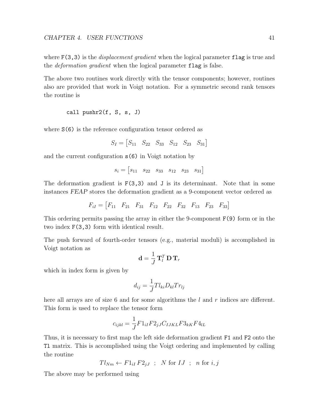where  $F(3,3)$  is the *displacement gradient* when the logical parameter flag is true and the *deformation gradient* when the logical parameter flag is false.

The above two routines work directly with the tensor components; however, routines also are provided that work in Voigt notation. For a symmetric second rank tensors the routine is

call pushr2(f, S, s, J)

where  $S(6)$  is the reference configuration tensor ordered as

 $S_I = \begin{bmatrix} S_{11} & S_{22} & S_{33} & S_{12} & S_{23} & S_{31} \end{bmatrix}$ 

and the current configuration s(6) in Voigt notation by

 $s_i = \begin{bmatrix} s_{11} & s_{22} & s_{33} & s_{12} & s_{23} & s_{31} \end{bmatrix}$ 

The deformation gradient is  $F(3,3)$  and J is its determinant. Note that in some instances FEAP stores the deformation gradient as a 9-component vector ordered as

$$
F_{iI} = \begin{bmatrix} F_{11} & F_{21} & F_{31} & F_{12} & F_{22} & F_{32} & F_{13} & F_{23} & F_{33} \end{bmatrix}
$$

This ordering permits passing the array in either the 9-component F(9) form or in the two index F(3,3) form with identical result.

The push forward of fourth-order tensors (e.g., material moduli) is accomplished in Voigt notation as

$$
\mathbf{d} = \frac{1}{J} \, \mathbf{T}_l^T \, \mathbf{D} \, \mathbf{T}_r
$$

which in index form is given by

$$
d_{ij} = \frac{1}{J} T l_{ki} D_{kl} T r_{lj}
$$

here all arrays are of size 6 and for some algorithms the  $l$  and  $r$  indices are different. This form is used to replace the tensor form

$$
c_{ijkl} = \frac{1}{J} F 1_{iI} F 2_{jJ} C_{IJKL} F 3_{kK} F 4_{lL}
$$

Thus, it is necessary to first map the left side deformation gradient F1 and F2 onto the Tl matrix. This is accomplished using the Voigt ordering and implemented by calling the routine

$$
Tl_{Nm} \leftarrow F1_{iI}F2_{jJ} ; \quad N \text{ for } IJ ; n \text{ for } i, j
$$

The above may be performed using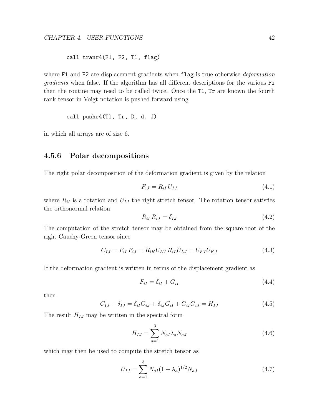call tranr4(F1, F2, Tl, flag)

where F1 and F2 are displacement gradients when flag is true otherwise *deformation* gradients when false. If the algorithm has all different descriptions for the various Fi then the routine may need to be called twice. Once the Tl, Tr are known the fourth rank tensor in Voigt notation is pushed forward using

call pushr4(Tl, Tr, D, d, J)

in which all arrays are of size 6.

## 4.5.6 Polar decompositions

The right polar decomposition of the deformation gradient is given by the relation

$$
F_{iJ} = R_{iI} U_{IJ} \tag{4.1}
$$

where  $R_{iI}$  is a rotation and  $U_{IJ}$  the right stretch tensor. The rotation tensor satisfies the orthonormal relation

$$
R_{iI} R_{iJ} = \delta_{IJ} \tag{4.2}
$$

The computation of the stretch tensor may be obtained from the square root of the right Cauchy-Green tensor since

$$
C_{IJ} = F_{iI} F_{iJ} = R_{iK} U_{KI} R_{iL} U_{LJ} = U_{KI} U_{KJ}
$$
\n(4.3)

If the deformation gradient is written in terms of the displacement gradient as

$$
F_{iI} = \delta_{iI} + G_{iI} \tag{4.4}
$$

then

$$
C_{IJ} - \delta_{IJ} = \delta_{iI} G_{iJ} + \delta_{iJ} G_{iI} + G_{iI} G_{iJ} = H_{IJ}
$$
\n(4.5)

The result  $H_{IJ}$  may be written in the spectral form

$$
H_{IJ} = \sum_{a=1}^{3} N_{aI} \lambda_a N_{aJ} \tag{4.6}
$$

which may then be used to compute the stretch tensor as

$$
U_{IJ} = \sum_{a=1}^{3} N_{aI} (1 + \lambda_a)^{1/2} N_{aJ} \tag{4.7}
$$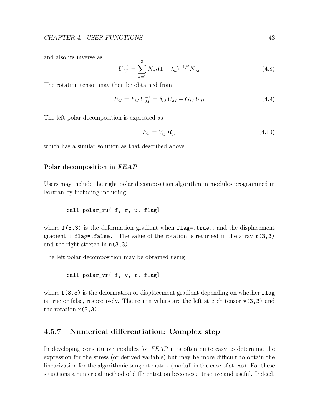and also its inverse as

$$
U_{IJ}^{-1} = \sum_{a=1}^{3} N_{aI} (1 + \lambda_a)^{-1/2} N_{aJ}
$$
 (4.8)

The rotation tensor may then be obtained from

$$
R_{iI} = F_{iJ} U_{JI}^{-1} = \delta_{iJ} U_{JI} + G_{iJ} U_{JI}
$$
\n(4.9)

The left polar decomposition is expressed as

$$
F_{iI} = V_{ij} R_{jI} \tag{4.10}
$$

which has a similar solution as that described above.

#### Polar decomposition in FEAP

Users may include the right polar decomposition algorithm in modules programmed in Fortran by including including:

call polar\_ru( f, r, u, flag}

where  $f(3,3)$  is the deformation gradient when  $flag = true$ ; and the displacement gradient if  $flag = false$ . The value of the rotation is returned in the array  $r(3,3)$ and the right stretch in  $u(3,3)$ .

The left polar decomposition may be obtained using

call polar\_vr( f, v, r, flag}

where  $f(3,3)$  is the deformation or displacement gradient depending on whether  $flag$ is true or false, respectively. The return values are the left stretch tensor  $v(3,3)$  and the rotation  $r(3,3)$ .

## 4.5.7 Numerical differentiation: Complex step

In developing constitutive modules for FEAP it is often quite easy to determine the expression for the stress (or derived variable) but may be more difficult to obtain the linearization for the algorithmic tangent matrix (moduli in the case of stress). For these situations a numerical method of differentiation becomes attractive and useful. Indeed,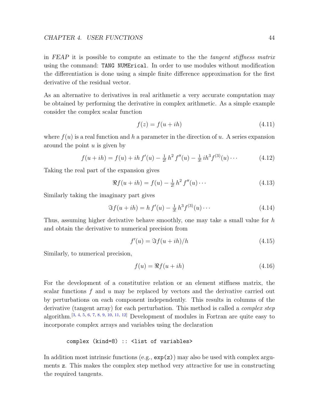in FEAP it is possible to compute an estimate to the the tangent stiffness matrix using the command: TANG NUMErical. In order to use modules without modification the differentiation is done using a simple finite difference approximation for the first derivative of the residual vector.

As an alternative to derivatives in real arithmetic a very accurate computation may be obtained by performing the derivative in complex arithmetic. As a simple example consider the complex scalar function

$$
f(z) = f(u + ih) \tag{4.11}
$$

where  $f(u)$  is a real function and h a parameter in the direction of u. A series expansion around the point  $u$  is given by

$$
f(u+ih) = f(u) + ih f'(u) - \frac{1}{2!}h^2 f''(u) - \frac{1}{3!}ih^3 f^{(3)}(u) \cdots
$$
 (4.12)

Taking the real part of the expansion gives

$$
\Re f(u+ih) = f(u) - \frac{1}{2!}h^2 f''(u) \cdots
$$
\n(4.13)

Similarly taking the imaginary part gives

$$
\Im f(u+ih) = h f'(u) - \frac{1}{3!} h^3 f^{(3)}(u) \cdots
$$
\n(4.14)

Thus, assuming higher derivative behave smoothly, one may take a small value for  $h$ and obtain the derivative to numerical precision from

$$
f'(u) = \Im f(u + ih)/h \tag{4.15}
$$

Similarly, to numerical precision,

$$
f(u) = \Re f(u + ih) \tag{4.16}
$$

For the development of a constitutive relation or an element stiffness matrix, the scalar functions  $f$  and  $u$  may be replaced by vectors and the derivative carried out by perturbations on each component independently. This results in columns of the derivative (tangent array) for each perturbation. This method is called a *complex step* algorithm.<sup>[\[3,](#page-127-1) [4,](#page-127-2) [5,](#page-127-3) [6,](#page-127-4) [7,](#page-127-5) [8,](#page-127-6) [9,](#page-127-7) [10,](#page-128-0) [11,](#page-128-1) [12\]](#page-128-2)</sup> Development of modules in Fortran are quite easy to incorporate complex arrays and variables using the declaration

complex (kind=8) :: <list of variables>

In addition most intrinsic functions  $(e.g., exp(z))$  may also be used with complex arguments z. This makes the complex step method very attractive for use in constructing the required tangents.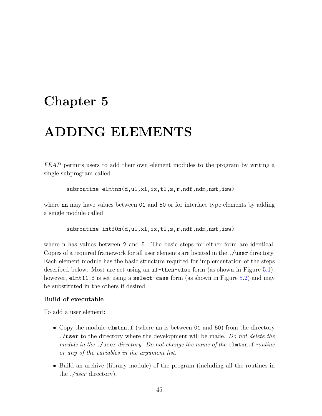# <span id="page-51-0"></span>Chapter 5

# ADDING ELEMENTS

FEAP permits users to add their own element modules to the program by writing a single subprogram called

subroutine elmtnn(d,ul,xl,ix,tl,s,r,ndf,ndm,nst,isw)

where **nn** may have values between 01 and 50 or for interface type elements by adding a single module called

```
subroutine intOn(d,ul,x1,ix,tl,s,r,ndf,ndm,nst,isw)
```
where n has values between 2 and 5. The basic steps for either form are identical. Copies of a required framework for all user elements are located in the ./user directory. Each element module has the basic structure required for implementation of the steps described below. Most are set using an if-then-else form (as shown in Figure [5.1\)](#page-52-0), however, elmt11.f is set using a select-case form (as shown in Figure [5.2\)](#page-56-0) and may be substituted in the others if desired.

## Build of executable

To add a user element:

- Copy the module elmthn.f (where nn is between 01 and 50) from the directory ./user to the directory where the development will be made. Do not delete the module in the ./user directory. Do not change the name of the elmting.froutine or any of the variables in the argument list.
- Build an archive (library module) of the program (including all the routines in the ./user directory).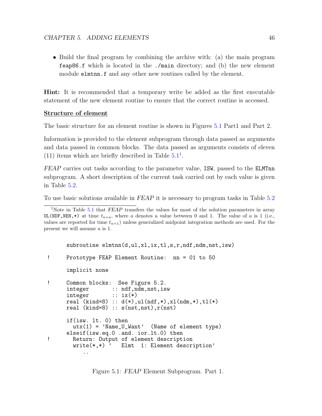• Build the final program by combining the archive with: (a) the main program feap86.f which is located in the ./main directory; and (b) the new element module elmtnn.f and any other new routines called by the element.

Hint: It is recommended that a temporary write be added as the first executable statement of the new element routine to ensure that the correct routine is accessed.

#### Structure of element

The basic structure for an element routine is shown in Figures [5.1](#page-52-0) Part1 and Part 2.

Information is provided to the element subprogram through data passed as arguments and data passed in common blocks. The data passed as arguments consists of eleven ([1](#page-52-1)1) items which are briefly described in Table  $5.1<sup>1</sup>$  $5.1<sup>1</sup>$ .

FEAP carries out tasks according to the parameter value, ISW, passed to the ELMTnn subprogram. A short description of the current task carried out by each value is given in Table [5.2.](#page-55-0)

To use basic solutions available in FEAP it is necessary to program tasks in Table [5.2](#page-55-0)

```
subroutine elmtnn(d,ul,xl,ix,tl,s,r,ndf,ndm,nst,isw)
! Prototype FEAP Element Routine: nn = 01 to 50
      implicit none
! Common blocks: See Figure 5.2.<br>integer :: ndf,ndm,nst,is
                   :: ndf,ndm,nst,isw
      integer :: i x(*)real (kind=8) :: d(*), ul(ndf, *), xl(ndm, *), tl(*)real (kind=8): s(nst,nst), r(nst)if(isw. lt. 0) then
        utx(1) = 'Name_U_Want' (Name of element type)
     elseif(isw.eq.0 .and. ior.lt.0) then
! Return: Output of element description
        write(*, *) ' Elmt 1: Element description'
           ..
```
<span id="page-52-1"></span><sup>&</sup>lt;sup>1</sup>Note in Table [5.1](#page-54-0) that  $FEAP$  transfers the values for most of the solution parameters in array UL(NDF,NEN,\*) at time  $t_{n+a}$ , where a denotes a value between 0 and 1. The value of a is 1 (i.e., values are reported for time  $t_{n+1}$ ) unless generalized midpoint integration methods are used. For the present we will assume a is 1.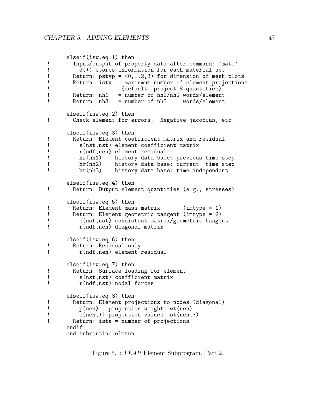```
elseif(isw.eq.1) then
! Input/output of property data after command: 'mate'<br>I d(*) stores information for each material set
\bar{d}(*) stores information for each material set<br>
Return: pstvp = <0.1.2.3> for dimension of mesh
! Return: pstyp = <0,1,2,3> for dimension of mesh plots
       Return: istv = maximum number of element projections! (default: project 8 quantities)<br>! Return: nh1 = number of nh1/nh2 words/elemen
! Return: nh1 = number of nh1/nh2 words/element
       Return: nh3 = number of nh3elseif(isw.eq.2) then
! Check element for errors. Negative jacobian, etc.
     elseif(isw.eq.3) then
! Return: Element coefficient matrix and residual
! s(nst,nst) element coefficient matrix
         r(ndf,nen) element residual
! hr(nh1) history data base: previous time step
! hr(nh2) history data base: current time step
         hr(nh3) history data base: time independent
     elseif(isw.eq.4) then
! Return: Output element quantities (e.g., stresses)
      elseif(isw.eq.5) then
! Return: Element mass matrix (imtype = 1)
! Return: Element geometric tangent (imtype = 2)
! s(nst,nst) consistent matrix/geometric tangent
         r(ndf,nen) diagonal matrix
      elseif(isw.eq.6) then
! Return: Residual only
          r(ndf,nen) element residual
      elseif(isw.eq.7) then
! Return: Surface loading for element
! s(nst,nst) coefficient matrix
         r(ndf,nst) nodal forces
      elseif(isw.eq.8) then
! Return: Element projections to nodes (diagonal)<br>! p(nen) projection weight: wt(nen)
! p(nen) projection weight: wt(nen)
! s(nen,*) projection values: st(nen,*)
       Return: iste = number of projections
      endif
      end subroutine elmtnn
```
Figure 5.1: FEAP Element Subprogram. Part 2.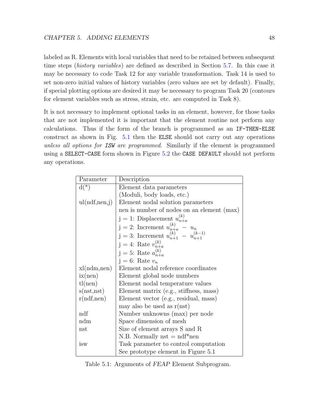labeled as R. Elements with local variables that need to be retained between subsequent time steps (history variables) are defined as described in Section [5.7.](#page-81-0) In this case it may be necessary to code Task 12 for any variable transformation. Task 14 is used to set non-zero initial values of history variables (zero values are set by default). Finally, if special plotting options are desired it may be necessary to program Task 20 (contours for element variables such as stress, strain, etc. are computed in Task 8).

It is not necessary to implement optional tasks in an element, however, for those tasks that are not implemented it is important that the element routine not perform any calculations. Thus if the form of the branch is programmed as an IF-THEN-ELSE construct as shown in Fig. [5.1](#page-52-0) then the ELSE should not carry out any operations unless all options for ISW are programmed. Similarly if the element is programmed using a SELECT-CASE form shown in Figure [5.2](#page-56-0) the CASE DEFAULT should not perform any operations.

| Parameter     | Description                                                                                  |
|---------------|----------------------------------------------------------------------------------------------|
| $d(*)$        | Element data parameters                                                                      |
|               | (Moduli, body loads, etc.)                                                                   |
| ul(ndf,nen,j) | Element nodal solution parameters                                                            |
|               | nen is number of nodes on an element (max)                                                   |
|               | $j = 1$ : Displacement $u_{n+a}^{(k)}$                                                       |
|               |                                                                                              |
|               | j = 2: Increment $u_{n+a}^{(k)} - u_n$<br>j = 3: Increment $u_{n+1}^{(k)} - u_{n+1}^{(k-1)}$ |
|               | j = 4: Rate $v_{n+a}^{(k)}$<br>j = 5: Rate $a_{n+a}^{(k)}$                                   |
|               |                                                                                              |
|               | $j = 6$ : Rate $v_n$                                                                         |
| xl(ndm,nen)   | Element nodal reference coordinates                                                          |
| ix(nen)       | Element global node numbers                                                                  |
| tl(nen)       | Element nodal temperature values                                                             |
| s(nst,nst)    | Element matrix (e.g., stiffness, mass)                                                       |
| r(ndf,nen)    | Element vector (e.g., residual, mass)                                                        |
|               | may also be used as $r(nst)$                                                                 |
| ndf           | Number unknowns (max) per node                                                               |
| ndm           | Space dimension of mesh                                                                      |
| $_{\rm nst}$  | Size of element arrays S and R                                                               |
|               | N.B. Normally $nst = ndf*nen$                                                                |
| isw           | Task parameter to control computation                                                        |
|               | See prototype element in Figure 5.1                                                          |

<span id="page-54-0"></span>Table 5.1: Arguments of FEAP Element Subprogram.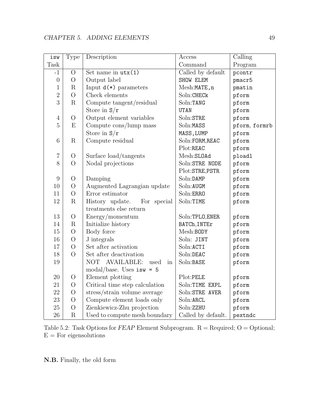| isw              | <b>Type</b>    | Description                                      | Access             | Calling       |  |
|------------------|----------------|--------------------------------------------------|--------------------|---------------|--|
| Task             |                |                                                  | Command            | Program       |  |
| $-1$             | $\overline{O}$ | Set name in $uts(1)$                             | Called by default  | pcontr        |  |
| $\boldsymbol{0}$ | $\overline{O}$ | Output label                                     | SHOW ELEM          | pmacr5        |  |
| $\mathbf{1}$     | $\mathbf R$    | Input $d(*)$ parameters                          | Mesh:MATE, n       | pmatin        |  |
| $\overline{2}$   | $\overline{O}$ | Check elements                                   | Soln:CHECk         | pform         |  |
| 3                | $\mathbf R$    | Compute tangent/residual                         | Soln:TANG          | pform         |  |
|                  |                | Store in $S/r$                                   | <b>UTAN</b>        | pform         |  |
| $\overline{4}$   | $\overline{O}$ | Output element variables                         | Soln:STRE          | pform         |  |
| $\overline{5}$   | E              | Compute cons/lump mass                           | Soln:MASS          | pform, formrb |  |
|                  |                | Store in $S/r$                                   | MASS, LUMP         | pform         |  |
| 6                | $\rm R$        | Compute residual                                 | Soln:FORM, REAC    | pform         |  |
|                  |                |                                                  | Plot:REAC          | pform         |  |
| $\overline{7}$   | $\overline{O}$ | Surface load/tangents                            | Mesh:SLOAd         | ploadl        |  |
| 8                | $\overline{O}$ | Nodal projections                                | Soln:STRE NODE     | pform         |  |
|                  |                |                                                  | Plot:STRE,PSTR     | pform         |  |
| 9                | $\overline{O}$ | Damping                                          | Soln:DAMP          | pform         |  |
| 10               | $\overline{O}$ | Augmented Lagrangian update                      | Soln:AUGM          | pform         |  |
| 11               | $\overline{O}$ | Error estimator                                  | Soln:ERRO          | pform         |  |
| 12               | $\mathbf R$    | History update.<br>For special                   | Soln:TIME          | pform         |  |
|                  |                | treatments else return                           |                    |               |  |
| 13               | $\bigcirc$     | Energy/momentum                                  | Soln:TPLO, ENER    | pform         |  |
| 14               | ${\bf R}$      | Initialize history                               | BATCh, INTEr       | pform         |  |
| 15               | $\overline{O}$ | Body force                                       | Mesh:BODY          | pform         |  |
| 16               | $\bigcirc$     | J integrals                                      | Soln: JINT         | pform         |  |
| 17               | $\overline{O}$ | Set after activation                             | Soln:ACTI          | pform         |  |
| 18               | $\overline{O}$ | Set after deactivation                           | Soln:DEAC          | pform         |  |
| 19               |                | <b>AVAILABLE:</b><br>NOT<br>used<br>in           | Soln:BASE          | pform         |  |
|                  |                | $\text{modal}/\text{base}$ . Uses isw = 5        |                    |               |  |
| $20\,$           | $\bigcirc$     | Element plotting                                 | Plot:PELE          | pform         |  |
| 21               | $\bigcirc$     | Critical time step calculation                   | Soln:TIME EXPL     | pform         |  |
| 22               | $\overline{O}$ | stress/strain volume average                     | Soln:STRE AVER     | pform         |  |
| 23               | $\overline{O}$ | Compute element loads only                       | Soln:ARCL          | pform         |  |
| 25               | $\overline{O}$ | Zienkiewicz-Zhu projection<br>Soln:ZZHU<br>pform |                    |               |  |
| 26               | $\mathbf R$    | Used to compute mesh boundary                    | Called by default. | pextndc       |  |

<span id="page-55-0"></span>Table 5.2: Task Options for  $FEAP$  Element Subprogram.  $R =$  Required; O = Optional;  $E = For$  eigensolutions

N.B. Finally, the old form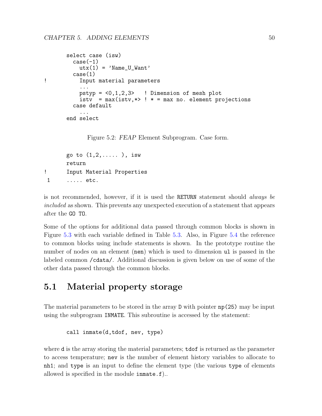```
select case (isw)
         case(-1)utx(1) = 'Name_UWant'case(1)
! Input material parameters
           ...
           pstyp = \langle 0,1,2,3 \rangle ! Dimension of mesh plot
           isty = max(istv, *) ! * = max no. element projections
         case default
           ...
       end select
             Figure 5.2: FEAP Element Subprogram. Case form.
       go to (1, 2, \ldots), isw
       return
! Input Material Properties
 1 ..... etc.
```
<span id="page-56-0"></span>is not recommended, however, if it is used the RETURN statement should always be included as shown. This prevents any unexpected execution of a statement that appears after the GO TO.

Some of the options for additional data passed through common blocks is shown in Figure [5.3](#page-57-0) with each variable defined in Table [5.3.](#page-59-0) Also, in Figure [5.4](#page-58-0) the reference to common blocks using include statements is shown. In the prototype routine the number of nodes on an element (nen) which is used to dimension ul is passed in the labeled common /cdata/. Additional discussion is given below on use of some of the other data passed through the common blocks.

# 5.1 Material property storage

The material parameters to be stored in the array D with pointer np(25) may be input using the subprogram INMATE. This subroutine is accessed by the statement:

```
call inmate(d,tdof, nev, type)
```
where **d** is the array storing the material parameters; **tdof** is returned as the parameter to access temperature; nev is the number of element history variables to allocate to nh1; and type is an input to define the element type (the various type of elements allowed is specified in the module inmate.f)..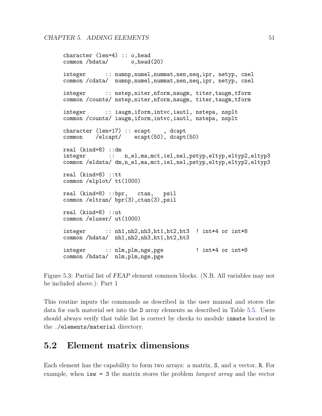```
character (len=4) :: o,head
common /bdata/ o,head(20)
integer :: numnp,numel,nummat,nen,neq,ipr, netyp, cnel
common /cdata/ numnp,numel,nummat,nen,neq,ipr, netyp, cnel
integer :: nstep,niter,nform,naugm, titer,taugm,tform
common /counts/ nstep,niter,nform,naugm, titer,taugm,tform
integer :: iaugm,iform,intvc,iautl, nstepa, nsplt
common /counts/ iaugm,iform,intvc,iautl, nstepa, nsplt
character (len=17) :: ecapt, dcapt
common /elcapt/ ecapt(50), dcapt(50)
real (kind=8) ::dm
integer :: n_el,ma,mct,iel,nel,pstyp,eltyp,eltyp2,eltyp3
common /eldata/ dm,n_el,ma,mct,iel,nel,pstyp,eltyp,eltyp2,eltyp3
real (kind=8) ::tt
common /elplot/ tt(1000)
real (kind=8) ::bpr, ctan, psil
common /eltran/ bpr(3), ctan(3), psil
real (kind=8) ::ut
common /eluser/ ut(1000)
integer :: nh1,nh2,nh3,ht1,ht2,ht3 ! int*4 or int*8
common /hdata/ nh1,nh2,nh3,ht1,ht2,ht3
integer :: nlm,plm,nge,pge ! int*4 or int*8
common /hdata/ nlm,plm,nge,pge
```
<span id="page-57-0"></span>Figure 5.3: Partial list of FEAP element common blocks. (N.B. All variables may not be included above.): Part 1

This routine inputs the commands as described in the user manual and stores the data for each material set into the D array elements as described in Table [5.5.](#page-61-0) Users should always verify that table list is correct by checks to module inmate located in the ./elements/material directory.

## 5.2 Element matrix dimensions

Each element has the capability to form two arrays: a matrix, S, and a vector, R. For example, when  $\text{isw} = 3$  the matrix stores the problem *tangent array* and the vector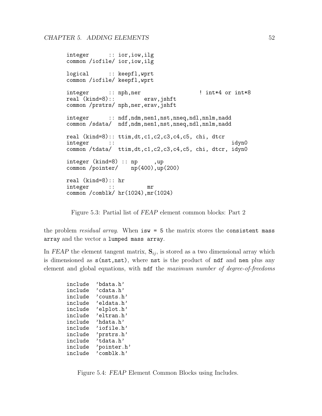```
integer :: ior,iow,ilg
common /iofile/ ior,iow,ilg
logical :: keepfl,wprt
common /iofile/ keepfl,wprt
integer :: nph,ner ! int*4 or int*8
real (kind=8)::
common /prstrs/ nph,ner,erav,jshft
integer :: ndf,ndm,nen1,nst,nneq,ndl,nnlm,nadd
common /sdata/ ndf,ndm,nen1,nst,nneq,ndl,nnlm,nadd
real (kind=8):: ttim,dt,c1,c2,c3,c4,c5, chi, dtcr
integer :: idyn0
common /tdata/ ttim,dt,c1,c2,c3,c4,c5, chi, dtcr, idyn0
integer (kind=8) :: np ,up<br>
common /pointer/ np(400),up(200)
common /pointer/
real (kind=8):: hr
integer :: mr
common /comblk/ hr(1024),mr(1024)
```
Figure 5.3: Partial list of FEAP element common blocks: Part 2

the problem *residual array*. When  $i \leq \pi$  is the matrix stores the consistent mass array and the vector a lumped mass array.

In FEAP the element tangent matrix,  $S_{ij}$ , is stored as a two dimensional array which is dimensioned as s(nst,nst), where nst is the product of ndf and nen plus any element and global equations, with ndf the maximum number of degree-of-freedoms

```
include 'bdata.h'
include 'cdata.h'
include 'counts.h'
include 'eldata.h'
include 'elplot.h'
include 'eltran.h'
include 'hdata.h'
include 'iofile.h'
include 'prstrs.h'
include 'tdata.h'
include 'pointer.h'
include 'comblk.h'
```
<span id="page-58-0"></span>Figure 5.4: FEAP Element Common Blocks using Includes.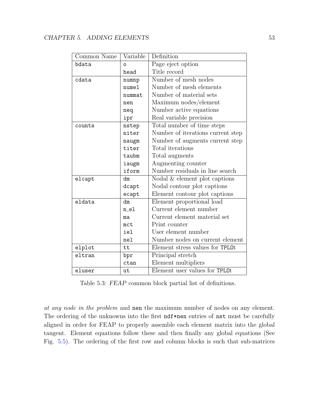| Common Name | Variable | Definition                        |
|-------------|----------|-----------------------------------|
| bdata       | O        | Page eject option                 |
|             | head     | Title record                      |
| cdata       | numnp    | Number of mesh nodes              |
|             | numel    | Number of mesh elements           |
|             | nummat   | Number of material sets           |
|             | nen      | Maximum nodes/element             |
|             | neq      | Number active equations           |
|             | ipr      | Real variable precision           |
| counts      | nstep    | Total number of time steps        |
|             | niter    | Number of iterations current step |
|             | naugm    | Number of augments current step   |
|             | titer    | Total iterations                  |
|             | taubm    | Total augments                    |
|             | iaugm    | Augmenting counter                |
|             | iform    | Number residuals in line search   |
| elcapt      | dm       | Nodal & element plot captions     |
|             | dcapt    | Nodal contour plot captions       |
|             | ecapt    | Element contour plot captions     |
| eldata      | dm       | Element proportional load         |
|             | $n_e1$   | Current element number            |
|             | ma       | Current element material set      |
|             | mct      | Print counter                     |
|             | iel      | User element number               |
|             | nel      | Number nodes on current element   |
| elplot      | tt       | Element stress values for TPL0t   |
| eltran      | bpr      | Principal stretch                 |
|             | ctan     | Element multipliers               |
| eluser      | ut       | Element user values for TPL0t     |

<span id="page-59-0"></span>Table 5.3: FEAP common block partial list of definitions.

at any node in the problem and nen the maximum number of nodes on any element. The ordering of the unknowns into the first ndf\*nen entries of nst must be carefully aligned in order for FEAP to properly assemble each element matrix into the global tangent. Element equations follow these and then finally any global equations (See Fig. [5.5\)](#page-66-0). The ordering of the first row and column blocks is such that sub-matrices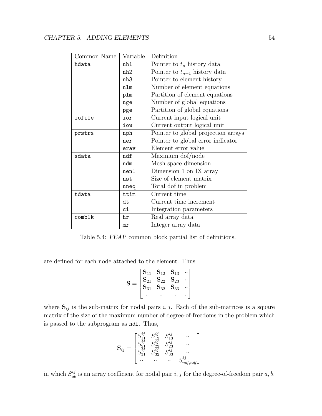| Common Name | Variable | Definition                          |
|-------------|----------|-------------------------------------|
| hdata       | nh1      | Pointer to $t_n$ history data       |
|             | nh2      | Pointer to $t_{n+1}$ history data   |
|             | nh3      | Pointer to element history          |
|             | nlm      | Number of element equations         |
|             | plm      | Partition of element equations      |
|             | nge      | Number of global equations          |
|             | pge      | Partition of global equations       |
| iofile      | ior      | Current input logical unit          |
|             | iow      | Current output logical unit         |
| prstrs      | nph      | Pointer to global projection arrays |
|             | ner      | Pointer to global error indicator   |
|             | erav     | Element error value                 |
| sdata       | ndf      | Maximum dof/node                    |
|             | ndm      | Mesh space dimension                |
|             | nen1     | Dimension 1 on IX array             |
|             | nst      | Size of element matrix              |
|             | nneq     | Total dof in problem                |
| tdata       | ttim     | Current time                        |
|             | dt       | Current time increment              |
|             | сi       | Integration parameters              |
| comblk      | hr       | Real array data                     |
|             | mr       | Integer array data                  |

Table 5.4: FEAP common block partial list of definitions.

are defined for each node attached to the element. Thus

$$
\mathbf{S} = \begin{bmatrix} \mathbf{S}_{11} & \mathbf{S}_{12} & \mathbf{S}_{13} & \cdots \\ \mathbf{S}_{21} & \mathbf{S}_{22} & \mathbf{S}_{23} & \cdots \\ \mathbf{S}_{31} & \mathbf{S}_{32} & \mathbf{S}_{33} & \cdots \\ \cdots & \cdots & \cdots & \cdots \end{bmatrix}
$$

where  $S_{ij}$  is the sub-matrix for nodal pairs i, j. Each of the sub-matrices is a square matrix of the size of the maximum number of degree-of-freedoms in the problem which is passed to the subprogram as ndf. Thus,

ij

$$
\mathbf{S}_{ij} = \begin{bmatrix} S_{11}^{ij} & S_{12}^{ij} & S_{13}^{ij} & \cdots \\ S_{21}^{ij} & S_{22}^{ij} & S_{23}^{ij} & \cdots \\ S_{31}^{ij} & S_{32}^{ij} & S_{33}^{ij} & \cdots \\ \cdots & \cdots & \cdots & S_{ndf,ndf}^{ij} \end{bmatrix}
$$

ij

in which  $S_{ab}^{ij}$  is an array coefficient for nodal pair i, j for the degree-of-freedom pair  $a, b$ .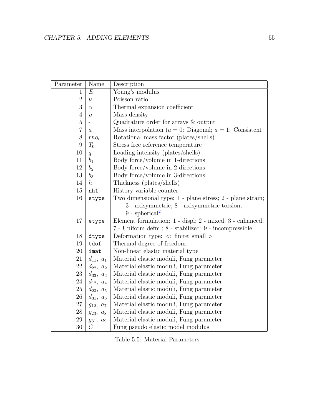| Parameter        | Name             | Description                                                   |
|------------------|------------------|---------------------------------------------------------------|
| 1                | $E\,$            | Young's modulus                                               |
| $\overline{2}$   | $\nu$            | Poisson ratio                                                 |
| 3                | $\alpha$         | Thermal expansion coefficient                                 |
| $\overline{4}$   | $\rho$           | Mass density                                                  |
| $\mathbf 5$      |                  | Quadrature order for arrays $\&$ output                       |
| $\overline{7}$   | $\boldsymbol{a}$ | Mass interpolation ( $a = 0$ : Diagonal; $a = 1$ : Consistent |
| 8                | $rho_i$          | Rotational mass factor (plates/shells)                        |
| $\boldsymbol{9}$ | $T_0$            | Stress free reference temperature                             |
| 10               | $\overline{q}$   | Loading intensity (plates/shells)                             |
| 11               | $b_1$            | Body force/volume in 1-directions                             |
| 12               | b <sub>2</sub>   | Body force/volume in 2-directions                             |
| 13               | $b_3$            | Body force/volume in 3-directions                             |
| 14               | $\boldsymbol{h}$ | Thickness (plates/shells)                                     |
| 15               | nh1              | History variable counter                                      |
| 16               | stype            | Two dimensional type: 1 - plane stress; 2 - plane strain;     |
|                  |                  | 3 - axisymmetric; 8 - axisymmetric-torsion;                   |
|                  |                  | $9$ - spherical <sup>2</sup>                                  |
| 17               | etype            | Element formulation: 1 - displ; 2 - mixed; 3 - enhanced;      |
|                  |                  | 7 - Uniform defm.; 8 - stabilized; 9 - incompressible.        |
| 18               | dtype            | Deformation type: $\langle$ : finite; small $\rangle$         |
| 19               | tdof             | Thermal degree-of-freedom                                     |
| 20               | imat             | Non-linear elastic material type                              |
| 21               | $d_{11}, a_1$    | Material elastic moduli, Fung parameter                       |
| 22               | $d_{22}, a_2$    | Material elastic moduli, Fung parameter                       |
| 23               | $d_{33}, a_3$    | Material elastic moduli, Fung parameter                       |
| 24               | $d_{12}, a_4$    | Material elastic moduli, Fung parameter                       |
| 25               | $d_{23}, a_5$    | Material elastic moduli, Fung parameter                       |
| 26               | $d_{31}, a_6$    | Material elastic moduli, Fung parameter                       |
| 27               | $g_{12}, a_7$    | Material elastic moduli, Fung parameter                       |
| 28               | $g_{23}, a_8$    | Material elastic moduli, Fung parameter                       |
| $\,29$           | $g_{31},\ a_9$   | Material elastic moduli, Fung parameter                       |
| 30               | $\mathcal{C}$    | Fung pseudo elastic model modulus                             |

<span id="page-61-0"></span>Table 5.5: Material Parameters.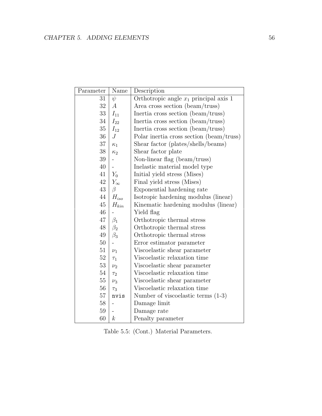| Parameter | Name             | Description                              |
|-----------|------------------|------------------------------------------|
| 31        | $\psi$           | Orthotropic angle $x_1$ principal axis 1 |
| 32        | $\boldsymbol{A}$ | Area cross section (beam/truss)          |
| 33        | $I_{11}$         | Inertia cross section (beam/truss)       |
| 34        | $I_{22}$         | Inertia cross section (beam/truss)       |
| $35\,$    | $I_{12}$         | Inertia cross section (beam/truss)       |
| 36        | $J_{\rm}$        | Polar inertia cross section (beam/truss) |
| 37        | $\kappa_1$       | Shear factor (plates/shells/beams)       |
| 38        | $\kappa_2$       | Shear factor plate                       |
| $39\,$    |                  | Non-linear flag (beam/truss)             |
| 40        |                  | Inelastic material model type            |
| 41        | $Y_0$            | Initial yield stress (Mises)             |
| 42        | $Y_{\infty}$     | Final yield stress (Mises)               |
| 43        | $\beta$          | Exponential hardening rate               |
| 44        | $H_{iso}$        | Isotropic hardening modulus (linear)     |
| 45        | $H_{kin}$        | Kinematic hardening modulus (linear)     |
| 46        |                  | Yield flag                               |
| 47        | $\beta_1$        | Orthotropic thermal stress               |
| 48        | $\beta_2$        | Orthotropic thermal stress               |
| 49        | $\beta_3$        | Orthotropic thermal stress               |
| $50\,$    |                  | Error estimator parameter                |
| 51        | $\nu_1$          | Viscoelastic shear parameter             |
| $52\,$    | $\tau_1$         | Viscoelastic relaxation time             |
| $53\,$    | $\nu_2$          | Viscoelastic shear parameter             |
| $54\,$    | $\tau_2$         | Viscoelastic relaxation time             |
| $55\,$    | $\nu_3$          | Viscoelastic shear parameter             |
| 56        | $\tau_3$         | Viscoelastic relaxation time             |
| $57\,$    | nvis             | Number of viscoelastic terms $(1-3)$     |
| $58\,$    |                  | Damage limit                             |
| 59        |                  | Damage rate                              |
| 60        | $\boldsymbol{k}$ | Penalty parameter                        |

Table 5.5: (Cont.) Material Parameters.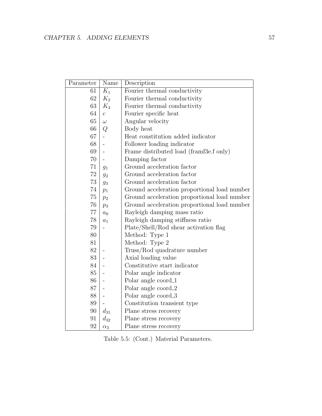| Parameter | Name                     | Description                                  |
|-----------|--------------------------|----------------------------------------------|
| 61        | $K_1$                    | Fourier thermal conductivity                 |
| 62        | $K_2$                    | Fourier thermal conductivity                 |
| 63        | $K_3$                    | Fourier thermal conductivity                 |
| 64        | $\overline{c}$           | Fourier specific heat                        |
| 65        | $\omega$                 | Angular velocity                             |
| 66        | Q                        | Body heat                                    |
| 67        | $\overline{\phantom{0}}$ | Heat constitution added indicator            |
| 68        |                          | Follower loading indicator                   |
| 69        |                          | Frame distributed load (framf3e.f only)      |
| 70        |                          | Damping factor                               |
| 71        | $g_1$                    | Ground acceleration factor                   |
| 72        | $g_2$                    | Ground acceleration factor                   |
| 73        | $g_3$                    | Ground acceleration factor                   |
| 74        | $p_1$                    | Ground acceleration proportional load number |
| 75        | p <sub>2</sub>           | Ground acceleration proportional load number |
| 76        | $p_3$                    | Ground acceleration proportional load number |
| 77        | a <sub>0</sub>           | Rayleigh damping mass ratio                  |
| 78        | $a_1$                    | Rayleigh damping stiffness ratio             |
| 79        |                          | Plate/Shell/Rod shear activation flag        |
| 80        |                          | Method: Type 1                               |
| 81        |                          | Method: Type 2                               |
| 82        |                          | Truss/Rod quadrature number                  |
| 83        |                          | Axial loading value                          |
| 84        |                          | Constitutive start indicator                 |
| 85        |                          | Polar angle indicator                        |
| 86        |                          | Polar angle coord_1                          |
| 87        |                          | Polar angle coord_2                          |
| 88        |                          | Polar angle coord_3                          |
| 89        |                          | Constitution transient type                  |
| 90        | $d_{31}$                 | Plane stress recovery                        |
| 91        | $d_{32}$                 | Plane stress recovery                        |
| 92        | $\alpha_3$               | Plane stress recovery                        |

Table 5.5: (Cont.) Material Parameters.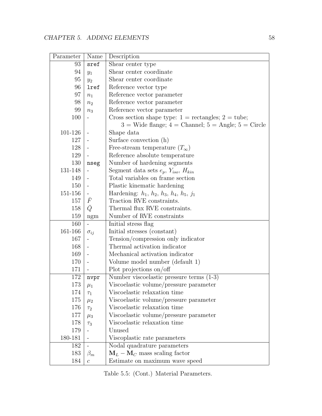| Parameter | Name                     | Description                                                 |
|-----------|--------------------------|-------------------------------------------------------------|
| 93        | sref                     | Shear center type                                           |
| 94        | $y_1$                    | Shear center coordinate                                     |
| 95        | $y_2$                    | Shear center coordinate                                     |
| 96        | lref                     | Reference vector type                                       |
| 97        | $n_1$                    | Reference vector parameter                                  |
| 98        | $n_2$                    | Reference vector parameter                                  |
| 99        | $n_3$                    | Reference vector parameter                                  |
| 100       |                          | Cross section shape type: $1 =$ rectangles; $2 =$ tube;     |
|           |                          | $3$ = Wide flange; $4$ = Channel; $5$ = Angle; $5$ = Circle |
| 101-126   |                          | Shape data                                                  |
| 127       |                          | Surface convection (h)                                      |
| 128       |                          | Free-stream temperature $(T_{\infty})$                      |
| 129       |                          | Reference absolute temperature                              |
| 130       | nseg                     | Number of hardening segments                                |
| 131-148   |                          | Segment data sets $e_p$ , $Y_{iso}$ , $H_{kin}$             |
| 149       |                          | Total variables on frame section                            |
| 150       |                          | Plastic kinematic hardening                                 |
| 151-156   | $\sim$                   | Hardening: $h_1, h_2, h_3, h_4, h_5, j_1$                   |
| 157       | $\bar{F}$                | Traction RVE constraints.                                   |
| 158       | $\bar{Q}$                | Thermal flux RVE constraints.                               |
| 159       | ngm                      | Number of RVE constraints                                   |
| 160       | $\overline{\phantom{a}}$ | Initial stress flag                                         |
| 161-166   | $\sigma_{ij}$            | Initial stresses (constant)                                 |
| 167       |                          | Tension/compression only indicator                          |
| 168       |                          | Thermal activation indicator                                |
| 169       |                          | Mechanical activation indicator                             |
| 170       | $\blacksquare$           | Volume model number (default 1)                             |
| 171       |                          | Plot projections on/off                                     |
| 172       | nvpr                     | Number viscoelastic pressure terms $(1-3)$                  |
| 173       | $\mu_1$                  | Viscoelastic volume/pressure parameter                      |
| 174       | $\tau_1$                 | Viscoelastic relaxation time                                |
| 175       | $\mu_2$                  | Viscoelastic volume/pressure parameter                      |
| 176       | $\tau_2$                 | Viscoelastic relaxation time                                |
| 177       | $\mu_3$                  | Viscoelastic volume/pressure parameter                      |
| 178       | $\tau_3$                 | Viscoelastic relaxation time                                |
| 179       |                          | Unused                                                      |
| 180-181   |                          | Viscoplastic rate parameters                                |
| 182       |                          | Nodal quadrature parameters                                 |
| 183       | $\beta_m$                | $M_L - M_C$ mass scaling factor                             |
| 184       | $\boldsymbol{c}$         | Estimate on maximum wave speed                              |

Table 5.5: (Cont.) Material Parameters.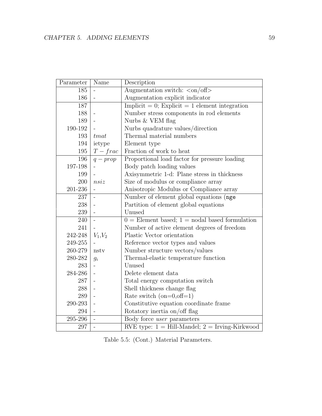| Parameter | Name                         | Description                                                 |
|-----------|------------------------------|-------------------------------------------------------------|
| 185       | $\overline{\phantom{a}}$     | Augmentation switch: $\langle \text{on}/\text{off} \rangle$ |
| 186       | $\frac{1}{2}$                | Augmentation explicit indicator                             |
| 187       |                              | Implicit = 0; Explicit = 1 element integration              |
| 188       |                              | Number stress components in rod elements                    |
| 189       |                              | Nurbs & VEM flag                                            |
| 190-192   |                              | Nurbs quadrature values/direction                           |
| 193       | $t$ <i>mat</i>               | Thermal material numbers                                    |
| 194       | ietype                       | Element type                                                |
| 195       | $T - frac$                   | Fraction of work to heat                                    |
| 196       | $q - prop$                   | Proportional load factor for pressure loading               |
| 197-198   |                              | Body patch loading values                                   |
| 199       |                              | Axisymmetric 1-d: Plane stress in thickness                 |
| 200       | nsiz                         | Size of modulus or compliance array                         |
| 201-236   | $\blacksquare$               | Anisotropic Modulus or Compliance array                     |
| 237       | $\frac{1}{2}$                | Number of element global equations (nge                     |
| 238       | $\frac{1}{2}$                | Partition of element global equations                       |
| 239       |                              | Unused                                                      |
| 240       | $\overline{a}$               | $0 =$ Element based; 1 = nodal based formulation            |
| 241       |                              | Number of active element degrees of freedom                 |
| 242-248   | $V_1, V_2$                   | Plastic Vector orientation                                  |
| 249-255   |                              | Reference vector types and values                           |
| 260-279   | nstv                         | Number structure vectors/values                             |
| 280-282   | $g_i$                        | Thermal-elastic temperature function                        |
| 283       | $\overline{a}$               | Unused                                                      |
| 284-286   | ÷,                           | Delete element data                                         |
| 287       | $\frac{1}{2}$                | Total energy computation switch                             |
| 288       | $\qquad \qquad -$            | Shell thickness change flag                                 |
| 289       |                              | Rate switch $(on=0, off=1)$                                 |
| 290-293   | $\qquad \qquad -$            | Constitutive equation coordinate frame                      |
| 294       | $\qquad \qquad \blacksquare$ | Rotatory inertia on/off flag                                |
| 295-296   | $\frac{1}{2}$                | Body force user parameters                                  |
| 297       | $\overline{a}$               | RVE type: $1 =$ Hill-Mandel; $2 =$ Irving-Kirkwood          |

Table 5.5: (Cont.) Material Parameters.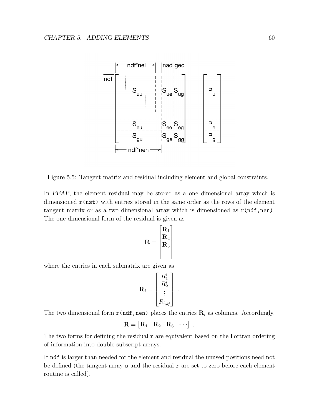

<span id="page-66-0"></span>Figure 5.5: Tangent matrix and residual including element and global constraints.

In FEAP, the element residual may be stored as a one dimensional array which is dimensioned  $r(nst)$  with entries stored in the same order as the rows of the element tangent matrix or as a two dimensional array which is dimensioned as  $r(ndf,nen)$ . The one dimensional form of the residual is given as

$$
\mathbf{R} = \begin{bmatrix} \mathbf{R}_1 \\ \mathbf{R}_2 \\ \mathbf{R}_3 \\ \vdots \end{bmatrix}
$$

where the entries in each submatrix are given as

$$
\mathbf{R}_i = \begin{bmatrix} R_1^i \\ R_2^i \\ \vdots \\ R_{ndf}^i \end{bmatrix} \ .
$$

The two dimensional form  $\mathbf{r}(\text{ndf},\text{nen})$  places the entries  $\mathbf{R}_i$  as columns. Accordingly,

$$
\mathbf{R} = \begin{bmatrix} \mathbf{R}_1 & \mathbf{R}_2 & \mathbf{R}_3 & \cdots \end{bmatrix}.
$$

The two forms for defining the residual  $r$  are equivalent based on the Fortran ordering of information into double subscript arrays.

If ndf is larger than needed for the element and residual the unused positions need not be defined (the tangent array  $s$  and the residual  $r$  are set to zero before each element routine is called).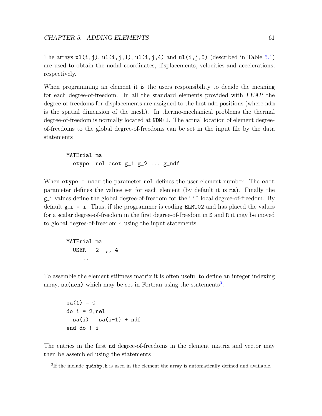The arrays  $x1(i,j)$ ,  $u1(i,j,1)$ ,  $u1(i,j,4)$  and  $u1(i,j,5)$  (described in Table [5.1\)](#page-54-0) are used to obtain the nodal coordinates, displacements, velocities and accelerations, respectively.

When programming an element it is the users responsibility to decide the meaning for each degree-of-freedom. In all the standard elements provided with FEAP the degree-of-freedoms for displacements are assigned to the first ndm positions (where ndm is the spatial dimension of the mesh). In thermo-mechanical problems the thermal degree-of-freedom is normally located at NDM+1. The actual location of element degreeof-freedoms to the global degree-of-freedoms can be set in the input file by the data statements

MATErial ma etype uel eset g\_1 g\_2 ... g\_ndf

When etype = user the parameter uel defines the user element number. The eset parameter defines the values set for each element (by default it is ma). Finally the g i values define the global degree-of-freedom for the "i" local degree-of-freedom. By default  $g_i$  = i. Thus, if the programmer is coding ELMT02 and has placed the values for a scalar degree-of-freedom in the first degree-of-freedom in S and R it may be moved to global degree-of-freedom 4 using the input statements

MATErial ma USER 2 ,, 4 ...

To assemble the element stiffness matrix it is often useful to define an integer indexing array,  $sa(nen)$  which may be set in Fortran using the statements<sup>[3](#page-67-0)</sup>:

 $sa(1) = 0$ do i = 2,nel  $sa(i) = sa(i-1) + ndf$ end do ! i

The entries in the first nd degree-of-freedoms in the element matrix and vector may then be assembled using the statements

<span id="page-67-0"></span><sup>&</sup>lt;sup>3</sup>If the include qudshp.h is used in the element the array is automatically defined and available.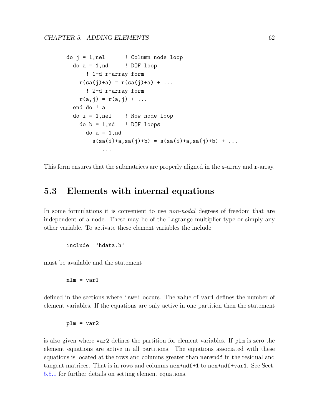```
do j = 1, nel ! Column node loopdo a = 1, nd ! DOF loop
      ! 1-d r-array form
   r(sa(j)+a) = r(sa(j)+a) + ...! 2-d r-array form
   r(a, j) = r(a, j) + ...end do ! a
 do i = 1, nel ! Row node loop
   do b = 1,nd ! DOF loops
     do a = 1,nd
       s(sa(i)+a, sa(j)+b) = s(sa(i)+a, sa(j)+b) + ......
```
This form ensures that the submatrices are properly aligned in the s-array and r-array.

# 5.3 Elements with internal equations

In some formulations it is convenient to use *non-nodal* degrees of freedom that are independent of a node. These may be of the Lagrange multiplier type or simply any other variable. To activate these element variables the include

include 'hdata.h'

must be available and the statement

 $nlm = var1$ 

defined in the sections where isw=1 occurs. The value of var1 defines the number of element variables. If the equations are only active in one partition then the statement

 $plm = var2$ 

is also given where var2 defines the partition for element variables. If plm is zero the element equations are active in all partitions. The equations associated with these equations is located at the rows and columns greater than nen\*ndf in the residual and tangent matrices. That is in rows and columns nen\*ndf+1 to nen\*ndf+var1. See Sect. [5.5.1](#page-75-0) for further details on setting element equations.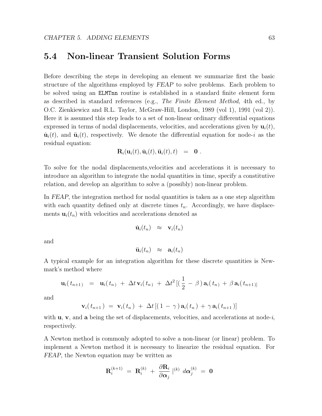# 5.4 Non-linear Transient Solution Forms

Before describing the steps in developing an element we summarize first the basic structure of the algorithms employed by FEAP to solve problems. Each problem to be solved using an ELMTnn routine is established in a standard finite element form as described in standard references (e.g., The Finite Element Method, 4th ed., by O.C. Zienkiewicz and R.L. Taylor, McGraw-Hill, London, 1989 (vol 1), 1991 (vol 2)). Here it is assumed this step leads to a set of non-linear ordinary differential equations expressed in terms of nodal displacements, velocities, and accelerations given by  $\mathbf{u}_i(t)$ ,  $\dot{\mathbf{u}}_i(t)$ , and  $\ddot{\mathbf{u}}_i(t)$ , respectively. We denote the differential equation for node-i as the residual equation:

$$
\mathbf{R}_i(\mathbf{u}_i(t),\dot{\mathbf{u}}_i(t),\ddot{\mathbf{u}}_i(t),t) = \mathbf{0}.
$$

To solve for the nodal displacements,velocities and accelerations it is necessary to introduce an algorithm to integrate the nodal quantities in time, specify a constitutive relation, and develop an algorithm to solve a (possibly) non-linear problem.

In FEAP, the integration method for nodal quantities is taken as a one step algorithm with each quantity defined only at discrete times  $t_n$ . Accordingly, we have displacements  $\mathbf{u}_i(t_n)$  with velocities and accelerations denoted as

$$
\dot{\mathbf{u}}_i(t_n) \quad \approx \quad \mathbf{v}_i(t_n)
$$

and

$$
\ddot{\mathbf{u}}_i(t_n) \quad \approx \quad \mathbf{a}_i(t_n)
$$

A typical example for an integration algorithm for these discrete quantities is Newmark's method where

$$
\mathbf{u}_{i}(t_{n+1}) = \mathbf{u}_{i}(t_{n}) + \Delta t \mathbf{v}_{i}(t_{n}) + \Delta t^{2} [(\frac{1}{2} - \beta) \mathbf{a}_{i}(t_{n}) + \beta \mathbf{a}_{i}(t_{n+1})]
$$

and

$$
\mathbf{v}_i(t_{n+1}) = \mathbf{v}_i(t_n) + \Delta t \left[ (1 - \gamma) \mathbf{a}_i(t_n) + \gamma \mathbf{a}_i(t_{n+1}) \right]
$$

with  $\bf{u}, \bf{v}$ , and a being the set of displacements, velocities, and accelerations at node-i, respectively.

A Newton method is commonly adopted to solve a non-linear (or linear) problem. To implement a Newton method it is necessary to linearize the residual equation. For FEAP, the Newton equation may be written as

$$
\mathbf{R}^{(k+1)}_{i} \; = \; \mathbf{R}^{(k)}_{i} \; + \; \frac{\partial \mathbf{R}_{i}}{\partial \boldsymbol{\alpha}_{j}} \; |^{(k)} \; d\boldsymbol{\alpha}^{(k)}_{j} \; = \; \mathbf{0}
$$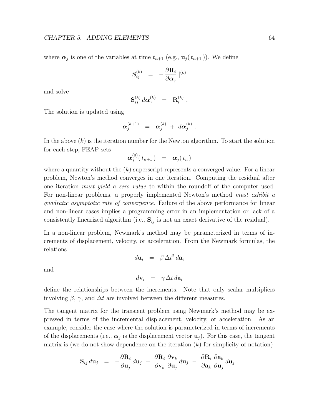where  $\alpha_j$  is one of the variables at time  $t_{n+1}$  (e.g.,  $\mathbf{u}_j(t_{n+1})$ ). We define

$$
\mathbf{S}^{(k)}_{ij} \;\; = \;\; - \frac{\partial \mathbf{R}_i}{\partial \boldsymbol{\alpha}_j} \;|^{(k)}
$$

and solve

$$
\mathbf{S}_{ij}^{(k)} d\boldsymbol{\alpha}_j^{(k)} = \mathbf{R}_i^{(k)}.
$$

The solution is updated using

$$
\pmb{\alpha}_j^{(k+1)} \;\; = \;\; \pmb{\alpha}_j^{(k)} \; + \; d\pmb{\alpha}_j^{(k)} \; .
$$

In the above  $(k)$  is the iteration number for the Newton algorithm. To start the solution for each step, FEAP sets

$$
\boldsymbol{\alpha}_j^{(0)}(\,t_{n+1}\,) \;\; = \;\; \boldsymbol{\alpha}_j(\,t_n\,)
$$

where a quantity without the  $(k)$  superscript represents a converged value. For a linear problem, Newton's method converges in one iteration. Computing the residual after one iteration must yield a zero value to within the roundoff of the computer used. For non-linear problems, a properly implemented Newton's method must exhibit a quadratic asymptotic rate of convergence. Failure of the above performance for linear and non-linear cases implies a programming error in an implementation or lack of a consistently linearized algorithm (i.e.,  $S_{ij}$  is not an exact derivative of the residual).

In a non-linear problem, Newmark's method may be parameterized in terms of increments of displacement, velocity, or acceleration. From the Newmark formulas, the relations

$$
d\mathbf{u}_i = \beta \Delta t^2 d\mathbf{a}_i
$$

and

$$
d\mathbf{v}_i = \gamma \, \Delta t \, d\mathbf{a}_i
$$

define the relationships between the increments. Note that only scalar multipliers involving  $\beta$ ,  $\gamma$ , and  $\Delta t$  are involved between the different measures.

The tangent matrix for the transient problem using Newmark's method may be expressed in terms of the incremental displacement, velocity, or acceleration. As an example, consider the case where the solution is parameterized in terms of increments of the displacements (i.e.,  $\alpha_j$  is the displacement vector  $\mathbf{u}_j$ ). For this case, the tangent matrix is (we do not show dependence on the iteration  $(k)$  for simplicity of notation)

$$
\mathbf{S}_{ij} d\mathbf{u}_j = -\frac{\partial \mathbf{R}_i}{\partial \mathbf{u}_j} d\mathbf{u}_j - \frac{\partial \mathbf{R}_i}{\partial \mathbf{v}_k} \frac{\partial \mathbf{v}_k}{\partial \mathbf{u}_j} d\mathbf{u}_j - \frac{\partial \mathbf{R}_i}{\partial \mathbf{a}_k} \frac{\partial \mathbf{a}_k}{\partial \mathbf{u}_j} d\mathbf{u}_j.
$$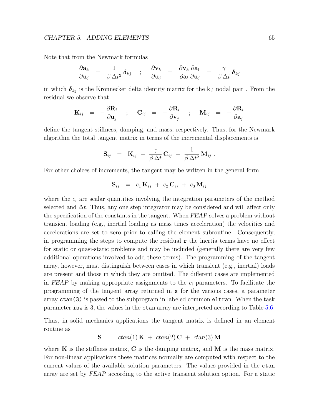#### CHAPTER 5. ADDING ELEMENTS 65

Note that from the Newmark formulas

$$
\frac{\partial \mathbf{a}_k}{\partial \mathbf{u}_j} = \frac{1}{\beta \Delta t^2} \boldsymbol{\delta}_{kj} \quad ; \quad \frac{\partial \mathbf{v}_k}{\partial \mathbf{u}_j} = \frac{\partial \mathbf{v}_k}{\partial \mathbf{a}_l} \frac{\partial \mathbf{a}_l}{\partial \mathbf{u}_j} = \frac{\gamma}{\beta \Delta t} \boldsymbol{\delta}_{kj}
$$

in which  $\delta_{kj}$  is the Kronnecker delta identity matrix for the k,j nodal pair. From the residual we observe that

$$
{\bf K}_{ij} \hspace{2mm} = \hspace{2mm} - \frac{\partial {\bf R}_i}{\partial {\bf u}_j} \hspace{2mm} ; \hspace{2mm} {\bf C}_{ij} \hspace{2mm} = \hspace{2mm} - \frac{\partial {\bf R}_i}{\partial {\bf v}_j} \hspace{2mm} ; \hspace{2mm} {\bf M}_{ij} \hspace{2mm} = \hspace{2mm} - \frac{\partial {\bf R}_i}{\partial {\bf a}_j}
$$

define the tangent stiffness, damping, and mass, respectively. Thus, for the Newmark algorithm the total tangent matrix in terms of the incremental displacements is

$$
\mathbf{S}_{ij} \hspace{2mm} = \hspace{2mm} \mathbf{K}_{ij} \hspace{2mm} + \hspace{2mm} \frac{\gamma}{\beta \, \Delta t} \, \mathbf{C}_{ij} \hspace{2mm} + \hspace{2mm} \frac{1}{\beta \, \Delta t^2} \, \mathbf{M}_{ij} \; .
$$

For other choices of increments, the tangent may be written in the general form

$$
{\bf S}_{ij} \ \ = \ \ c_1 \, {\bf K}_{ij} \; + \; c_2 \, {\bf C}_{ij} \; + \; c_3 \, {\bf M}_{ij}
$$

where the  $c_i$  are scalar quantities involving the integration parameters of the method selected and  $\Delta t$ . Thus, any one step integrator may be considered and will affect only the specification of the constants in the tangent. When FEAP solves a problem without transient loading (e.g., inertial loading as mass times acceleration) the velocities and accelerations are set to zero prior to calling the element subroutine. Consequently, in programming the steps to compute the residual  $\bf{r}$  the inertia terms have no effect for static or quasi-static problems and may be included (generally there are very few additional operations involved to add these terms). The programming of the tangent array, however, must distinguish between cases in which transient (e.g., inertial) loads are present and those in which they are omitted. The different cases are implemented in FEAP by making appropriate assignments to the  $c_i$  parameters. To facilitate the programming of the tangent array returned in s for the various cases, a parameter array ctan(3) is passed to the subprogram in labeled common eltran. When the task parameter isw is 3, the values in the ctan array are interpreted according to Table [5.6.](#page-72-0)

Thus, in solid mechanics applications the tangent matrix is defined in an element routine as

$$
S = \ctan(1) K + \ctan(2) C + \ctan(3) M
$$

where  $\bf{K}$  is the stiffness matrix,  $\bf{C}$  is the damping matrix, and  $\bf{M}$  is the mass matrix. For non-linear applications these matrices normally are computed with respect to the current values of the available solution parameters. The values provided in the ctan array are set by FEAP according to the active transient solution option. For a static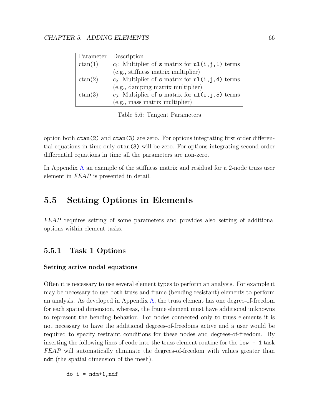| Parameter | Description                                                                                  |
|-----------|----------------------------------------------------------------------------------------------|
| ctan(1)   | $c_1$ : Multiplier of <b>s</b> matrix for <b>ul</b> ( <b>i</b> , <b>j</b> , <b>1</b> ) terms |
|           | (e.g., stiffness matrix multiplier)                                                          |
| ctan(2)   | $c_2$ : Multiplier of s matrix for $ul(i,j,4)$ terms                                         |
|           | (e.g., damping matrix multiplier)                                                            |
| ctan(3)   | $c_3$ : Multiplier of s matrix for $ul(i, j, 5)$ terms                                       |
|           | (e.g., mass matrix multiplier)                                                               |

Table 5.6: Tangent Parameters

option both ctan(2) and ctan(3) are zero. For options integrating first order differential equations in time only ctan(3) will be zero. For options integrating second order differential equations in time all the parameters are non-zero.

In Appendix [A](#page-116-0) an example of the stiffness matrix and residual for a 2-node truss user element in FEAP is presented in detail.

# 5.5 Setting Options in Elements

FEAP requires setting of some parameters and provides also setting of additional options within element tasks.

## 5.5.1 Task 1 Options

#### Setting active nodal equations

Often it is necessary to use several element types to perform an analysis. For example it may be necessary to use both truss and frame (bending resistant) elements to perform an analysis. As developed in Appendix [A,](#page-116-0) the truss element has one degree-of-freedom for each spatial dimension, whereas, the frame element must have additional unknowns to represent the bending behavior. For nodes connected only to truss elements it is not necessary to have the additional degrees-of-freedoms active and a user would be required to specify restraint conditions for these nodes and degrees-of-freedom. By inserting the following lines of code into the truss element routine for the isw = 1 task FEAP will automatically eliminate the degrees-of-freedom with values greater than ndm (the spatial dimension of the mesh).

 $do i = ndm+1, ndf$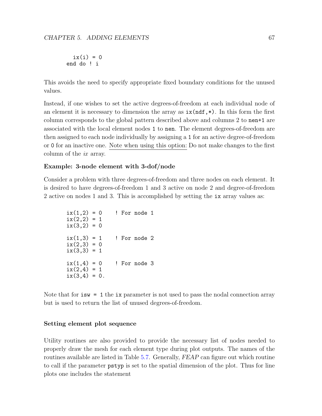```
ix(i) = 0end do ! i
```
This avoids the need to specify appropriate fixed boundary conditions for the unused values.

Instead, if one wishes to set the active degrees-of-freedom at each individual node of an element it is necessary to dimension the array as  $ix(ndf,*)$ . In this form the first column corresponds to the global pattern described above and columns 2 to nen+1 are associated with the local element nodes 1 to nen. The element degrees-of-freedom are then assigned to each node individually by assigning a 1 for an active degree-of-freedom or 0 for an inactive one. Note when using this option: Do not make changes to the first column of the ix array.

#### Example: 3-node element with 3-dof/node

Consider a problem with three degrees-of-freedom and three nodes on each element. It is desired to have degrees-of-freedom 1 and 3 active on node 2 and degree-of-freedom 2 active on nodes 1 and 3. This is accomplished by setting the ix array values as:

```
ix(1,2) = 0 ! For node 1
ix(2,2) = 1ix(3,2) = 0ix(1,3) = 1 ! For node 2
ix(2,3) = 0ix(3,3) = 1ix(1,4) = 0 ! For node 3
ix(2,4) = 1ix(3,4) = 0.
```
Note that for  $i \cdot \text{sw} = 1$  the  $i \cdot \text{ex}$  parameter is not used to pass the nodal connection array but is used to return the list of unused degrees-of-freedom.

#### Setting element plot sequence

Utility routines are also provided to provide the necessary list of nodes needed to properly draw the mesh for each element type during plot outputs. The names of the routines available are listed in Table [5.7.](#page-74-0) Generally, FEAP can figure out which routine to call if the parameter pstyp is set to the spatial dimension of the plot. Thus for line plots one includes the statement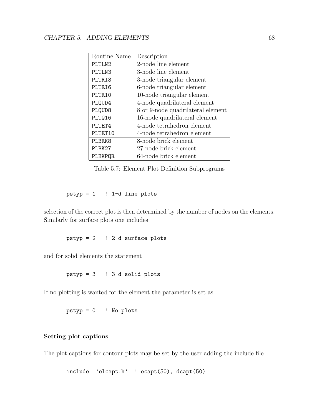| Routine Name | Description                       |
|--------------|-----------------------------------|
| PLTLN2       | 2-node line element               |
| PLTLN3       | 3-node line element               |
| PLTRI3       | 3-node triangular element         |
| PLTRI6       | 6-node triangular element         |
| PLTR10       | 10-node triangular element        |
| PLQUD4       | 4-node quadrilateral element      |
| PLQUD8       | 8 or 9-node quadrilateral element |
| PLTQ16       | 16-node quadrilateral element     |
| PLTET4       | 4-node tetrahedron element        |
| PLTET10      | 4-node tetrahedron element        |
| PLBRK8       | 8-node brick element              |
| PLBK27       | 27-node brick element             |
| PLBKPQR      | 64-node brick element             |

<span id="page-74-0"></span>Table 5.7: Element Plot Definition Subprograms

 $pstyle = 1$  ! 1-d line plots

selection of the correct plot is then determined by the number of nodes on the elements. Similarly for surface plots one includes

 $pstyle = 2$  ! 2-d surface plots

and for solid elements the statement

pstyp = 3 ! 3-d solid plots

If no plotting is wanted for the element the parameter is set as

pstyp = 0 ! No plots

#### Setting plot captions

The plot captions for contour plots may be set by the user adding the include file

```
include 'elcapt.h' ! ecapt(50), dcapt(50)
```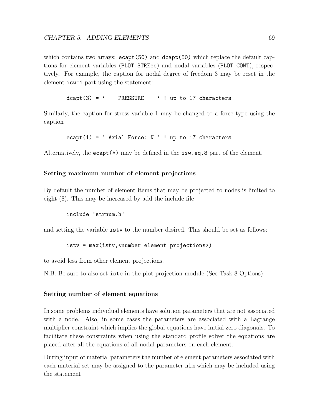which contains two arrays:  $\epsilon$ capt(50) and dcapt(50) which replace the default captions for element variables (PLOT STREss) and nodal variables (PLOT CONT), respectively. For example, the caption for nodal degree of freedom 3 may be reset in the element isw=1 part using the statement:

 $dcapt(3) = '$  PRESSURE ' ! up to 17 characters

Similarly, the caption for stress variable 1 may be changed to a force type using the caption

```
ecapt(1) = ' Axial Force: N ' ! up to 17 characters
```
Alternatively, the ecapt(\*) may be defined in the isw.eq.8 part of the element.

#### Setting maximum number of element projections

By default the number of element items that may be projected to nodes is limited to eight (8). This may be increased by add the include file

include 'strnum.h'

and setting the variable istv to the number desired. This should be set as follows:

istv = max(istv,<number element projections>)

to avoid loss from other element projections.

N.B. Be sure to also set iste in the plot projection module (See Task 8 Options).

#### Setting number of element equations

In some problems individual elements have solution parameters that are not associated with a node. Also, in some cases the parameters are associated with a Lagrange multiplier constraint which implies the global equations have initial zero diagonals. To facilitate these constraints when using the standard profile solver the equations are placed after all the equations of all nodal parameters on each element.

During input of material parameters the number of element parameters associated with each material set may be assigned to the parameter nlm which may be included using the statement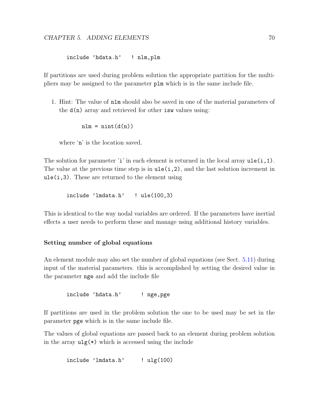include 'hdata.h' ! nlm,plm

If partitions are used during problem solution the appropriate partition for the multipliers may be assigned to the parameter plm which is in the same include file.

1. Hint: The value of nlm should also be saved in one of the material parameters of the  $d(n)$  array and retrieved for other is values using:

 $nlm = nint(d(n))$ 

where 'n' is the location saved.

The solution for parameter 'i' in each element is returned in the local array  $u \cdot (i,1)$ . The value at the previous time step is in  $ule(i,2)$ , and the last solution increment in  $ule(i,3).$  These are returned to the element using

include 'lmdata.h' ! ule(100,3)

This is identical to the way nodal variables are ordered. If the parameters have inertial effects a user needs to perform these and manage using additional history variables.

#### Setting number of global equations

An element module may also set the number of global equations (see Sect. [5.11\)](#page-89-0) during input of the material parameters. this is accomplished by setting the desired value in the parameter nge and add the include file

include 'hdata.h' ! nge,pge

If partitions are used in the problem solution the one to be used may be set in the parameter pge which is in the same include file.

The values of global equations are passed back to an element during problem solution in the array  $\mathbf{u}_g(*)$  which is accessed using the include

```
include 'lmdata.h' ! ulg(100)
```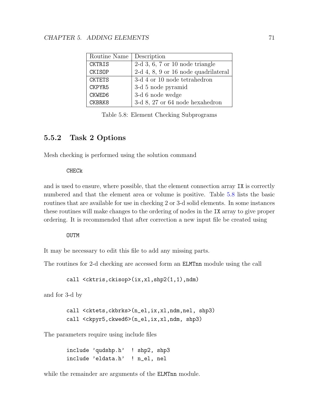| Routine Name  | Description                            |
|---------------|----------------------------------------|
| CKTRIS        | $2-d$ 3, 6, 7 or 10 node triangle      |
| CKISOP        | $2-d$ 4, 8, 9 or 16 node quadrilateral |
| <b>CKTETS</b> | $3-d$ 4 or 10 node tetrahedron         |
| CKPYR5        | 3-d 5 node pyramid                     |
| CKWED6        | 3-d 6 node wedge                       |
| <b>CKBRK8</b> | 3-d 8, 27 or 64 node hexahedron        |

<span id="page-77-0"></span>Table 5.8: Element Checking Subprograms

# 5.5.2 Task 2 Options

Mesh checking is performed using the solution command

CHECk

and is used to ensure, where possible, that the element connection array IX is correctly numbered and that the element area or volume is positive. Table [5.8](#page-77-0) lists the basic routines that are available for use in checking 2 or 3-d solid elements. In some instances these routines will make changes to the ordering of nodes in the IX array to give proper ordering. It is recommended that after correction a new input file be created using

**OUTM** 

It may be necessary to edit this file to add any missing parts.

The routines for 2-d checking are accessed form an ELMTnn module using the call

call <cktris,ckisop>(ix,xl,shp2(1,1),ndm)

and for 3-d by

call <cktets,ckbrks>(n\_el,ix,xl,ndm,nel, shp3) call <ckpyr5,ckwed6>(n\_el,ix,xl,ndm, shp3)

The parameters require using include files

include 'qudshp.h' ! shp2, shp3 include 'eldata.h' ! n\_el, nel

while the remainder are arguments of the **ELMTnn** module.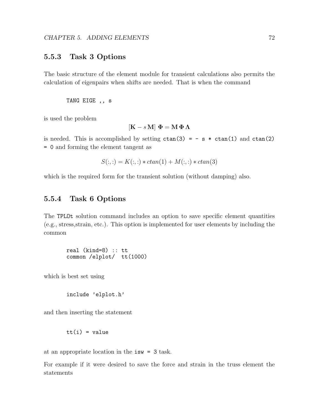## 5.5.3 Task 3 Options

The basic structure of the element module for transient calculations also permits the calculation of eigenpairs when shifts are needed. That is when the command

TANG EIGE ,, s

is used the problem

$$
[\mathbf{K} - s \mathbf{M}] \mathbf{\Phi} = \mathbf{M} \mathbf{\Phi} \mathbf{\Lambda}
$$

is needed. This is accomplished by setting  $ctan(3) = -s * ctan(1)$  and  $ctan(2)$ = 0 and forming the element tangent as

$$
S(:,:) = K(:,:) * chan(1) + M(:,:) * chan(3)
$$

which is the required form for the transient solution (without damping) also.

## 5.5.4 Task 6 Options

The TPLOt solution command includes an option to save specific element quantities (e.g., stress,strain, etc.). This option is implemented for user elements by including the common

real (kind=8) :: tt common /elplot/ tt(1000)

which is best set using

include 'elplot.h'

and then inserting the statement

$$
tt(i) = value
$$

at an appropriate location in the isw = 3 task.

For example if it were desired to save the force and strain in the truss element the statements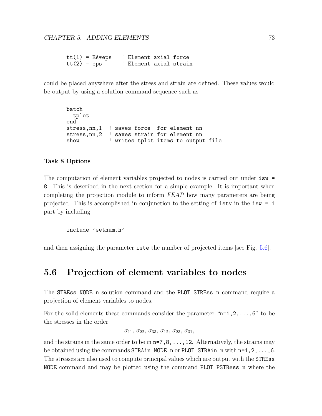$tt(1) = EA*eps$  ! Element axial force<br> $tt(2) =eps$  ! Element axial strain ! Element axial strain

could be placed anywhere after the stress and strain are defined. These values would be output by using a solution command sequence such as

```
batch
 tplot
end
stress, nn, 1 ! saves force for element nn
stress,nn,2 ! saves strain for element nn
show ! writes tplot items to output file
```
#### Task 8 Options

The computation of element variables projected to nodes is carried out under isw = 8. This is described in the next section for a simple example. It is important when completing the projection module to inform FEAP how many parameters are being projected. This is accomplished in conjunction to the setting of istv in the isw = 1 part by including

```
include 'setnum.h'
```
and then assigning the parameter iste the number of projected items [see Fig. [5.6\]](#page-82-0).

# 5.6 Projection of element variables to nodes

The STREss NODE n solution command and the PLOT STREss n command require a projection of element variables to nodes.

For the solid elements these commands consider the parameter " $n=1,2,\ldots,6$ " to be the stresses in the order

```
\sigma_{11}, \sigma_{22}, \sigma_{33}, \sigma_{12}, \sigma_{23}, \sigma_{31},
```
and the strains in the same order to be in  $n=7,8,\ldots,12$ . Alternatively, the strains may be obtained using the commands STRAin NODE n or PLOT STRAin n with  $n=1,2,\ldots,6$ . The stresses are also used to compute principal values which are output with the STREss NODE command and may be plotted using the command PLOT PSTRess n where the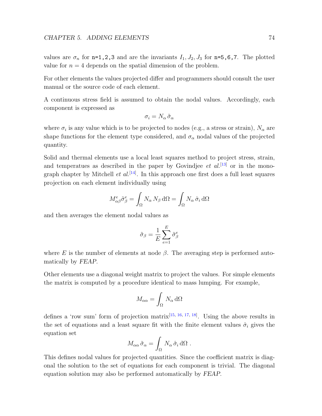values are  $\sigma_n$  for n=1,2,3 and are the invariants  $I_1, J_2, J_3$  for n=5,6,7. The plotted value for  $n = 4$  depends on the spatial dimension of the problem.

For other elements the values projected differ and programmers should consult the user manual or the source code of each element.

A continuous stress field is assumed to obtain the nodal values. Accordingly, each component is expressed as

$$
\sigma_i = N_\alpha \,\tilde{\sigma}_\alpha
$$

where  $\sigma_i$  is any value which is to be projected to nodes (e.g., a stress or strain),  $N_\alpha$  are shape functions for the element type considered, and  $\sigma_{\alpha}$  nodal values of the projected quantity.

Solid and thermal elements use a local least squares method to project stress, strain, and temperatues as described in the paper by Govindiee *et al.*<sup>[\[13\]](#page-128-0)</sup> or in the monograph chapter by Mitchell *et al.*<sup>[\[14\]](#page-128-1)</sup>. In this approach one first does a full least squares projection on each element individually using

$$
M^e_{\alpha\beta}\tilde{\sigma}^e_{\beta} = \int_{\Omega} N_{\alpha} N_{\beta} \,d\Omega = \int_{\Omega} N_{\alpha} \,\hat{\sigma}_i \,d\Omega
$$

and then averages the element nodal values as

$$
\tilde{\sigma}_{\beta} = \frac{1}{E} \sum_{e=1}^{E} \tilde{\sigma}_{\beta}^{e}
$$

where E is the number of elements at node  $\beta$ . The averaging step is performed automatically by FEAP.

Other elements use a diagonal weight matrix to project the values. For simple elements the matrix is computed by a procedure identical to mass lumping. For example,

$$
M_{\alpha\alpha} = \int_{\Omega} N_{\alpha} \, d\Omega
$$

defines a 'row sum' form of projection matrix<sup>[\[15,](#page-128-2) [16,](#page-128-3) [17,](#page-128-4) [18\]](#page-128-5)</sup>. Using the above results in the set of equations and a least square fit with the finite element values  $\hat{\sigma}_i$  gives the equation set

$$
M_{\alpha\alpha}\,\tilde{\sigma}_{\alpha} = \int_{\Omega}\,N_{\alpha}\,\hat{\sigma}_i\,\mathrm{d}\Omega\;.
$$

This defines nodal values for projected quantities. Since the coefficient matrix is diagonal the solution to the set of equations for each component is trivial. The diagonal equation solution may also be performed automatically by FEAP.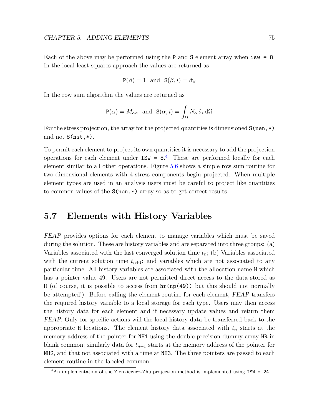Each of the above may be performed using the P and S element array when  $i\text{sw} = 8$ . In the local least squares approach the values are returned as

$$
P(\beta) = 1
$$
 and  $S(\beta, i) = \tilde{\sigma}_{\beta}$ 

In the row sum algorithm the values are returned as

$$
P(\alpha) = M_{\alpha\alpha} \text{ and } S(\alpha, i) = \int_{\Omega} N_{\alpha} \hat{\sigma}_i d\Omega
$$

For the stress projection, the array for the projected quantities is dimensioned  $S(nen,*)$ and not S(nst,\*).

To permit each element to project its own quantities it is necessary to add the projection operations for each element under  $ISW = 8.4$  $ISW = 8.4$  These are performed locally for each element similar to all other operations. Figure [5.6](#page-82-0) shows a simple row sum routine for two-dimensional elements with 4-stress components begin projected. When multiple element types are used in an analysis users must be careful to project like quantities to common values of the  $S(nen,*)$  array so as to get correct results.

# 5.7 Elements with History Variables

FEAP provides options for each element to manage variables which must be saved during the solution. These are history variables and are separated into three groups: (a) Variables associated with the last converged solution time  $t_n$ ; (b) Variables associated with the current solution time  $t_{n+1}$ ; and variables which are not associated to any particular time. All history variables are associated with the allocation name H which has a pointer value 49. Users are not permitted direct access to the data stored as H (of course, it is possible to access from  $\text{hr}(\text{np}(49))$ ) but this should not normally be attempted!). Before calling the element routine for each element, FEAP transfers the required history variable to a local storage for each type. Users may then access the history data for each element and if necessary update values and return them FEAP. Only for specific actions will the local history data be transferred back to the appropriate H locations. The element history data associated with  $t_n$  starts at the memory address of the pointer for NH1 using the double precision dummy array HR in blank common; similarly data for  $t_{n+1}$  starts at the memory address of the pointer for NH2, and that not associated with a time at NH3. The three pointers are passed to each element routine in the labeled common

<span id="page-81-0"></span><sup>4</sup>An implementation of the Zienkiewicz-Zhu projection method is implemented using ISW = 24.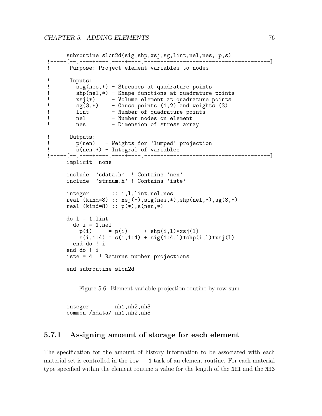```
subroutine slcn2d(sig,shp,xsj,sg,lint,nel,nes, p,s)
!-----[--.----+----.----+----.---------------------------------------]
! Purpose: Project element variables to nodes
! Inputs:<br>! sig(n
        sig(nes,*) - Stresses at quadrature points
! shp(nel,*) - Shape functions at quadrature points
! xsj(*) - Volume element at quadrature points
\text{sg}(3,*) - Gauss points (1,2) and weights (3)! lint - Number of quadrature points
! nel - Number nodes on element
! nes - Dimension of stress array
! Outputs:
! p(nen) - Weights for 'lumped' projection
! s(nen,*) - Integral of variables
!-----[--.----+----.----+----.---------------------------------------]
     implicit none
     include 'cdata.h' ! Contains 'nen'
     include 'strnum.h' ! Contains 'iste'
     integer :: i,l,lint,nel,nes
     real (kind=8) :: xsj(*), sig(nes,*), shp(nel,*), sg(3,*)real (kind=8): p(*), s(nen,*)do 1 = 1,lint
       do i = 1, nel
        p(i) = p(i) + shp(i,1) * xs(i)s(i,1:4) = s(i,1:4) + sig(1:4,1)*shp(i,1)*xsj(1)end do ! i
     end do ! i
     iste = 4 ! Returns number projections
     end subroutine slcn2d
```
<span id="page-82-0"></span>Figure 5.6: Element variable projection routine by row sum

integer nh1,nh2,nh3 common /hdata/ nh1,nh2,nh3

## 5.7.1 Assigning amount of storage for each element

The specification for the amount of history information to be associated with each material set is controlled in the isw = 1 task of an element routine. For each material type specified within the element routine a value for the length of the NH1 and the NH3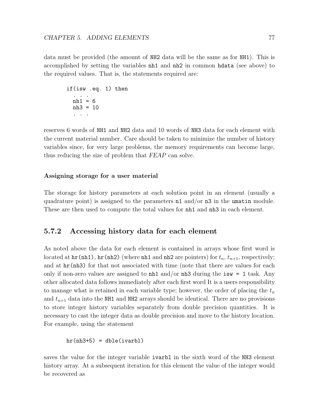data must be provided (the amount of NH2 data will be the same as for NH1). This is accomplished by setting the variables nh1 and nh2 in common hdata (see above) to the required values. That is, the statements required are:

```
if(isw .eq. 1) then
  . . .
 nh1 = 6nh3 = 10
  . . .
```
reserves 6 words of NH1 and NH2 data and 10 words of NH3 data for each element with the current material number. Care should be taken to minimize the number of history variables since, for very large problems, the memory requirements can become large, thus reducing the size of problem that FEAP can solve.

#### Assigning storage for a user material

The storage for history parameters at each solution point in an element (usually a quadrature point) is assigned to the parameters  $n1$  and/or  $n3$  in the umatin module. These are then used to compute the total values for  $n h 1$  and  $n h 3$  in each element.

## 5.7.2 Accessing history data for each element

As noted above the data for each element is contained in arrays whose first word is located at  $hr(nh1)$ ,  $hr(nh2)$  (where nh1 and nh2 are pointers) for  $t_n$ ,  $t_{n+1}$ , respectively; and at  $hr(nh3)$  for that not associated with time (note that there are values for each only if non-zero values are assigned to  $nh1$  and/or  $nh3$  during the isw = 1 task. Any other allocated data follows immediately after each first word It is a users responsibility to manage what is retained in each variable type; however, the order of placing the  $t_n$ and  $t_{n+1}$  data into the NH1 and NH2 arrays should be identical. There are no provisions to store integer history variables separately from double precision quantities. It is necessary to cast the integer data as double precision and move to the history location. For example, using the statement

 $hr(nh3+5) = dble(ivarbl)$ 

saves the value for the integer variable ivarbl in the sixth word of the NH3 element history array. At a subsequent iteration for this element the value of the integer would be recovered as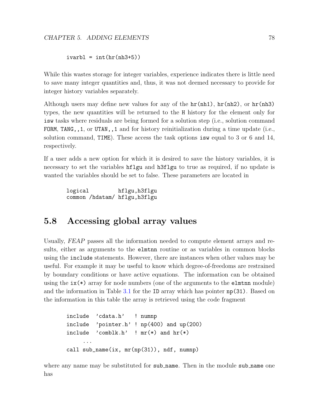```
ivarbl = int(hr(nh3+5))
```
While this wastes storage for integer variables, experience indicates there is little need to save many integer quantities and, thus, it was not deemed necessary to provide for integer history variables separately.

Although users may define new values for any of the  $hr(nh1)$ ,  $hr(nh2)$ , or  $hr(nh3)$ types, the new quantities will be returned to the H history for the element only for isw tasks where residuals are being formed for a solution step (i.e., solution command FORM, TANG,, 1, or UTAN,, 1 and for history reinitialization during a time update (i.e., solution command, TIME). These access the task options isw equal to 3 or 6 and 14, respectively.

If a user adds a new option for which it is desired to save the history variables, it is necessary to set the variables hflgu and h3flgu to true as required, if no update is wanted the variables should be set to false. These parameters are located in

logical hflgu,h3flgu common /hdatam/ hflgu,h3flgu

# 5.8 Accessing global array values

Usually, FEAP passes all the information needed to compute element arrays and results, either as arguments to the elmtnn routine or as variables in common blocks using the include statements. However, there are instances when other values may be useful. For example it may be useful to know which degree-of-freedoms are restrained by boundary conditions or have active equations. The information can be obtained using the  $ix(*)$  array for node numbers (one of the arguments to the elmtnn module) and the information in Table [3.1](#page-18-0) for the ID array which has pointer np(31). Based on the information in this table the array is retrieved using the code fragment

```
include 'cdata.h' ! numnp
include 'pointer.h' ! np(400) and up(200)
include 'comblk.h' ! mr(*) and hr(*)...
call sub_name(ix, mr(np(31)), ndf, numnp)
```
where any name may be substituted for sub name. Then in the module sub name one has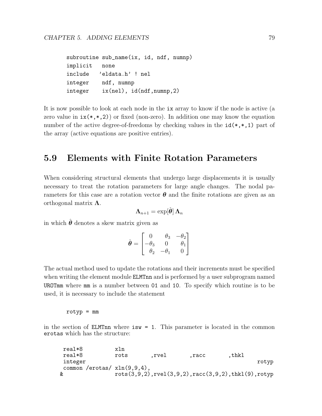```
subroutine sub_name(ix, id, ndf, numnp)
implicit none
include 'eldata.h' ! nel
integer ndf, numnp
integer ix(nel), id(ndf,numnp,2)
```
It is now possible to look at each node in the ix array to know if the node is active (a zero value in  $ix(*,*,2)$  or fixed (non-zero). In addition one may know the equation number of the active degree-of-freedoms by checking values in the  $id(*,*,1)$  part of the array (active equations are positive entries).

# 5.9 Elements with Finite Rotation Parameters

When considering structural elements that undergo large displacements it is usually necessary to treat the rotation parameters for large angle changes. The nodal parameters for this case are a rotation vector  $\theta$  and the finite rotations are given as an orthogonal matrix  $\Lambda$ .

$$
\boldsymbol{\Lambda}_{n+1}=\exp[\hat{\boldsymbol{\theta}}]\,\boldsymbol{\Lambda}_{n}
$$

in which  $\hat{\boldsymbol{\theta}}$  denotes a skew matrix given as

$$
\hat{\boldsymbol{\theta}} = \begin{bmatrix} 0 & \theta_3 & -\theta_2 \\ -\theta_3 & 0 & \theta_1 \\ \theta_2 & -\theta_1 & 0 \end{bmatrix}
$$

The actual method used to update the rotations and their increments must be specified when writing the element module **ELMTnn** and is performed by a user subprogram named UROTmm where mm is a number between 01 and 10. To specify which routine is to be used, it is necessary to include the statement

 $rotyp = mm$ 

in the section of **ELMTnn** where  $\mathbf{i}$  sw = 1. This parameter is located in the common erotas which has the structure:

| real*8                         | xln  |       |                                                                     |       |       |
|--------------------------------|------|-------|---------------------------------------------------------------------|-------|-------|
| real*8                         | rots | .rvel | .racc                                                               | ,thkl |       |
| integer                        |      |       |                                                                     |       | rotyp |
| common /erotas/ $xln(9,9,4)$ , |      |       |                                                                     |       |       |
| &                              |      |       | $rots(3,9,2)$ , $rvel(3,9,2)$ , $racc(3,9,2)$ , $thkl(9)$ , $rotyp$ |       |       |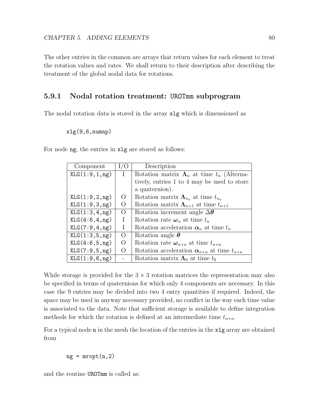The other entries in the common are arrays that return values for each element to treat the rotation values and rates. We shall return to their description after describing the treatment of the global nodal data for rotations.

## 5.9.1 Nodal rotation treatment: UROTmm subprogram

The nodal rotation data is stored in the array xlg which is dimensioned as

#### xlg(9,6,numnp)

For node ng, the entries in xlg are stored as follows:

| Component       | O                | Description                                                 |
|-----------------|------------------|-------------------------------------------------------------|
| XLG(1:9,1,ng)   | $\mathbf{L}$     | Rotation matrix $\Lambda_n$ at time $t_n$ (Alterna-         |
|                 |                  | tively, entries 1 to 4 may be used to store                 |
|                 |                  | a quaternion).                                              |
| XLG(1:9,2,ng)   | $\Omega$         | Rotation matrix $\Lambda_{n_a}$ at time $t_{n_a}$           |
| XLG(1:9,3,ng)   | $\theta$         | Rotation matrix $\Lambda_{n+1}$ at time $t_{n+1}$           |
| XLG(1:3,4,ng)   | $\left( \right)$ | Rotation increment angle $\Delta\theta$                     |
| XLG(4:6, 4, ng) | Ι                | Rotation rate $\boldsymbol{\omega}_n$ at time $t_n$         |
| XLG(7:9,4,ng)   | Ι                | Rotation acceleration $\alpha_n$ at time $t_n$              |
| XLG(1:3,5,ng)   | $\left( \right)$ | Rotation angle $\theta$                                     |
| XLG(4:6,5,ng)   | $\Omega$         | Rotation rate $\boldsymbol{\omega}_{n+a}$ at time $t_{n+a}$ |
| XLG(7:9,5,ng)   |                  | Rotation acceleration $\alpha_{n+a}$ at time $t_{n+a}$      |
| XLG(1:9,6,ng)   |                  | Rotation matrix $\Lambda_0$ at time $t_0$                   |

While storage is provided for the  $3 \times 3$  rotation matrices the representation may also be specified in terms of quaternions for which only 4 components are necessary. In this case the 9 entries may be divided into two 4 entry quantities if required. Indeed, the space may be used in anyway necessary provided, no conflict in the way each time value is associated to the data. Note that sufficient storage is available to define integration methods for which the rotation is defined at an intermediate time  $t_{n+a}$ .

For a typical node n in the mesh the location of the entries in the xlg array are obtained from

 $ng = mroot(n,2)$ 

and the routine UROTmm is called as: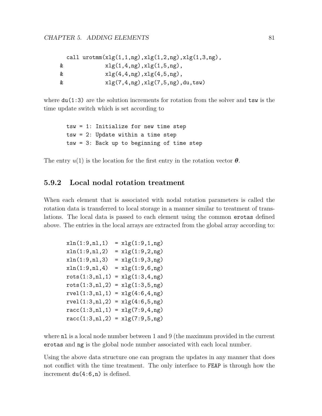|   | call $urotmm(xlg(1,1,ng),xlg(1,2,ng),xlg(1,3,ng),$ |
|---|----------------------------------------------------|
| & | xlg(1,4,ng), xlg(1,5,ng),                          |
| & | xlg(4,4,ng), xlg(4,5,ng),                          |
| & | xlg(7,4,ng), xlg(7,5,ng), du, tsw)                 |

where  $du(1:3)$  are the solution increments for rotation from the solver and  $\tan x$  is the time update switch which is set according to

```
tsw = 1: Initialize for new time step
tsw = 2: Update within a time step
tsw = 3: Back up to beginning of time step
```
The entry  $u(1)$  is the location for the first entry in the rotation vector  $\boldsymbol{\theta}$ .

# 5.9.2 Local nodal rotation treatment

When each element that is associated with nodal rotation parameters is called the rotation data is transferred to local storage in a manner similar to treatment of translations. The local data is passed to each element using the common erotas defined above. The entries in the local arrays are extracted from the global array according to:

| xln(1:9, n1, 1) | $= xlg(1:9,1,ng)$                    |
|-----------------|--------------------------------------|
| xln(1:9, n1, 2) | $= xlg(1:9,2,ng)$                    |
| xln(1:9, n1, 3) | $= xlg(1:9,3,ng)$                    |
| xln(1:9, n1, 4) | $= xlg(1:9,6,ng)$                    |
| rots(1:3,n1,1)  | $= xlg(1:3,4,ng)$                    |
| rots(1:3,n1,2)  | $= xlg(1:3,5,ng)$                    |
|                 | $rvel(1:3, n1, 1) = xlg(4:6, 4, ng)$ |
|                 | $rvel(1:3, n1, 2) = xlg(4:6, 5, ng)$ |
|                 | $racc(1:3, n1, 1) = xlg(7:9, 4, ng)$ |
|                 | $racc(1:3, n1, 2) = xlg(7:9, 5, ng)$ |

where **nl** is a local node number between 1 and 9 (the maximum provided in the current erotas and ng is the global node number associated with each local number.

Using the above data structure one can program the updates in any manner that does not conflict with the time treatment. The only interface to FEAP is through how the increment du(4:6,n) is defined.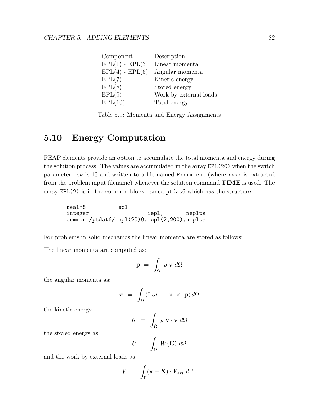| Component           | Description            |
|---------------------|------------------------|
| $EPL(1)$ - $EPL(3)$ | Linear momenta         |
| $EPL(4)$ - $EPL(6)$ | Angular momenta        |
| EPL(7)              | Kinetic energy         |
| EPL(8)              | Stored energy          |
| EPL(9)              | Work by external loads |
| EPL(10)             | Total energy           |

Table 5.9: Momenta and Energy Assignments

# 5.10 Energy Computation

FEAP elements provide an option to accumulate the total momenta and energy during the solution process. The values are accumulated in the array EPL(20) when the switch parameter isw is 13 and written to a file named Pxxxx.ene (where xxxx is extracted from the problem input filename) whenever the solution command TIME is used. The array EPL(2) is in the common block named ptdat6 which has the structure:

real\*8 epl integer iepl, neplts common /ptdat6/ epl(20)0,iepl(2,200),neplts

For problems in solid mechanics the linear momenta are stored as follows:

The linear momenta are computed as:

$$
\mathbf{p} = \int_{\Omega} \rho \mathbf{v} \, d\Omega
$$

the angular momenta as:

$$
\boldsymbol{\pi} = \int_{\Omega} (\mathbf{I} \boldsymbol{\omega} + \mathbf{x} \times \mathbf{p}) d\Omega
$$

the kinetic energy

$$
K = \int_{\Omega} \rho \mathbf{v} \cdot \mathbf{v} \, d\Omega
$$

the stored energy as

$$
U = \int_{\Omega} W(\mathbf{C}) \; d\Omega
$$

and the work by external loads as

$$
V = \int_{\Gamma} (\mathbf{x} - \mathbf{X}) \cdot \mathbf{F}_{ext} d\Gamma.
$$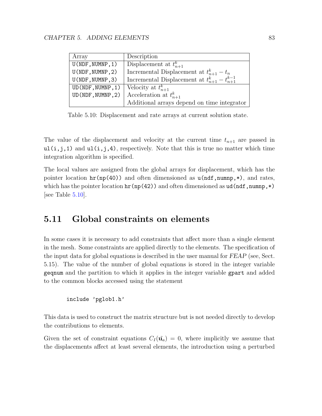| Array             | Description                                             |
|-------------------|---------------------------------------------------------|
| U(NDF, NUMNP, 1)  | Displacement at $t_{n+1}^k$                             |
| U(NDF, NUMNP, 2)  | Incremental Displacement at $t_{n+1}^k - t_n$           |
| U(NDF, NUMNP, 3)  | Incremental Displacement at $t_{n+1}^k - t_{n+1}^{k-1}$ |
| UD(NDF, NUMNP, 1) | Velocity at $t_{n+1}^k$                                 |
| UD(NDF, NUMNP, 2) | Acceleration at $t_{n+1}^k$                             |
|                   | Additional arrays depend on time integrator             |

<span id="page-89-1"></span>Table 5.10: Displacement and rate arrays at current solution state.

The value of the displacement and velocity at the current time  $t_{n+1}$  are passed in  $ul(i,j,1)$  and  $ul(i,j,4)$ , respectively. Note that this is true no matter which time integration algorithm is specified.

The local values are assigned from the global arrays for displacement, which has the pointer location  $hr(np(40))$  and often dimensioned as  $u(ndf,numnp,*)$ , and rates, which has the pointer location  $hr(np(42))$  and often dimensioned as  $ud(ndf,nump,*)$ [see Table [5.10\]](#page-89-1).

# <span id="page-89-0"></span>5.11 Global constraints on elements

In some cases it is necessary to add constraints that affect more than a single element in the mesh. Some constraints are applied directly to the elements. The specification of the input data for global equations is described in the user manual for FEAP (see, Sect. 5.15). The value of the number of global equations is stored in the integer variable geqnum and the partition to which it applies in the integer variable gpart and added to the common blocks accessed using the statement

```
include 'pglob1.h'
```
This data is used to construct the matrix structure but is not needed directly to develop the contributions to elements.

Given the set of constraint equations  $C_I(\tilde{\mathbf{u}}_a) = 0$ , where implicitly we assume that the displacements affect at least several elements, the introduction using a perturbed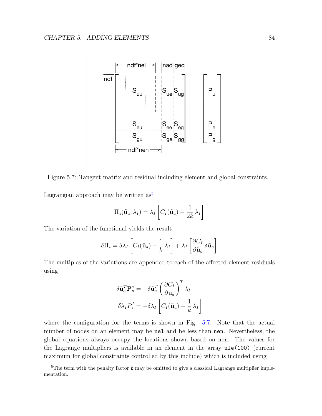

<span id="page-90-1"></span>Figure 5.7: Tangent matrix and residual including element and global constraints.

Lagrangian approach may be written  $as<sup>5</sup>$  $as<sup>5</sup>$  $as<sup>5</sup>$ 

$$
\Pi_{\lambda}(\tilde{\mathbf{u}}_a, \lambda_I) = \lambda_I \left[ C_I(\tilde{\mathbf{u}}_a) - \frac{1}{2k} \lambda_I \right]
$$

The variation of the functional yields the result

$$
\delta\Pi_{\lambda} = \delta\lambda_{I} \left[ C_{I}(\tilde{\mathbf{u}}_{a}) - \frac{1}{k} \lambda_{I} \right] + \lambda_{I} \left[ \frac{\partial C_{I}}{\partial \tilde{\mathbf{u}}_{a}} \delta \tilde{\mathbf{u}}_{a} \right]
$$

The multiples of the variations are appended to each of the affected element residuals using

$$
\delta \tilde{\mathbf{u}}_a^T \mathbf{P}_u^a = -\delta \tilde{\mathbf{u}}_a^T \left( \frac{\partial C_I}{\partial \tilde{\mathbf{u}}_a} \right)^T \lambda_I
$$

$$
\delta \lambda_I P_\lambda^I = -\delta \lambda_I \left[ C_I(\tilde{\mathbf{u}}_a) - \frac{1}{k} \lambda_I \right]
$$

where the configuration for the terms is shown in Fig. [5.7.](#page-90-1) Note that the actual number of nodes on an element may be nel and be less than nen. Nevertheless, the global equations always occupy the locations shown based on nen. The values for the Lagrange multipliers is available in an element in the array ule(100) (current maximum for global constraints controlled by this include) which is included using

<span id="page-90-0"></span><sup>&</sup>lt;sup>5</sup>The term with the penalty factor k may be omitted to give a classical Lagrange multiplier implementation.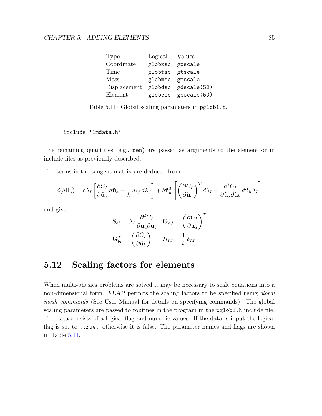| Type         | Logical | Values      |
|--------------|---------|-------------|
| Coordinate   | globxsc | gxscale     |
| Time         | globtsc | gtscale     |
| Mass         | globmsc | gmscale     |
| Displacement | globdsc | gdscale(50) |
| Element      | globesc | gescale(50) |

<span id="page-91-0"></span>Table 5.11: Global scaling parameters in pglob1.h.

#### include 'lmdata.h'

The remaining quantities (e.g., nen) are passed as arguments to the element or in include files as previously described.

The terms in the tangent matrix are deduced from

$$
d(\delta\Pi_{\lambda}) = \delta\lambda_{I} \left[ \frac{\partial C_{I}}{\partial \tilde{\mathbf{u}}_{a}} d\tilde{\mathbf{u}}_{a} - \frac{1}{k} \delta_{IJ} d\lambda_{J} \right] + \delta \tilde{\mathbf{u}}_{a}^{T} \left[ \left( \frac{\partial C_{I}}{\partial \tilde{\mathbf{u}}_{a}} \right)^{T} d\lambda_{I} + \frac{\partial^{2} C_{I}}{\partial \tilde{\mathbf{u}}_{a} \partial \tilde{\mathbf{u}}_{b}} d\tilde{\mathbf{u}}_{b} \lambda_{I} \right]
$$

and give

$$
\mathbf{S}_{ab} = \lambda_I \frac{\partial^2 C_I}{\partial \tilde{\mathbf{u}}_a \partial \tilde{\mathbf{u}}_b} \quad \mathbf{G}_{aJ} = \left(\frac{\partial C_I}{\partial \tilde{\mathbf{u}}_a}\right)^T
$$

$$
\mathbf{G}_{bI}^T = \left(\frac{\partial C_I}{\partial \tilde{\mathbf{u}}_b}\right) \qquad H_{IJ} = \frac{1}{k} \delta_{IJ}
$$

# 5.12 Scaling factors for elements

When multi-physics problems are solved it may be necessary to scale equations into a non-dimensional form. FEAP permits the scaling factors to be specified using *global* mesh commands (See User Manual for details on specifying commands). The global scaling parameters are passed to routines in the program in the pglob1.h include file. The data consists of a logical flag and numeric values. If the data is input the logical flag is set to .true. otherwise it is false. The parameter names and flags are shown in Table [5.11.](#page-91-0)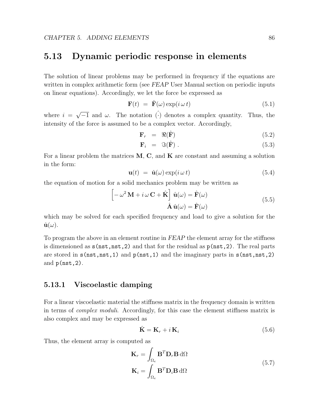# 5.13 Dynamic periodic response in elements

The solution of linear problems may be performed in frequency if the equations are written in complex arithmetic form (see FEAP User Manual section on periodic inputs on linear equations). Accordingly, we let the force be expressed as

$$
\mathbf{F}(t) = \hat{\mathbf{F}}(\omega) \exp(i \omega t) \tag{5.1}
$$

where  $i =$  $\sqrt{-1}$  and  $\omega$ . The notation  $\hat{(\cdot)}$  denotes a complex quantity. Thus, the intensity of the force is assumed to be a complex vector. Accordingly,

$$
\mathbf{F}_r = \Re(\hat{\mathbf{F}}) \tag{5.2}
$$

$$
\mathbf{F}_i = \Im(\hat{\mathbf{F}}) \,. \tag{5.3}
$$

For a linear problem the matrices  $M$ ,  $C$ , and  $K$  are constant and assuming a solution in the form:

$$
\mathbf{u}(t) = \hat{\mathbf{u}}(\omega) \exp(i \omega t) \tag{5.4}
$$

the equation of motion for a solid mechanics problem may be written as

$$
\begin{bmatrix} -\omega^2 \mathbf{M} + i\,\omega \,\mathbf{C} + \hat{\mathbf{K}} \end{bmatrix} \hat{\mathbf{u}}(\omega) = \hat{\mathbf{F}}(\omega) \n\hat{\mathbf{A}} \hat{\mathbf{u}}(\omega) = \hat{\mathbf{F}}(\omega)
$$
\n(5.5)

which may be solved for each specified frequency and load to give a solution for the  $\hat{\mathbf{u}}(\omega)$ .

To program the above in an element routine in FEAP the element array for the stiffness is dimensioned as  $s(nst,nst,2)$  and that for the residual as  $p(nst,2)$ . The real parts are stored in  $s(nst,nst,1)$  and  $p(nst,1)$  and the imaginary parts in  $s(nst,nst,2)$ and p(nst,2).

### 5.13.1 Viscoelastic damping

For a linear viscoelastic material the stiffness matrix in the frequency domain is written in terms of complex moduli. Accordingly, for this case the element stiffness matrix is also complex and may be expressed as

$$
\hat{\mathbf{K}} = \mathbf{K}_r + i \, \mathbf{K}_i \tag{5.6}
$$

Thus, the element array is computed as

$$
\mathbf{K}_{r} = \int_{\Omega_{e}} \mathbf{B}^{T} \mathbf{D}_{r} \mathbf{B} d\Omega
$$
\n
$$
\mathbf{K}_{i} = \int_{\Omega_{e}} \mathbf{B}^{T} \mathbf{D}_{i} \mathbf{B} d\Omega
$$
\n(5.7)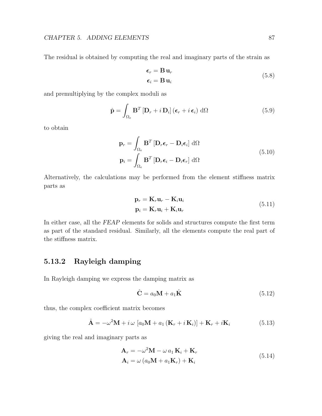The residual is obtained by computing the real and imaginary parts of the strain as

$$
\epsilon_r = \mathbf{B} \mathbf{u}_r
$$
  
\n
$$
\epsilon_i = \mathbf{B} \mathbf{u}_i
$$
\n(5.8)

and premultiplying by the complex moduli as

$$
\hat{\mathbf{p}} = \int_{\Omega_e} \mathbf{B}^T \left[ \mathbf{D}_r + i \, \mathbf{D}_i \right] \left( \boldsymbol{\epsilon}_r + i \, \boldsymbol{\epsilon}_i \right) \, \mathrm{d}\Omega \tag{5.9}
$$

to obtain

$$
\mathbf{p}_r = \int_{\Omega_e} \mathbf{B}^T \left[ \mathbf{D}_r \boldsymbol{\epsilon}_r - \mathbf{D}_i \boldsymbol{\epsilon}_i \right] d\Omega
$$
  

$$
\mathbf{p}_i = \int_{\Omega_e} \mathbf{B}^T \left[ \mathbf{D}_r \boldsymbol{\epsilon}_i - \mathbf{D}_i \boldsymbol{\epsilon}_r \right] d\Omega
$$
 (5.10)

Alternatively, the calculations may be performed from the element stiffness matrix parts as

$$
\mathbf{p}_r = \mathbf{K}_r \mathbf{u}_r - \mathbf{K}_i \mathbf{u}_i
$$
  
\n
$$
\mathbf{p}_i = \mathbf{K}_r \mathbf{u}_i + \mathbf{K}_i \mathbf{u}_r
$$
\n(5.11)

In either case, all the FEAP elements for solids and structures compute the first term as part of the standard residual. Similarly, all the elements compute the real part of the stiffness matrix.

# 5.13.2 Rayleigh damping

In Rayleigh damping we express the damping matrix as

$$
\hat{\mathbf{C}} = a_0 \mathbf{M} + a_1 \hat{\mathbf{K}} \tag{5.12}
$$

thus, the complex coefficient matrix becomes

$$
\hat{\mathbf{A}} = -\omega^2 \mathbf{M} + i \omega \left[ a_0 \mathbf{M} + a_1 \left( \mathbf{K}_r + i \mathbf{K}_i \right) \right] + \mathbf{K}_r + i \mathbf{K}_i \tag{5.13}
$$

giving the real and imaginary parts as

$$
\mathbf{A}_r = -\omega^2 \mathbf{M} - \omega a_1 \mathbf{K}_i + \mathbf{K}_r
$$
  
\n
$$
\mathbf{A}_i = \omega (a_0 \mathbf{M} + a_1 \mathbf{K}_r) + \mathbf{K}_i
$$
\n(5.14)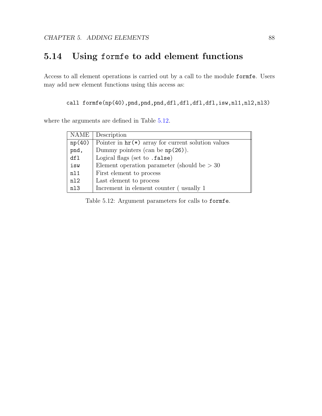# 5.14 Using formfe to add element functions

Access to all element operations is carried out by a call to the module formfe. Users may add new element functions using this access as:

call formfe(np(40),pnd,pnd,pnd,dfl,dfl,dfl,dfl,isw,nl1,nl2,nl3)

where the arguments are defined in Table [5.12.](#page-94-0)

| <b>NAME</b> | Description                                                            |
|-------------|------------------------------------------------------------------------|
| np(40)      | Pointer in $\operatorname{hr}(\ast)$ array for current solution values |
| pnd,        | Dummy pointers (can be $np(26)$ ).                                     |
| df1         | Logical flags (set to .false)                                          |
| isw         | Element operation parameter (should be $> 30$                          |
| n11         | First element to process                                               |
| n12         | Last element to process                                                |
| n13         | Increment in element counter (usually 1)                               |

<span id="page-94-0"></span>Table 5.12: Argument parameters for calls to formfe.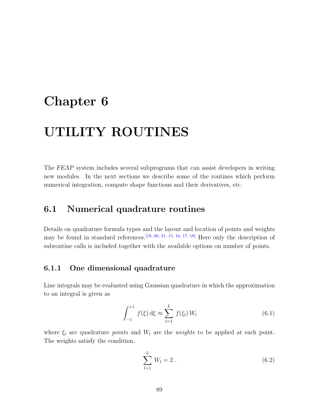# Chapter 6

# UTILITY ROUTINES

The FEAP system includes several subprograms that can assist developers in writing new modules. In the next sections we describe some of the routines which perform numerical integration, compute shape functions and their derivatives, etc.

# 6.1 Numerical quadrature routines

Details on quadrature formula types and the layout and location of points and weights may be found in standard references.<sup>[\[19,](#page-128-6) [20,](#page-128-7) [21,](#page-128-8) [15,](#page-128-2) [16,](#page-128-3) [17,](#page-128-4) [18\]](#page-128-5)</sup> Here only the description of subroutine calls is included together with the available options on number of points.

## 6.1.1 One dimensional quadrature

Line integrals may be evaluated using Gaussian quadrature in which the approximation to an integral is given as

$$
\int_{-1}^{+1} f(\xi) d\xi \approx \sum_{l=1}^{L} f(\xi_l) W_l
$$
 (6.1)

where  $\xi_l$  are quadrature *points* and  $W_l$  are the *weights* to be applied at each point. The weights satisfy the condition.

$$
\sum_{l=1}^{L} W_l = 2 \tag{6.2}
$$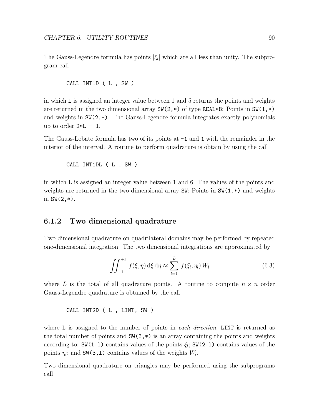The Gauss-Legendre formula has points  $|\xi_l|$  which are all less than unity. The subprogram call

```
CALL INT1D ( L , SW )
```
in which L is assigned an integer value between 1 and 5 returns the points and weights are returned in the two dimensional array  $SW(2,*)$  of type REAL\*8: Points in  $SW(1,*)$ and weights in  $SW(2,*)$ . The Gauss-Legendre formula integrates exactly polynomials up to order  $2*L - 1$ .

The Gauss-Lobato formula has two of its points at  $-1$  and 1 with the remainder in the interior of the interval. A routine to perform quadrature is obtain by using the call

CALL INT1DL ( L , SW )

in which L is assigned an integer value between 1 and 6. The values of the points and weights are returned in the two dimensional array SW: Points in SW(1,\*) and weights in  $SW(2, *)$ .

## 6.1.2 Two dimensional quadrature

Two dimensional quadrature on quadrilateral domains may be performed by repeated one-dimensional integration. The two dimensional integrations are approximated by

$$
\iint_{-1}^{+1} f(\xi, \eta) \,d\xi \,d\eta \approx \sum_{l=1}^{L} f(\xi_l, \eta_l) \,W_l \tag{6.3}
$$

where L is the total of all quadrature points. A routine to compute  $n \times n$  order Gauss-Legendre quadrature is obtained by the call

CALL INT2D ( L , LINT, SW )

where L is assigned to the number of points in each direction, LINT is returned as the total number of points and  $SW(3,*)$  is an array containing the points and weights according to:  $\text{SW}(1,1)$  contains values of the points  $\xi_l$ ;  $\text{SW}(2,1)$  contains values of the points  $\eta_l$ ; and SW(3,1) contains values of the weights  $W_l$ .

Two dimensional quadrature on triangles may be performed using the subprograms call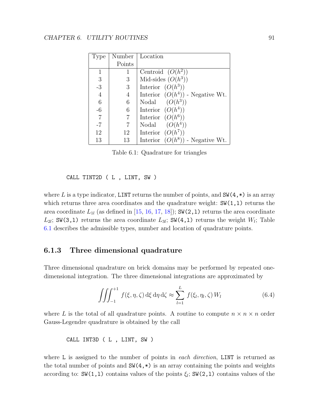| Type           | Number         | Location                           |
|----------------|----------------|------------------------------------|
|                | Points         |                                    |
|                |                | Centroid $(O(h^2))$                |
| 3              | 3              | Mid-sides $(O(h^3))$               |
| $-3$           | 3              | Interior $(O(h^3))$                |
| $\overline{4}$ | 4              | Interior $(O(h^4))$ - Negative Wt. |
| 6              | 6              | Nodal $(O(h^3))$                   |
| -6             | 6              | Interior $(O(h^4))$                |
| $\overline{7}$ | $\overline{7}$ | Interior $(O(h^6))$                |
| $-7$           | 7              | $(O(h^4))$<br>Nodal                |
| 12             | 12             | Interior $(O(h^7))$                |
| 13             | 13             | Interior $(O(h^8))$ - Negative Wt. |

<span id="page-97-0"></span>Table 6.1: Quadrature for triangles

CALL TINT2D ( L , LINT, SW )

where L is a type indicator, LINT returns the number of points, and  $SW(4,*)$  is an array which returns three area coordinates and the quadrature weight:  $SW(1,1)$  returns the area coordinate  $L_{1l}$  (as defined in [\[15,](#page-128-2) [16,](#page-128-3) [17,](#page-128-4) [18\]](#page-128-5)); SW(2,1) returns the area coordinate  $L_{2l}$ ; SW(3,1) returns the area coordinate  $L_{3l}$ ; SW(4,1) returns the weight  $W_l$ ; Table [6.1](#page-97-0) describes the admissible types, number and location of quadrature points.

## 6.1.3 Three dimensional quadrature

Three dimensional quadrature on brick domains may be performed by repeated onedimensional integration. The three dimensional integrations are approximated by

$$
\iiint_{-1}^{+1} f(\xi, \eta, \zeta) d\xi d\eta d\zeta \approx \sum_{l=1}^{L} f(\xi_l, \eta_l, \zeta) W_l \tag{6.4}
$$

where L is the total of all quadrature points. A routine to compute  $n \times n \times n$  order Gauss-Legendre quadrature is obtained by the call

CALL INT3D ( L , LINT, SW )

where L is assigned to the number of points in each direction, LINT is returned as the total number of points and  $SW(4,*)$  is an array containing the points and weights according to:  $SW(1,1)$  contains values of the points  $\xi_l$ ;  $SW(2,1)$  contains values of the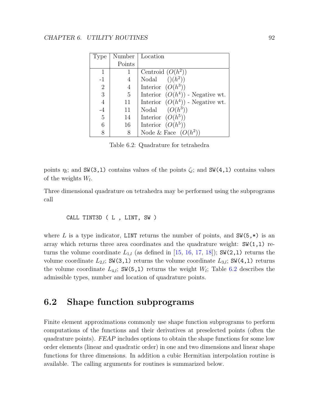| Type           | Number | Location                           |
|----------------|--------|------------------------------------|
|                | Points |                                    |
| 1              |        | Centroid $(O(h^2))$                |
| $-1$           | 4      | $((h^2))$<br>Nodal                 |
| $\overline{2}$ | 4      | Interior $(O(h^3))$                |
| 3              | 5      | Interior $(O(h^4))$ - Negative wt. |
| $\overline{4}$ | 11     | Interior $(O(h^4))$ - Negative wt. |
| $-4$           | 11     | $(O(h^3))$<br>Nodal                |
| $\overline{5}$ | 14     | Interior $(O(h^5))$                |
| 6              | 16     | Interior $(O(h^5))$                |
|                | 8      | Node & Face $(O(h^2))$             |

<span id="page-98-0"></span>Table 6.2: Quadrature for tetrahedra

points  $\eta_l$ ; and SW(3,1) contains values of the points  $\zeta_l$ ; and SW(4,1) contains values of the weights  $W_l$ .

Three dimensional quadrature on tetrahedra may be performed using the subprograms call

CALL TINT3D ( L , LINT, SW )

where L is a type indicator, LINT returns the number of points, and  $\mathsf{SW}(5,*)$  is an array which returns three area coordinates and the quadrature weight:  $SW(1,1)$  returns the volume coordinate  $L_{1,l}$  (as defined in [\[15,](#page-128-2) [16,](#page-128-3) [17,](#page-128-4) [18\]](#page-128-5)); SW(2,1) returns the volume coordinate  $L_{2,l}$ ; SW(3,1) returns the volume coordinate  $L_{3,l}$ ; SW(4,1) returns the volume coordinate  $L_{4,l}$ ; SW(5,1) returns the weight  $W_l$ ; Table [6.2](#page-98-0) describes the admissible types, number and location of quadrature points.

# 6.2 Shape function subprograms

Finite element approximations commonly use shape function subprograms to perform computations of the functions and their derivatives at preselected points (often the quadrature points). FEAP includes options to obtain the shape functions for some low order elements (linear and quadratic order) in one and two dimensions and linear shape functions for three dimensions. In addition a cubic Hermitian interpolation routine is available. The calling arguments for routines is summarized below.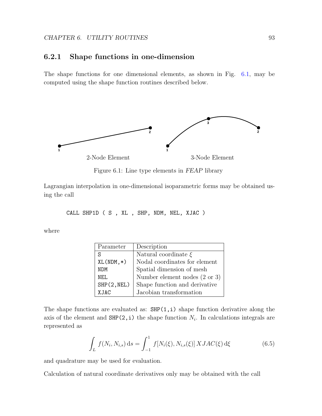## 6.2.1 Shape functions in one-dimension

The shape functions for one dimensional elements, as shown in Fig. [6.1,](#page-99-0) may be computed using the shape function routines described below.



<span id="page-99-0"></span>Figure 6.1: Line type elements in FEAP library

Lagrangian interpolation in one-dimensional isoparametric forms may be obtained using the call

CALL SHP1D ( S , XL , SHP, NDM, NEL, XJAC )

where

| Parameter    | Description                              |
|--------------|------------------------------------------|
| S            | Natural coordinate $\xi$                 |
| $XL(NDM, *)$ | Nodal coordinates for element            |
| <b>NDM</b>   | Spatial dimension of mesh                |
| NF.I.        | Number element nodes $(2 \text{ or } 3)$ |
| SHP(2, NEL)  | Shape function and derivative            |
| <b>XJAC</b>  | Jacobian transformation                  |

The shape functions are evaluated as:  $SHP(1,i)$  shape function derivative along the axis of the element and  $SHP(2,i)$  the shape function  $N_i$ . In calculations integrals are represented as

$$
\int_{L} f(N_{i}, N_{i,s}) ds = \int_{-1}^{1} f[N_{i}(\xi), N_{i,s}(\xi)] X JAC(\xi) d\xi
$$
\n(6.5)

and quadrature may be used for evaluation.

Calculation of natural coordinate derivatives only may be obtained with the call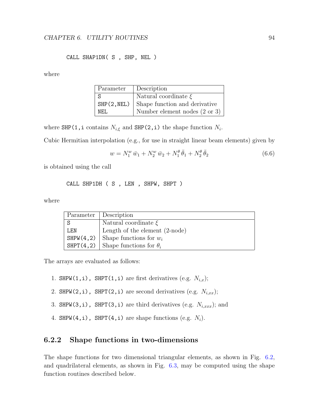#### CALL SHAP1DN( S , SHP, NEL )

where

| Parameter | Description                                 |
|-----------|---------------------------------------------|
|           | Natural coordinate $\xi$                    |
|           | $SHP(2, NEL)$ Shape function and derivative |
| NFI.      | Number element nodes $(2 \text{ or } 3)$    |

where SHP(1, i contains  $N_{i,\xi}$  and SHP(2, i) the shape function  $N_i$ .

Cubic Hermitian interpolation (e.g., for use in straight linear beam elements) given by

$$
w = N_1^w \,\bar{w}_1 + N_2^w \,\bar{w}_2 + N_1^\theta \,\bar{\theta}_1 + N_2^\theta \,\bar{\theta}_2 \tag{6.6}
$$

is obtained using the call

CALL SHP1DH ( S , LEN , SHPW, SHPT )

where

| Parameter | Description                             |
|-----------|-----------------------------------------|
| S         | Natural coordinate $\xi$                |
| LEN       | Length of the element $(2\text{-node})$ |
| SHPW(4,2) | Shape functions for $w_i$               |
| SHPT(4,2) | Shape functions for $\theta_i$          |

The arrays are evaluated as follows:

- 1. SHPW(1,i), SHPT(1,i) are first derivatives (e.g.  $N_{i,x}$ );
- 2. SHPW(2,i), SHPT(2,i) are second derivatives (e.g.  $N_{i,xx}$ );
- 3. SHPW(3,i), SHPT(3,i) are third derivatives (e.g.  $N_{i,xxx}$ ); and
- 4. SHPW(4,i), SHPT(4,i) are shape functions (e.g.  $N_i$ ).

## 6.2.2 Shape functions in two-dimensions

The shape functions for two dimensional triangular elements, as shown in Fig. [6.2,](#page-101-0) and quadrilateral elements, as shown in Fig. [6.3,](#page-102-0) may be computed using the shape function routines described below.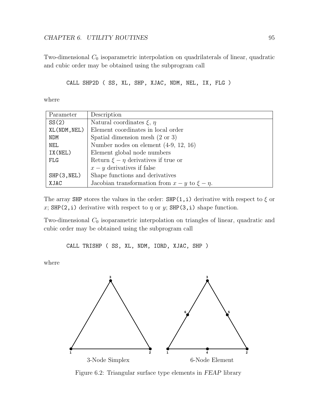Two-dimensional  $C_0$  isoparametric interpolation on quadrilaterals of linear, quadratic and cubic order may be obtained using the subprogram call

```
CALL SHP2D ( SS, XL, SHP, XJAC, NDM, NEL, IX, FLG )
```
where

| Parameter    | Description                                            |
|--------------|--------------------------------------------------------|
| SS(2)        | Natural coordinates $\xi$ , $\eta$                     |
| XL(NDM, NEL) | Element coordinates in local order                     |
| <b>NDM</b>   | Spatial dimension mesh $(2 \text{ or } 3)$             |
| <b>NEL</b>   | Number nodes on element $(4-9, 12, 16)$                |
| IX(NEL)      | Element global node numbers                            |
| <b>FLG</b>   | Return $\xi - \eta$ derivatives if true or             |
|              | $x - y$ derivatives if false                           |
| SHP(3, NEL)  | Shape functions and derivatives                        |
| XJAC         | Jacobian transformation from $x - y$ to $\xi - \eta$ . |

The array SHP stores the values in the order: SHP(1,i) derivative with respect to  $\xi$  or x; SHP(2, i) derivative with respect to  $\eta$  or y; SHP(3, i) shape function.

Two-dimensional  $C_0$  isoparametric interpolation on triangles of linear, quadratic and cubic order may be obtained using the subprogram call

CALL TRISHP ( SS, XL, NDM, IORD, XJAC, SHP )

where



<span id="page-101-0"></span>Figure 6.2: Triangular surface type elements in FEAP library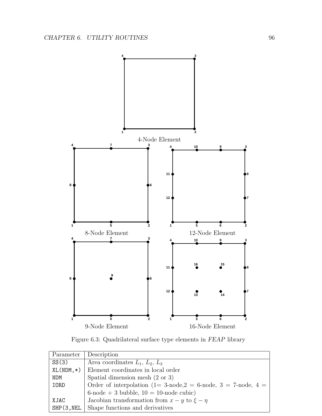

<span id="page-102-0"></span>Figure 6.3: Quadrilateral surface type elements in FEAP library

| Parameter    | Description                                                    |  |
|--------------|----------------------------------------------------------------|--|
| SS(3)        | Area coordinates $L_1, L_2, L_3$                               |  |
| $XL(NDM, *)$ | Element coordinates in local order                             |  |
| <b>NDM</b>   | Spatial dimension mesh $(2 \text{ or } 3)$                     |  |
| IORD         | Order of interpolation (1= 3-node, 2 = 6-node, 3 = 7-node, 4 = |  |
|              | $6$ -node + 3 bubble, $10 = 10$ -node cubic)                   |  |
| XJAC         | Jacobian transformation from $x - y$ to $\xi - \eta$           |  |
| SHP(3, NEL)  | Shape functions and derivatives                                |  |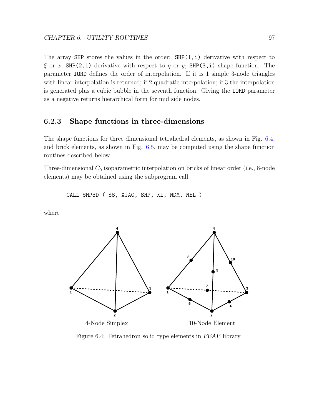The array SHP stores the values in the order:  $SHP(1,i)$  derivative with respect to  $\xi$  or x; SHP(2,i) derivative with respect to  $\eta$  or y; SHP(3,i) shape function. The parameter IORD defines the order of interpolation. If it is 1 simple 3-node triangles with linear interpolation is returned; if 2 quadratic interpolation; if 3 the interpolation is generated plus a cubic bubble in the seventh function. Giving the IORD parameter as a negative returns hierarchical form for mid side nodes.

## 6.2.3 Shape functions in three-dimensions

The shape functions for three dimensional tetrahedral elements, as shown in Fig. [6.4,](#page-103-0) and brick elements, as shown in Fig. [6.5,](#page-104-0) may be computed using the shape function routines described below.

Three-dimensional  $C_0$  isoparametric interpolation on bricks of linear order (i.e., 8-node elements) may be obtained using the subprogram call

CALL SHP3D ( SS, XJAC, SHP, XL, NDM, NEL )

where



<span id="page-103-0"></span>Figure 6.4: Tetrahedron solid type elements in FEAP library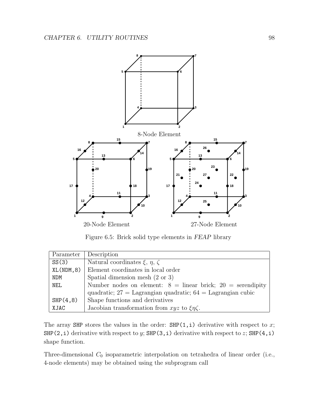

<span id="page-104-0"></span>Figure 6.5: Brick solid type elements in FEAP library

| Parameter  | Description                                                     |  |
|------------|-----------------------------------------------------------------|--|
| SS(3)      | Natural coordinates $\xi, \eta, \zeta$                          |  |
| XL(NDM, 8) | Element coordinates in local order                              |  |
| <b>NDM</b> | Spatial dimension mesh $(2 \text{ or } 3)$                      |  |
| <b>NEL</b> | Number nodes on element: $8 =$ linear brick; $20 =$ serendipity |  |
|            | quadratic; $27 =$ Lagrangian quadratic; $64 =$ Lagrangian cubic |  |
| SHP(4,8)   | Shape functions and derivatives                                 |  |
| XJAC       | Jacobian transformation from xyz to $\xi \eta \zeta$ .          |  |

The array SHP stores the values in the order:  $SHP(1,i)$  derivative with respect to x; SHP(2, i) derivative with respect to y; SHP(3, i) derivative with respect to z; SHP(4, i) shape function.

Three-dimensional  $C_0$  isoparametric interpolation on tetrahedra of linear order (i.e., 4-node elements) may be obtained using the subprogram call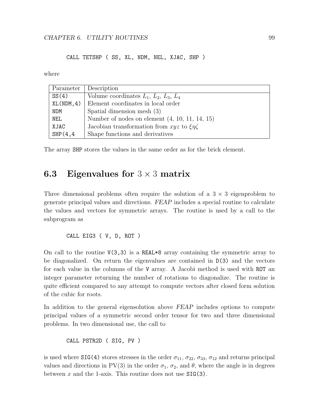#### CALL TETSHP ( SS, XL, NDM, NEL, XJAC, SHP )

where

| Parameter  | Description                                          |
|------------|------------------------------------------------------|
| SS(4)      | Volume coordinates $L_1, L_2, L_3, L_4$              |
| XL(NDM, 4) | Element coordinates in local order                   |
| <b>NDM</b> | Spatial dimension mesh $(3)$                         |
| <b>NEL</b> | Number of nodes on element $(4, 10, 11, 14, 15)$     |
| XJAC       | Jacobian transformation from xyz to $\xi \eta \zeta$ |
| SHP(4,4)   | Shape functions and derivatives                      |

The array SHP stores the values in the same order as for the brick element.

# **6.3** Eigenvalues for  $3 \times 3$  matrix

Three dimensional problems often require the solution of a  $3 \times 3$  eigenproblem to generate principal values and directions. FEAP includes a special routine to calculate the values and vectors for symmetric arrays. The routine is used by a call to the subprogram as

CALL EIG3 ( V, D, ROT )

On call to the routine  $V(3,3)$  is a REAL\*8 array containing the symmetric array to be diagonalized. On return the eigenvalues are contained in D(3) and the vectors for each value in the columns of the V array. A Jacobi method is used with ROT an integer parameter returning the number of rotations to diagonalize. The routine is quite efficient compared to any attempt to compute vectors after closed form solution of the cubic for roots.

In addition to the general eigensolution above FEAP includes options to compute principal values of a symmetric second order tensor for two and three dimensional problems. In two dimensional use, the call to

CALL PSTR2D ( SIG, PV )

is used where SIG(4) stores stresses in the order  $\sigma_{11}$ ,  $\sigma_{22}$ ,  $\sigma_{33}$ ,  $\sigma_{12}$  and returns principal values and directions in PV(3) in the order  $\sigma_1$ ,  $\sigma_2$ , and  $\theta$ , where the angle is in degrees between x and the 1-axis. This routine does not use  $\text{SIG}(3)$ .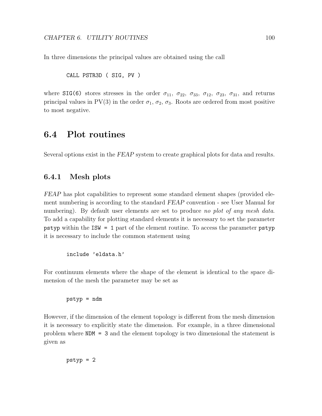In three dimensions the principal values are obtained using the call

CALL PSTR3D ( SIG, PV )

where SIG(6) stores stresses in the order  $\sigma_{11}$ ,  $\sigma_{22}$ ,  $\sigma_{33}$ ,  $\sigma_{12}$ ,  $\sigma_{23}$ ,  $\sigma_{31}$ , and returns principal values in PV(3) in the order  $\sigma_1$ ,  $\sigma_2$ ,  $\sigma_3$ . Roots are ordered from most positive to most negative.

# 6.4 Plot routines

Several options exist in the FEAP system to create graphical plots for data and results.

## 6.4.1 Mesh plots

FEAP has plot capabilities to represent some standard element shapes (provided element numbering is according to the standard FEAP convention - see User Manual for numbering). By default user elements are set to produce no plot of any mesh data. To add a capability for plotting standard elements it is necessary to set the parameter pstyp within the ISW = 1 part of the element routine. To access the parameter pstyp it is necessary to include the common statement using

```
include 'eldata.h'
```
For continuum elements where the shape of the element is identical to the space dimension of the mesh the parameter may be set as

pstyp = ndm

However, if the dimension of the element topology is different from the mesh dimension it is necessary to explicitly state the dimension. For example, in a three dimensional problem where NDM = 3 and the element topology is two dimensional the statement is given as

pstyp = 2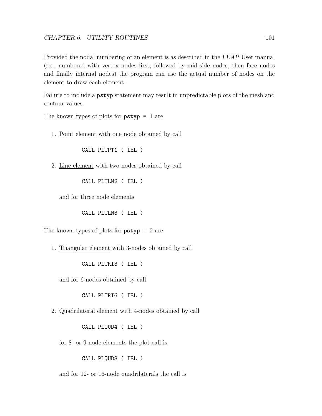Provided the nodal numbering of an element is as described in the FEAP User manual (i.e., numbered with vertex nodes first, followed by mid-side nodes, then face nodes and finally internal nodes) the program can use the actual number of nodes on the element to draw each element.

Failure to include a pstyp statement may result in unpredictable plots of the mesh and contour values.

The known types of plots for pstyp = 1 are

1. Point element with one node obtained by call

CALL PLTPT1 ( IEL )

2. Line element with two nodes obtained by call

CALL PLTLN2 ( IEL )

and for three node elements

CALL PLTLN3 ( IEL )

The known types of plots for pstyp = 2 are:

1. Triangular element with 3-nodes obtained by call

CALL PLTRI3 ( IEL )

and for 6-nodes obtained by call

CALL PLTRI6 ( IEL )

2. Quadrilateral element with 4-nodes obtained by call

CALL PLQUD4 ( IEL )

for 8- or 9-node elements the plot call is

CALL PLQUD8 ( IEL )

and for 12- or 16-node quadrilaterals the call is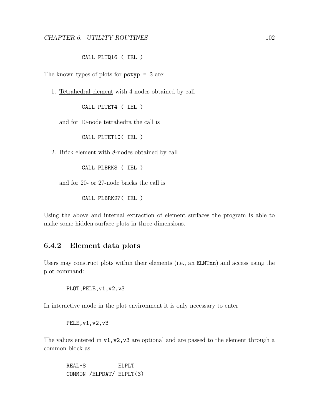#### CALL PLTQ16 ( IEL )

<span id="page-108-0"></span>The known types of plots for pstyp = 3 are:

1. Tetrahedral element with 4-nodes obtained by call

CALL PLTET4 ( IEL )

and for 10-node tetrahedra the call is

CALL PLTET10( IEL )

2. Brick element with 8-nodes obtained by call

CALL PLBRK8 ( IEL )

and for 20- or 27-node bricks the call is

CALL PLBRK27( IEL )

Using the above and internal extraction of element surfaces the program is able to make some hidden surface plots in three dimensions.

### 6.4.2 Element data plots

Users may construct plots within their elements (i.e., an ELMTnn) and access using the plot command:

PLOT, PELE, v1, v2, v3

In interactive mode in the plot environment it is only necessary to enter

PELE,v1,v2,v3

The values entered in  $v1, v2, v3$  are optional and are passed to the element through a common block as

REAL\*8 ELPLT COMMON /ELPDAT/ ELPLT(3)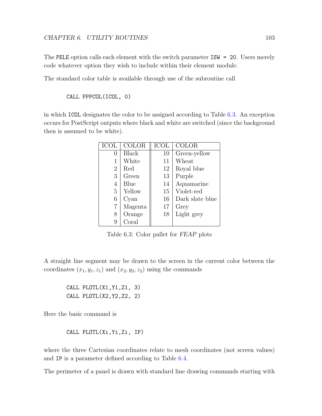<span id="page-109-1"></span>The PELE option calls each element with the switch parameter ISW = 20. Users merely code whatever option they wish to include within their element module.

The standard color table is available through use of the subroutine call

CALL PPPCOL(ICOL, 0)

in which ICOL designates the color to be assigned according to Table [6.3.](#page-109-0) An exception occurs for PostScript outputs where black and white are switched (since the background then is assumed to be white).

| ICOL             | COLOR   | ICOL | COLOR           |
|------------------|---------|------|-----------------|
| $\left( \right)$ | Black   | 10   | Green-yellow    |
|                  | White   | 11   | Wheat           |
| $\overline{2}$   | Red     | 12   | Royal blue      |
| 3                | Green   | 13   | Purple          |
| 4                | Blue    | 14   | Aquamarine      |
| 5                | Yellow  | 15   | Violet-red      |
| 6                | Cyan    | 16   | Dark slate blue |
| 7                | Magenta | 17   | Grey            |
| 8                | Orange  | 18   | Light grey      |
| 9                | Coral   |      |                 |

<span id="page-109-0"></span>Table 6.3: Color pallet for FEAP plots

A straight line segment may be drawn to the screen in the current color between the coordinates  $(x_1, y_1, z_1)$  and  $(x_2, y_2, z_2)$  using the commands

CALL PLOTL(X1,Y1,Z1, 3) CALL PLOTL(X2,Y2,Z2, 2)

Here the basic command is

CALL PLOTL(Xi,Yi,Zi, IP)

where the three Cartesian coordinates relate to mesh coordinates (not screen values) and IP is a parameter defined according to Table [6.4.](#page-110-0)

The perimeter of a panel is drawn with standard line drawing commands starting with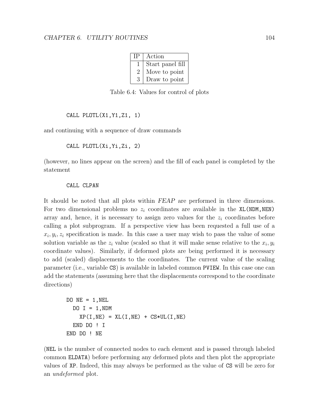| ΤP | Action           |  |
|----|------------------|--|
|    | Start panel fill |  |
| 2  | Move to point    |  |
| 3  | Draw to point    |  |

<span id="page-110-0"></span>Table 6.4: Values for control of plots

```
CALL PLOTL(X1,Y1,Z1, 1)
```
and continuing with a sequence of draw commands

CALL PLOTL(Xi,Yi,Zi, 2)

(however, no lines appear on the screen) and the fill of each panel is completed by the statement

#### CALL CLPAN

It should be noted that all plots within FEAP are performed in three dimensions. For two dimensional problems no  $z_i$  coordinates are available in the XL(NDM,NEN) array and, hence, it is necessary to assign zero values for the  $z_i$  coordinates before calling a plot subprogram. If a perspective view has been requested a full use of a  $x_i, y_i, z_i$  specification is made. In this case a user may wish to pass the value of some solution variable as the  $z_i$  value (scaled so that it will make sense relative to the  $x_i, y_i$ coordinate values). Similarly, if deformed plots are being performed it is necessary to add (scaled) displacements to the coordinates. The current value of the scaling parameter (i.e., variable CS) is available in labeled common PVIEW. In this case one can add the statements (assuming here that the displacements correspond to the coordinate directions)

```
DO NE = 1, NELDO I = 1, NDMXP(I, NE) = XL(I, NE) + CS*UL(I, NE)END DO ! I
END DO ! NE
```
(NEL is the number of connected nodes to each element and is passed through labeled common ELDATA) before performing any deformed plots and then plot the appropriate values of XP. Indeed, this may always be performed as the value of CS will be zero for an undeformed plot.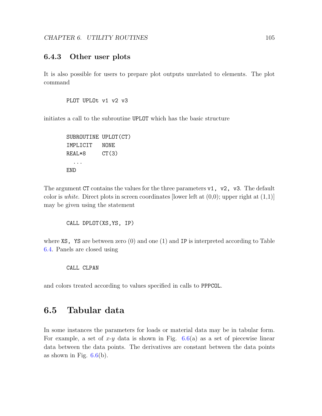### <span id="page-111-0"></span>6.4.3 Other user plots

It is also possible for users to prepare plot outputs unrelated to elements. The plot command

```
PLOT UPLOt v1 v2 v3
```
initiates a call to the subroutine UPLOT which has the basic structure

```
SUBROUTINE UPLOT(CT)
IMPLICIT NONE
REAL*8 CT(3)
  ...
END
```
The argument CT contains the values for the three parameters  $v1$ ,  $v2$ ,  $v3$ . The default color is white. Direct plots in screen coordinates [lower left at  $(0,0)$ ; upper right at  $(1,1)$ ] may be given using the statement

CALL DPLOT(XS,YS, IP)

where  $XS, YS$  are between zero (0) and one (1) and IP is interpreted according to Table [6.4.](#page-110-0) Panels are closed using

CALL CLPAN

and colors treated according to values specified in calls to PPPCOL.

### 6.5 Tabular data

In some instances the parameters for loads or material data may be in tabular form. For example, a set of x-y data is shown in Fig.  $6.6(a)$  $6.6(a)$  as a set of piecewise linear data between the data points. The derivatives are constant between the data points as shown in Fig.  $6.6(b)$  $6.6(b)$ .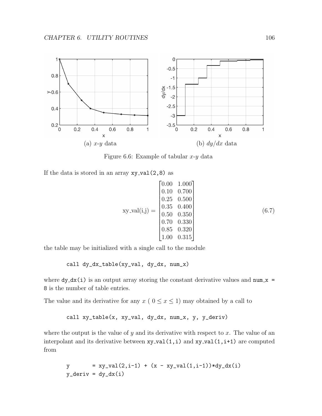

<span id="page-112-0"></span>Figure 6.6: Example of tabular  $x-y$  data

If the data is stored in an array  $xy$ -val $(2,8)$  as

$$
xy_val(i,j) = \begin{bmatrix} 0.00 & 1.000 \\ 0.10 & 0.700 \\ 0.25 & 0.500 \\ 0.35 & 0.400 \\ 0.50 & 0.350 \\ 0.70 & 0.330 \\ 0.85 & 0.320 \\ 1.00 & 0.315 \end{bmatrix}
$$
(6.7)

the table may be initialized with a single call to the module

call dy\_dx\_table(xy\_val, dy\_dx, num\_x)

where  $dy$ <sup> $dx$ </sup> $(i)$  is an output array storing the constant derivative values and num  $x =$ 8 is the number of table entries.

The value and its derivative for any  $x \in (0 \le x \le 1)$  may obtained by a call to

call xy\_table(x, xy\_val, dy\_dx, num\_x, y, y\_deriv)

where the output is the value of y and its derivative with respect to x. The value of an interpolant and its derivative between  $xy$ -val $(1,i)$  and  $xy$ -val $(1,i+1)$  are computed from

$$
y = xy_val(2,i-1) + (x - xy_val(1,i-1))*dy_dx(i)
$$
  

$$
y_d = dy_dx(i)
$$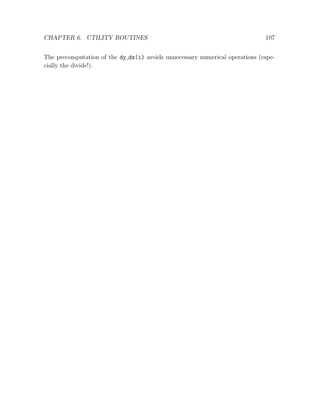The precomputation of the  $dy$ <sub>-</sub> $dx(i)$  avoids unnecessary numerical operations (especially the divide!).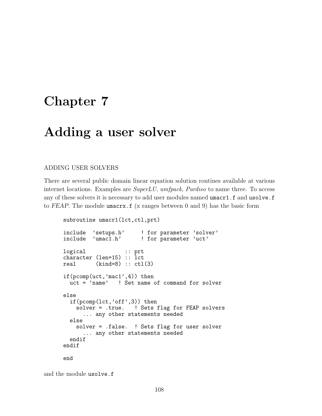# Chapter 7

## Adding a user solver

#### ADDING USER SOLVERS

There are several public domain linear equation solution routines available at various internet locations. Examples are SuperLU, umfpack, Pardiso to name three. To access any of these solvers it is necessary to add user modules named umacr1.f and usolve.f to FEAP. The module umacrx  $f(x)$  ranges between 0 and 9) has the basic form

```
subroutine umacr1(lct,ctl,prt)
include 'setups.h' ! for parameter 'solver'
include 'umac1.h' ! for parameter 'uct'
logical :: prt
character (len=15) :: lct
real (kind=8) :: ctl(3)if(pcomp(uct,'mac1',4)) then
 uct = 'name' ! Set name of command for solver
else
 if(pcomp(lct,'off',3)) then
   solver = .true. ! Sets flag for FEAP solvers
     ... any other statements needed
 else
   solver = .false. ! Sets flag for user solver
     ... any other statements needed
 endif
endif
end
```
and the module usolve.f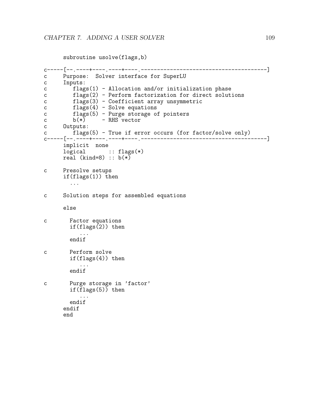```
subroutine usolve(flags,b)
c-----[--.----+----.----+----.---------------------------------------]
c Purpose: Solver interface for SuperLU
c Inputs:
c flags(1) - Allocation and/or initialization phase
c flags(2) - Perform factorization for direct solutions
c flags(3) - Coefficient array unsymmetric
c flags(4) - Solve equations
c flags(5) - Purge storage of pointers<br>c b(*) - RHS vector
c b(*) - RHS vector
c Outputs:
c flags(5) - True if error occurs (for factor/solve only)
c-----[--.----+----.----+----.---------------------------------------]
     implicit none
     logical :: flags(*)
     real (kind=8) :: b(*)c Presolve setups
     if(flags(1)) then
       ...
c Solution steps for assembled equations
     else
c Factor equations
       if(flags(2)) then
          ...
       endif
c Perform solve
       if(flags(4)) then
         ...
       endif
c Purge storage in 'factor'
       if(flags(5)) then
          ...
       endif
     endif
     end
```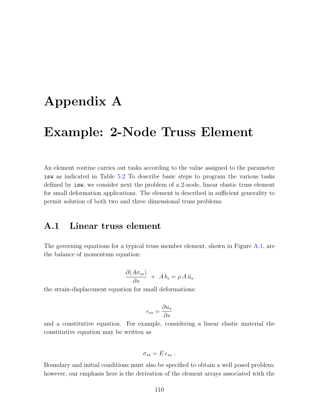# <span id="page-116-0"></span>Appendix A

## Example: 2-Node Truss Element

An element routine carries out tasks according to the value assigned to the parameter isw as indicated in Table [5.2](#page-55-0) To describe basic steps to program the various tasks defined by isw, we consider next the problem of a 2-node, linear elastic truss element for small deformation applications. The element is described in sufficient generality to permit solution of both two and three dimensional truss problems.

### A.1 Linear truss element

The governing equations for a typical truss member element, shown in Figure [A.1,](#page-118-0) are the balance of momentum equation:

$$
\frac{\partial (A\sigma_{ss})}{\partial s} + A b_s = \rho A \ddot{u}_s
$$

the strain-displacement equation for small deformations:

$$
\epsilon_{ss} = \frac{\partial u_s}{\partial s}
$$

and a constitutive equation. For example, considering a linear elastic material the constitutive equation may be written as

$$
\sigma_{ss} = E \,\epsilon_{ss} \;.
$$

Boundary and initial conditions must also be specified to obtain a well posed problem; however, our emphasis here is the derivation of the element arrays associated with the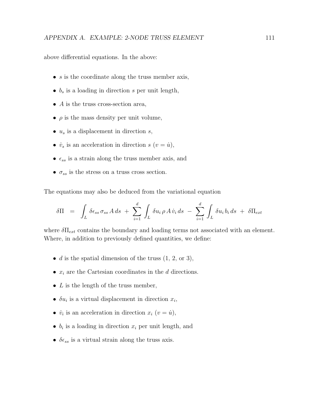above differential equations. In the above:

- $s$  is the coordinate along the truss member axis,
- $b_s$  is a loading in direction s per unit length,
- $A$  is the truss cross-section area,
- $\bullet$   $\rho$  is the mass density per unit volume,
- $u_s$  is a displacement in direction  $s$ ,
- $\dot{v}_s$  is an acceleration in direction s  $(v = \dot{u})$ ,
- $\epsilon_{ss}$  is a strain along the truss member axis, and
- $\sigma_{ss}$  is the stress on a truss cross section.

The equations may also be deduced from the variational equation

$$
\delta \Pi = \int_L \delta \epsilon_{ss} \sigma_{ss} A \, ds + \sum_{i=1}^d \int_L \delta u_i \, \rho A \dot{v}_i \, ds - \sum_{i=1}^d \int_L \delta u_i \, b_i \, ds + \delta \Pi_{ext}
$$

where  $\delta \Pi_{ext}$  contains the boundary and loading terms not associated with an element. Where, in addition to previously defined quantities, we define:

- $d$  is the spatial dimension of the truss  $(1, 2, \text{or } 3)$ ,
- $x_i$  are the Cartesian coordinates in the d directions.
- $L$  is the length of the truss member,
- $\delta u_i$  is a virtual displacement in direction  $x_i$ ,
- $\dot{v}_i$  is an acceleration in direction  $x_i$   $(v = \dot{u})$ ,
- $b_i$  is a loading in direction  $x_i$  per unit length, and
- $\delta \epsilon_{ss}$  is a virtual strain along the truss axis.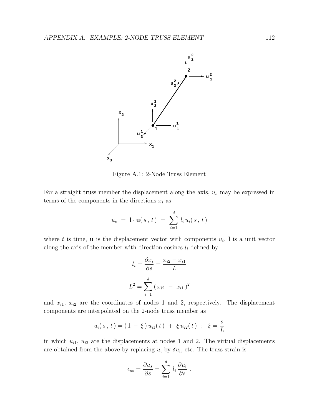

<span id="page-118-0"></span>Figure A.1: 2-Node Truss Element

For a straight truss member the displacement along the axis,  $u_s$  may be expressed in terms of the components in the directions  $x_i$  as

$$
u_s = 1 \cdot \mathbf{u}(s, t) = \sum_{i=1}^d l_i u_i(s, t)
$$

where t is time, **u** is the displacement vector with components  $u_i$ , I is a unit vector along the axis of the member with direction cosines  $l_i$  defined by

$$
l_i = \frac{\partial x_i}{\partial s} = \frac{x_{i2} - x_{i1}}{L}
$$

$$
L^2 = \sum_{i=1}^d (x_{i2} - x_{i1})^2
$$

and  $x_{i1}$ ,  $x_{i2}$  are the coordinates of nodes 1 and 2, respectively. The displacement components are interpolated on the 2-node truss member as

$$
u_i(s, t) = (1 - \xi) u_{i1}(t) + \xi u_{i2}(t) ; \xi = \frac{s}{L}
$$

in which  $u_{i1}$ ,  $u_{i2}$  are the displacements at nodes 1 and 2. The virtual displacements are obtained from the above by replacing  $u_i$  by  $\delta u_i$ , etc. The truss strain is

$$
\epsilon_{ss} = \frac{\partial u_s}{\partial s} = \sum_{i=1}^d l_i \frac{\partial u_i}{\partial s}.
$$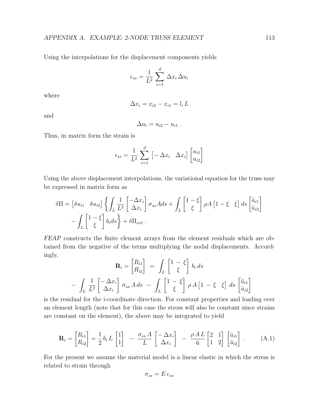<span id="page-119-1"></span>Using the interpolations for the displacement components yields

$$
\epsilon_{ss} = \frac{1}{L^2} \sum_{i=1}^d \Delta x_i \Delta u_i
$$

where

$$
\Delta x_i = x_{i2} - x_{i1} = l_i L
$$

and

$$
\Delta u_i = u_{i2} - u_{i1} .
$$

Thus, in matrix form the strain is

$$
\epsilon_{ss} = \frac{1}{L^2} \sum_{i=1}^d \left[ -\Delta x_i \ \Delta x_i \right] \begin{bmatrix} u_{i1} \\ u_{i2} \end{bmatrix}
$$

Using the above displacement interpolations, the variational equation for the truss may be expressed in matrix form as

$$
\delta\Pi = \begin{bmatrix} \delta u_{i1} & \delta u_{i2} \end{bmatrix} \left\{ \int_L \frac{1}{L^2} \begin{bmatrix} -\Delta x_i \\ \Delta x_i \end{bmatrix} \sigma_{ss} A ds + \int_L \begin{bmatrix} 1-\xi \\ \xi \end{bmatrix} \rho A \begin{bmatrix} 1-\xi \\ \xi \end{bmatrix} ds \begin{bmatrix} \ddot{u}_{i1} \\ \ddot{u}_{i2} \end{bmatrix} - \int_L \begin{bmatrix} 1-\xi \\ \xi \end{bmatrix} b_i ds \right\} + \delta \Pi_{ext}.
$$

FEAP constructs the finite element arrays from the element residuals which are obtained from the negative of the terms multiplying the nodal displacements. Accordingly,

$$
\mathbf{R}_{i} = \begin{bmatrix} R_{i1} \\ R_{i2} \end{bmatrix} = \int_{L} \begin{bmatrix} 1 - \xi \\ \xi \end{bmatrix} b_{i} ds
$$

$$
- \int_{L} \frac{1}{L^{2}} \begin{bmatrix} -\Delta x_{i} \\ \Delta x_{i} \end{bmatrix} \sigma_{ss} A ds - \int_{L} \begin{bmatrix} 1 - \xi \\ \xi \end{bmatrix} \rho A \begin{bmatrix} 1 - \xi \\ \xi \end{bmatrix} ds \begin{bmatrix} \ddot{u}_{i1} \\ \ddot{u}_{i2} \end{bmatrix}
$$

is the residual for the i-coordinate direction. For constant properties and loading over an element length (note that for this case the stress will also be constant since strains are constant on the element), the above may be integrated to yield

<span id="page-119-0"></span>
$$
\mathbf{R}_{i} = \begin{bmatrix} R_{i1} \\ R_{i2} \end{bmatrix} = \frac{1}{2} b_{i} L \begin{bmatrix} 1 \\ 1 \end{bmatrix} - \frac{\sigma_{ss} A}{L} \begin{bmatrix} -\Delta x_{i} \\ \Delta x_{i} \end{bmatrix} - \frac{\rho A L}{6} \begin{bmatrix} 2 & 1 \\ 1 & 2 \end{bmatrix} \begin{bmatrix} \ddot{u}_{i1} \\ \ddot{u}_{i2} \end{bmatrix} . \tag{A.1}
$$

For the present we assume the material model is a linear elastic in which the stress is related to strain through

$$
\sigma_{ss}=E\,\epsilon_{ss}
$$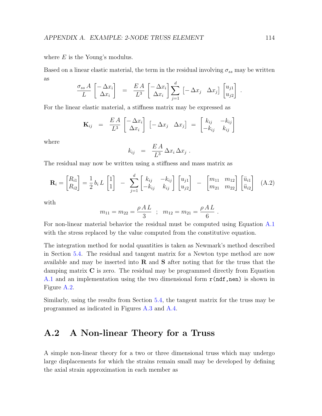<span id="page-120-0"></span>where  $E$  is the Young's modulus.

Based on a linear elastic material, the term in the residual involving  $\sigma_{ss}$  may be written as

$$
\frac{\sigma_{ss} A}{L} \begin{bmatrix} -\Delta x_i \\ \Delta x_i \end{bmatrix} = \frac{EA}{L^3} \begin{bmatrix} -\Delta x_i \\ \Delta x_i \end{bmatrix} \sum_{j=1}^d \begin{bmatrix} -\Delta x_j & \Delta x_j \end{bmatrix} \begin{bmatrix} u_{j1} \\ u_{j2} \end{bmatrix}.
$$

For the linear elastic material, a stiffness matrix may be expressed as

$$
\mathbf{K}_{ij} = \frac{EA}{L^3} \begin{bmatrix} -\Delta x_i \\ \Delta x_i \end{bmatrix} \begin{bmatrix} -\Delta x_j & \Delta x_j \end{bmatrix} = \begin{bmatrix} k_{ij} & -k_{ij} \\ -k_{ij} & k_{ij} \end{bmatrix}
$$

where

$$
k_{ij} = \frac{EA}{L^3} \Delta x_i \Delta x_j.
$$

The residual may now be written using a stiffness and mass matrix as

$$
\mathbf{R}_{i} = \begin{bmatrix} R_{i1} \\ R_{i2} \end{bmatrix} = \frac{1}{2} b_{i} L \begin{bmatrix} 1 \\ 1 \end{bmatrix} - \sum_{j=1}^{d} \begin{bmatrix} k_{ij} & -k_{ij} \\ -k_{ij} & k_{ij} \end{bmatrix} \begin{bmatrix} u_{j1} \\ u_{j2} \end{bmatrix} - \begin{bmatrix} m_{11} & m_{12} \\ m_{21} & m_{22} \end{bmatrix} \begin{bmatrix} \ddot{u}_{i1} \\ \ddot{u}_{i2} \end{bmatrix}
$$
 (A.2)

with

$$
m_{11} = m_{22} = \frac{\rho A L}{3}
$$
;  $m_{12} = m_{21} = \frac{\rho A L}{6}$ .

For non-linear material behavior the residual must be computed using Equation [A.1](#page-119-0) with the stress replaced by the value computed from the constitutive equation.

The integration method for nodal quantities is taken as Newmark's method described in Section [5.4.](#page-69-0) The residual and tangent matrix for a Newton type method are now available and may be inserted into  $\bf{R}$  and  $\bf{S}$  after noting that for the truss that the damping matrix C is zero. The residual may be programmed directly from Equation [A.1](#page-119-0) and an implementation using the two dimensional form  $\mathbf{r}(\text{ndf},\text{nen})$  is shown in Figure [A.2.](#page-121-0)

Similarly, using the results from Section [5.4,](#page-69-0) the tangent matrix for the truss may be programmed as indicated in Figures [A.3](#page-122-0) and [A.4.](#page-123-0)

### A.2 A Non-linear Theory for a Truss

A simple non-linear theory for a two or three dimensional truss which may undergo large displacements for which the strains remain small may be developed by defining the axial strain approximation in each member as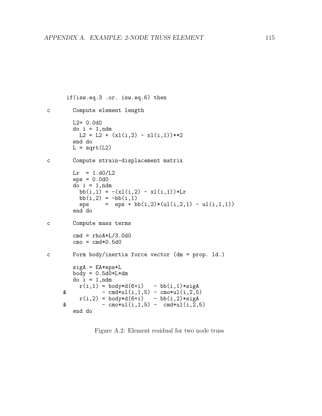```
if(isw.eq.3 .or. isw.eq.6) then
c Compute element length
       L2 = 0.0d0do i = 1,ndm
         L2 = L2 + (x1(i,2) - x1(i,1))**2end do
       L = sqrt(L2)c Compute strain-displacement matrix
        Lr = 1. d0/L2eps = 0.0d0
        do i = 1,ndm
         bb(i,1) = -(x1(i,2) - x1(i,1))*Lr
          bb(i,2) = -bb(i,1)eps = eps + bb(i,2)*(ul(i,2,1) - ul(i,1,1))
        end do
c Compute mass terms
        cmd = rhoA*L/3.0d0\text{cmo} = \text{cmd} * 0.5 \text{d} 0c Form body/inertia force vector (dm = prop. ld.)
        sigA = EA*eps*Lbody = 0.5d0*L*dmdo i = 1,ndm
         r(i,1) = body*d(6+i) - bb(i,1)*sigA\& - cmd*ul(i,1,5) - cmo*ul(i,2,5)
          r(i,2) = body*d(6+i) - bb(i,2)*sigA& - \text{cm} \times \text{ul}(i,1,5) - \text{cm} \times \text{ul}(i,2,5)end do
```
<span id="page-121-0"></span>Figure A.2: Element residual for two node truss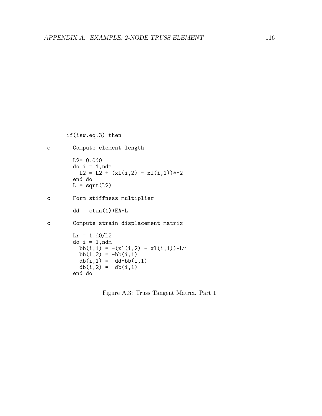```
if(isw.eq.3) then
c Compute element length
       L2= 0.0d0
       do i = 1,ndm
         L2 = L2 + (x1(i,2) - x1(i,1))**2end do
       L = sqrt(L2)c Form stiffness multiplier
       dd = ctan(1)*EA*Lc Compute strain-displacement matrix
       Lr = 1. d0/L2do i = 1,ndm
         bb(i,1) = -(x1(i,2) - x1(i,1))*Lr
         bb(i,2) = -bb(i,1)db(i,1) = dd * bb(i,1)db(i,2) = -db(i,1)end do
```
<span id="page-122-0"></span>Figure A.3: Truss Tangent Matrix. Part 1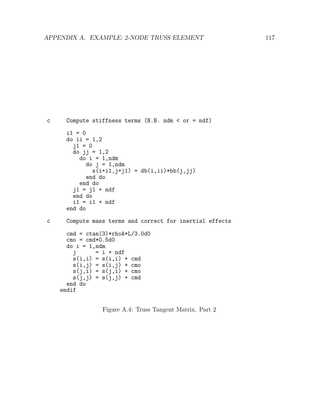```
c Compute stiffness terms (N.B. ndm < or = ndf)
      i1 = 0do ii = 1,2
        j1 = 0do jj = 1,2
          d<sup>o</sup> i = 1, ndm
            do j = 1,ndm
              s(i+i1,j+j1) = db(i,ii)*bb(j,jj)end do
          end do
        j1 = j1 + ndfend do
        i1 = i1 + ndfend do
c Compute mass terms and correct for inertial effects
      cmd = ctan(3) *rhoA * L/3.0d0\text{cmo} = \text{cmd} * 0.5 \text{d} 0do i = 1,ndm
        j = i + ndfs(i,i) = s(i,i) + cms(i,j) = s(i,j) + cms(j,i) = s(j,i) + cms(j, j) = s(j, j) + cmdend do
    endif
```
<span id="page-123-0"></span>Figure A.4: Truss Tangent Matrix. Part 2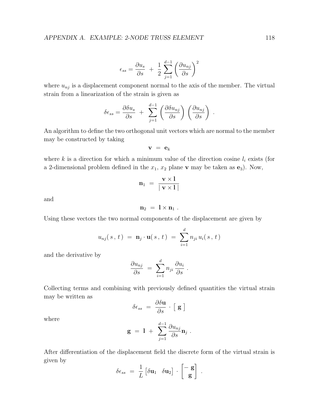$$
\epsilon_{ss} = \frac{\partial u_s}{\partial s} + \frac{1}{2} \sum_{j=1}^{d-1} \left( \frac{\partial u_{nj}}{\partial s} \right)^2
$$

where  $u_{nj}$  is a displacement component normal to the axis of the member. The virtual strain from a linearization of the strain is given as

$$
\delta \epsilon_{ss} = \frac{\partial \delta u_s}{\partial s} + \sum_{j=1}^{d-1} \left( \frac{\partial \delta u_{nj}}{\partial s} \right) \left( \frac{\partial u_{nj}}{\partial s} \right) .
$$

An algorithm to define the two orthogonal unit vectors which are normal to the member may be constructed by taking

$$
\mathbf{v} = \mathbf{e}_k
$$

where k is a direction for which a minimum value of the direction cosine  $l_i$  exists (for a 2-dimensional problem defined in the  $x_1, x_2$  plane v may be taken as  $e_3$ ). Now,

$$
\mathbf{n}_1 = \frac{\mathbf{v} \times \mathbf{l}}{\mid \mathbf{v} \times \mathbf{l} \mid}
$$

and

$$
\mathbf{n}_2 = \mathbf{l} \times \mathbf{n}_1 \ .
$$

Using these vectors the two normal components of the displacement are given by

$$
u_{nj}(s, t) = \mathbf{n}_j \cdot \mathbf{u}(s, t) = \sum_{i=1}^d n_{ji} u_i(s, t)
$$

and the derivative by

$$
\frac{\partial u_{nj}}{\partial s} = \sum_{i=1}^d n_{ji} \frac{\partial u_i}{\partial s} .
$$

Collecting terms and combining with previously defined quantities the virtual strain may be written as

$$
\delta \epsilon_{ss} = \frac{\partial \delta \mathbf{u}}{\partial s} \cdot [\mathbf{g}]
$$

where

$$
\mathbf{g} \ = \ \mathbf{l} \ + \ \ \sum_{j=1}^{d-1} \frac{\partial u_{nj}}{\partial s} \mathbf{n}_j \ .
$$

After differentiation of the displacement field the discrete form of the virtual strain is given by

$$
\delta \epsilon_{ss} = \frac{1}{L} \begin{bmatrix} \delta \mathbf{u}_1 & \delta \mathbf{u}_2 \end{bmatrix} \cdot \begin{bmatrix} - \mathbf{g} \\ \mathbf{g} \end{bmatrix}
$$

.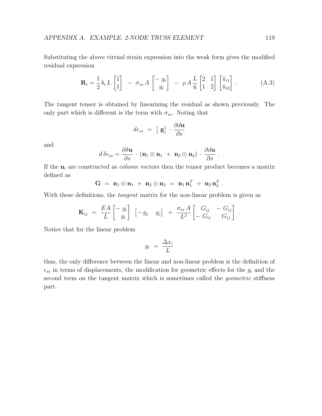<span id="page-125-0"></span>Substituting the above virtual strain expression into the weak form gives the modified residual expression

$$
\mathbf{R}_{i} = \frac{1}{2} b_{i} L \begin{bmatrix} 1 \\ 1 \end{bmatrix} - \sigma_{ss} A \begin{bmatrix} -g_{i} \\ g_{i} \end{bmatrix} - \rho A \frac{L}{6} \begin{bmatrix} 2 & 1 \\ 1 & 2 \end{bmatrix} \begin{bmatrix} \ddot{u}_{i1} \\ \ddot{u}_{i2} \end{bmatrix} . \tag{A.3}
$$

.

.

The tangent tensor is obtained by linearizing the residual as shown previously. The only part which is different is the term with  $\sigma_{ss}$ . Noting that

$$
d\epsilon_{ss} = [\mathbf{g}] \cdot \frac{\partial d\mathbf{u}}{\partial s}
$$

and

$$
d \,\delta \epsilon_{ss} = \frac{\partial \delta \mathbf{u}}{\partial s} \cdot (\mathbf{n}_1 \otimes \mathbf{n}_1 + \mathbf{n}_2 \otimes \mathbf{n}_2) \cdot \frac{\partial d\mathbf{u}}{\partial s} \ .
$$

If the  $n_i$  are constructed as *column* vectors then the tensor product becomes a matrix defined as

$$
G = n_1 \otimes n_1 + n_2 \otimes n_2 = n_1 n_1^T + n_2 n_2^T
$$

With these definitions, the *tangent* matrix for the non-linear problem is given as

$$
\mathbf{K}_{ij} = \frac{EA}{L} \begin{bmatrix} -g_i \\ g_i \end{bmatrix} \begin{bmatrix} -g_j & g_j \end{bmatrix} + \frac{\sigma_{ss} A}{L^2} \begin{bmatrix} G_{ij} & -G_{ij} \\ -G_{ij} & G_{ij} \end{bmatrix}
$$

Notice that for the linear problem

$$
g_i = \frac{\Delta x_i}{L}
$$

thus, the only difference between the linear and non-linear problem is the definition of  $\epsilon_{ss}$  in terms of displacements, the modification for geometric effects for the  $g_i$  and the second term on the tangent matrix which is sometimes called the *geometric* stiffness part.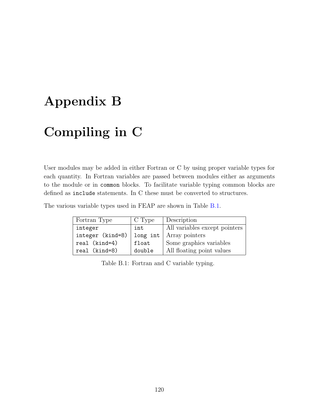# <span id="page-126-1"></span>Appendix B

# Compiling in C

User modules may be added in either Fortran or C by using proper variable types for each quantity. In Fortran variables are passed between modules either as arguments to the module or in common blocks. To facilitate variable typing common blocks are defined as include statements. In C these must be converted to structures.

The various variable types used in FEAP are shown in Table [B.1.](#page-126-0)

| Fortran Type     | C Type   | Description                   |
|------------------|----------|-------------------------------|
| integer          | int      | All variables except pointers |
| integer (kind=8) | long int | Array pointers                |
| real (kind=4)    | float    | Some graphics variables       |
| real (kind=8)    | double   | All floating point values     |

<span id="page-126-0"></span>Table B.1: Fortran and C variable typing.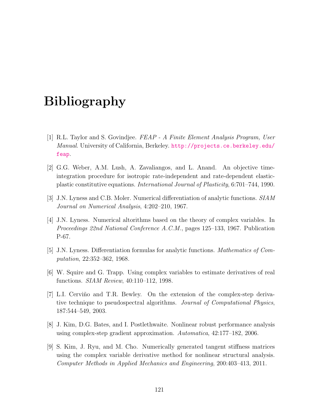# Bibliography

- [1] R.L. Taylor and S. Govindjee. FEAP A Finite Element Analysis Program, User Manual. University of California, Berkeley. [http://projects.ce.berkeley.edu/](http://projects.ce.berkeley.edu/feap) [feap](http://projects.ce.berkeley.edu/feap).
- [2] G.G. Weber, A.M. Lush, A. Zavaliangos, and L. Anand. An objective timeintegration procedure for isotropic rate-independent and rate-dependent elasticplastic constitutive equations. International Journal of Plasticity, 6:701–744, 1990.
- [3] J.N. Lyness and C.B. Moler. Numerical differentiation of analytic functions. SIAM Journal on Numerical Analysis, 4:202–210, 1967.
- [4] J.N. Lyness. Numerical altorithms based on the theory of complex variables. In Proceedings 22nd National Conference A.C.M., pages 125–133, 1967. Publication P-67.
- [5] J.N. Lyness. Differentiation formulas for analytic functions. Mathematics of Computation, 22:352–362, 1968.
- [6] W. Squire and G. Trapp. Using complex variables to estimate derivatives of real functions. SIAM Review, 40:110–112, 1998.
- [7] L.I. Cerviño and T.R. Bewley. On the extension of the complex-step derivative technique to pseudospectral algorithms. Journal of Computational Physics, 187:544–549, 2003.
- [8] J. Kim, D.G. Bates, and I. Postlethwaite. Nonlinear robust performance analysis using complex-step gradient approximation. Automatica, 42:177–182, 2006.
- [9] S. Kim, J. Ryu, and M. Cho. Numerically generated tangent stiffness matrices using the complex variable derivative method for nonlinear structural analysis. Computer Methods in Applied Mechanics and Engineering, 200:403–413, 2011.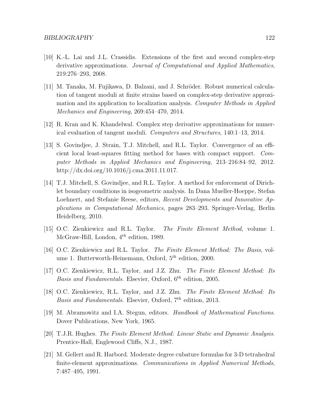- [10] K.-L. Lai and J.L. Crassidis. Extensions of the first and second complex-step derivative approximations. Journal of Computational and Applied Mathematics, 219:276–293, 2008.
- [11] M. Tanaka, M. Fujikawa, D. Balzani, and J. Schröder. Robust numerical calculation of tangent moduli at finite strains based on complex-step derivative approximation and its application to localization analysis. Computer Methods in Applied Mechanics and Engineering, 269:454–470, 2014.
- [12] R. Kran and K. Khandelwal. Complex step derivative approximations for numerical evaluation of tangent moduli. Computers and Structures, 140:1–13, 2014.
- [13] S. Govindjee, J. Strain, T.J. Mitchell, and R.L. Taylor. Convergence of an efficient local least-squares fitting method for bases with compact support. Computer Methods in Applied Mechanics and Engineering, 213–216:84–92, 2012. http://dx.doi.org/10.1016/j.cma.2011.11.017.
- [14] T.J. Mitchell, S. Govindjee, and R.L. Taylor. A method for enforcement of Dirichlet boundary conditions in isogeometric analysis. In Dana Mueller-Hoeppe, Stefan Loehnert, and Stefanie Reese, editors, Recent Developments and Innovative Applications in Computational Mechanics, pages 283–293. Springer-Verlag, Berlin Heidelberg, 2010.
- [15] O.C. Zienkiewicz and R.L. Taylor. The Finite Element Method, volume 1. McGraw-Hill, London,  $4^{th}$  edition, 1989.
- [16] O.C. Zienkiewicz and R.L. Taylor. The Finite Element Method: The Basis, volume 1. Butterworth-Heinemann, Oxford,  $5<sup>th</sup>$  edition, 2000.
- [17] O.C. Zienkiewicz, R.L. Taylor, and J.Z. Zhu. The Finite Element Method: Its Basis and Fundamentals. Elsevier, Oxford,  $6^{th}$  edition, 2005.
- [18] O.C. Zienkiewicz, R.L. Taylor, and J.Z. Zhu. The Finite Element Method: Its Basis and Fundamentals. Elsevier, Oxford,  $7<sup>th</sup>$  edition, 2013.
- [19] M. Abramowitz and I.A. Stegun, editors. Handbook of Mathematical Functions. Dover Publications, New York, 1965.
- [20] T.J.R. Hughes. The Finite Element Method: Linear Static and Dynamic Analysis. Prentice-Hall, Englewood Cliffs, N.J., 1987.
- [21] M. Gellert and R. Harbord. Moderate degree cubature formulas for 3-D tetrahedral finite-element approximations. Communications in Applied Numerical Methods, 7:487–495, 1991.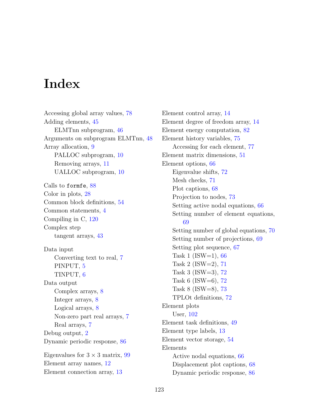## Index

Accessing global array values, [78](#page-84-0) Adding elements, [45](#page-51-0) ELMTnn subprogram, [46](#page-52-0) Arguments on subprogram ELMTnn, [48](#page-54-0) Array allocation, [9](#page-15-0) PALLOC subprogram, [10](#page-16-0) Removing arrays, [11](#page-17-0) UALLOC subprogram, [10](#page-16-0) Calls to formfe, [88](#page-94-0) Color in plots, [28](#page-34-0) Common block definitions, [54](#page-60-0) Common statements, [4](#page-10-0) Compiling in C, [120](#page-126-1) Complex step tangent arrays, [43](#page-49-0) Data input Converting text to real, [7](#page-13-0) PINPUT, [5](#page-11-0) TINPUT, [6](#page-12-0) Data output Complex arrays, [8](#page-14-0) Integer arrays, [8](#page-14-0) Logical arrays, [8](#page-14-0) Non-zero part real arrays, [7](#page-13-0) Real arrays, [7](#page-13-0) Debug output, [2](#page-8-0) Dynamic periodic response, [86](#page-92-0) Eigenvalues for  $3 \times 3$  matrix, [99](#page-105-0) Element array names, [12](#page-18-0)

Element connection array, [13](#page-19-0)

Element control array, [14](#page-20-0) Element degree of freedom array, [14](#page-20-0) Element energy computation, [82](#page-88-0) Element history variables, [75](#page-81-0) Accessing for each element, [77](#page-83-0) Element matrix dimensions, [51](#page-57-0) Element options, [66](#page-72-0) Eigenvalue shifts, [72](#page-78-0) Mesh checks, [71](#page-77-0) Plot captions, [68](#page-74-0) Projection to nodes, [73](#page-79-0) Setting active nodal equations, [66](#page-72-0) Setting number of element equations, [69](#page-75-0) Setting number of global equations, [70](#page-76-0) Setting number of projections, [69](#page-75-0) Setting plot sequence, [67](#page-73-0) Task 1 (ISW=1),  $66$ Task 2 (ISW=2),  $71$ Task 3 (ISW=3), [72](#page-78-0) Task 6 (ISW=6),  $72$ Task 8 (ISW=8), [73](#page-79-0) TPLOt definitions, [72](#page-78-0) Element plots User, [102](#page-108-0) Element task definitions, [49](#page-55-1) Element type labels, [13](#page-19-0) Element vector storage, [54](#page-60-0) Elements Active nodal equations, [66](#page-72-0) Displacement plot captions, [68](#page-74-0) Dynamic periodic response, [86](#page-92-0)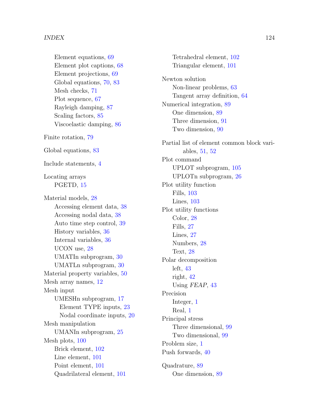Element equations, [69](#page-75-0) Element plot captions, [68](#page-74-0) Element projections, [69](#page-75-0) Global equations, [70,](#page-76-0) [83](#page-89-0) Mesh checks, [71](#page-77-0) Plot sequence, [67](#page-73-0) Rayleigh damping, [87](#page-93-0) Scaling factors, [85](#page-91-0) Viscoelastic damping, [86](#page-92-0) Finite rotation, [79](#page-85-0) Global equations, [83](#page-89-0) Include statements, [4](#page-10-0) Locating arrays PGETD, [15](#page-21-0) Material models, [28](#page-34-0) Accessing element data, [38](#page-44-0) Accessing nodal data, [38](#page-44-0) Auto time step control, [39](#page-45-0) History variables, [36](#page-42-0) Internal variables, [36](#page-42-0) UCON use, [28](#page-34-0) UMATIn subprogram, [30](#page-36-0) UMATLn subprogram, [30](#page-36-0) Material property variables, [50](#page-56-0) Mesh array names, [12](#page-18-0) Mesh input UMESHn subprogram, [17](#page-23-0) Element TYPE inputs, [23](#page-29-0) Nodal coordinate inputs, [20](#page-26-0) Mesh manipulation UMANIn subprogram, [25](#page-31-0) Mesh plots, [100](#page-106-0) Brick element, [102](#page-108-0) Line element, [101](#page-107-0) Point element, [101](#page-107-0) Quadrilateral element, [101](#page-107-0)

Newton solution Non-linear problems, [63](#page-69-1) Tangent array definition, [64](#page-70-0) Numerical integration, [89](#page-95-0) One dimension, [89](#page-95-0) Three dimension, [91](#page-97-0) Two dimension, [90](#page-96-0) Partial list of element common block variables, [51,](#page-57-0) [52](#page-58-0) Plot command UPLOT subprogram, [105](#page-111-0) UPLOTn subprogram, [26](#page-32-0) Plot utility function Fills, [103](#page-109-1) Lines, [103](#page-109-1) Plot utility functions Color, [28](#page-34-0) Fills, [27](#page-33-0) Lines, [27](#page-33-0) Numbers, [28](#page-34-0) Text, [28](#page-34-0) Polar decomposition left, [43](#page-49-0) right, [42](#page-48-0) Using FEAP, [43](#page-49-0) Precision Integer, [1](#page-0-0) Real, [1](#page-0-0) Principal stress Three dimensional, [99](#page-105-0) Two dimensional, [99](#page-105-0) Problem size, [1](#page-0-0)

Tetrahedral element, [102](#page-108-0) Triangular element, [101](#page-107-0)

Quadrature, [89](#page-95-0) One dimension, [89](#page-95-0)

Push forwards, [40](#page-46-0)